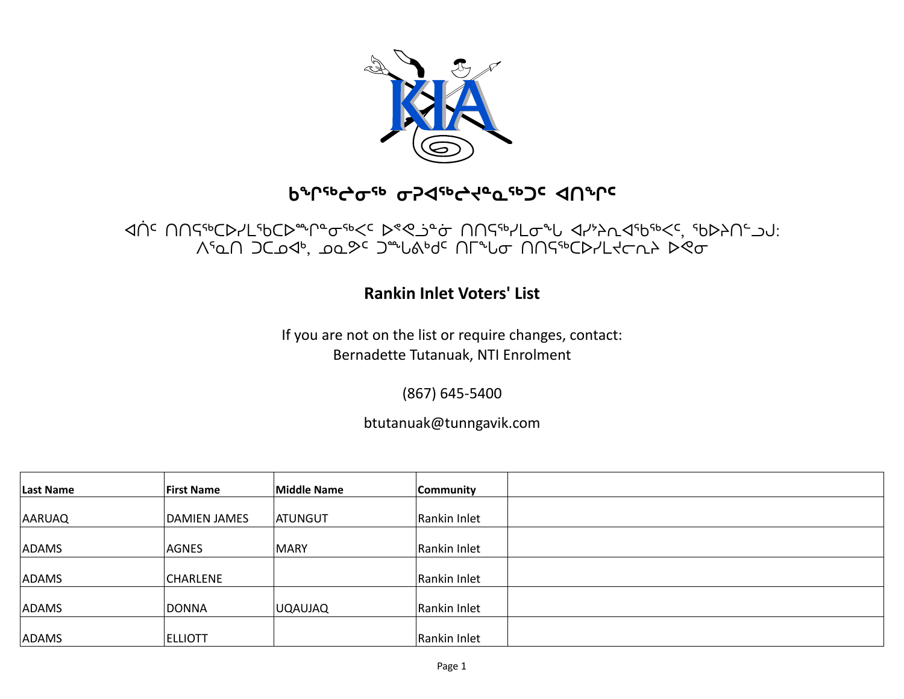

## **ᑲᖏᖅᖠᓂᖅ ᓂᕈᐊᖅᖠᔪᓐᓇᖅᑐᑦ ᐊᑎᖏᑦ**

## ᐊᑏᑦ ᑎᑎᕋᖅᑕᐅᓯᒪᖃᑕᐅᖖᒋᓐᓂᖅᐸᑦ ᐅᕝᕙᓘᓐᓃ ᑎᑎᕋᖅᓯᒪᓂᖓ ᐊᓯᔾᔨᕆᐊᖃᖅᐸᑦ, ᖃᐅᔨᑎᓪᓗᒍ: ∧'Q∩ CLQdb, DQD C Jalkade NLand NNSibCD-LKCNA D <

## **Rankin Inlet Voters' List**

If you are not on the list or require changes, contact: Bernadette Tutanuak, NTI Enrolment

(867) 645-5400

btutanuak@tunngavik.com

| Last Name     | <b>First Name</b> | <b>Middle Name</b> | Community    |  |
|---------------|-------------------|--------------------|--------------|--|
| <b>AARUAQ</b> | DAMIEN JAMES      | <b>ATUNGUT</b>     | Rankin Inlet |  |
| <b>ADAMS</b>  | <b>AGNES</b>      | <b>MARY</b>        | Rankin Inlet |  |
| <b>ADAMS</b>  | <b>CHARLENE</b>   |                    | Rankin Inlet |  |
| <b>ADAMS</b>  | <b>DONNA</b>      | <b>UQAUJAQ</b>     | Rankin Inlet |  |
| <b>ADAMS</b>  | <b>ELLIOTT</b>    |                    | Rankin Inlet |  |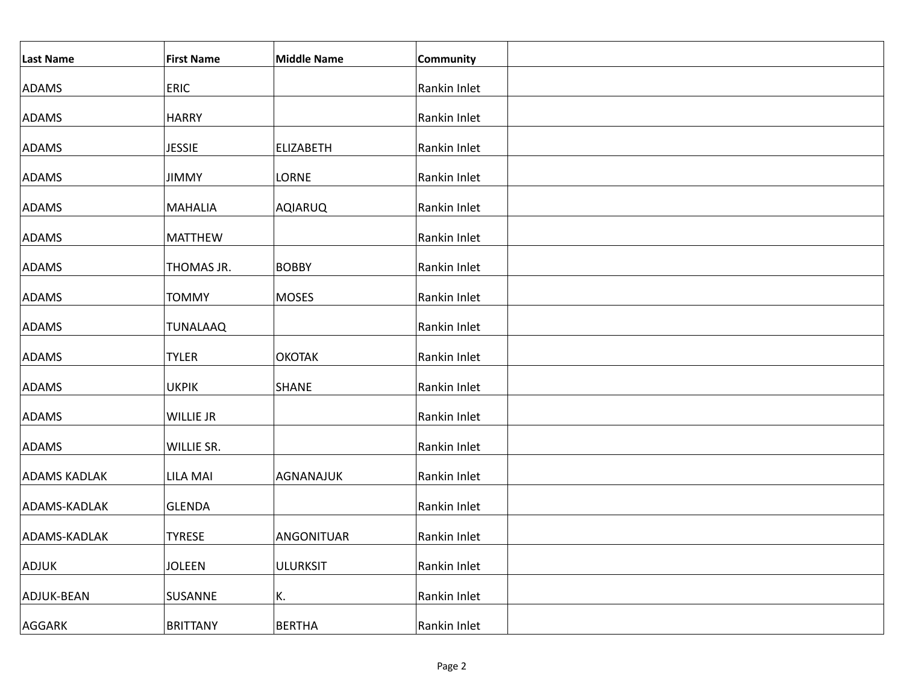| Last Name           | <b>First Name</b> | <b>Middle Name</b> | Community    |  |
|---------------------|-------------------|--------------------|--------------|--|
| ADAMS               | <b>ERIC</b>       |                    | Rankin Inlet |  |
| ADAMS               | HARRY             |                    | Rankin Inlet |  |
| ADAMS               | <b>JESSIE</b>     | ELIZABETH          | Rankin Inlet |  |
| ADAMS               | <b>JIMMY</b>      | LORNE              | Rankin Inlet |  |
| ADAMS               | MAHALIA           | AQIARUQ            | Rankin Inlet |  |
| ADAMS               | <b>MATTHEW</b>    |                    | Rankin Inlet |  |
| ADAMS               | THOMAS JR.        | <b>BOBBY</b>       | Rankin Inlet |  |
| ADAMS               | <b>TOMMY</b>      | MOSES              | Rankin Inlet |  |
| ADAMS               | <b>TUNALAAQ</b>   |                    | Rankin Inlet |  |
| ADAMS               | <b>TYLER</b>      | <b>OKOTAK</b>      | Rankin Inlet |  |
| ADAMS               | <b>UKPIK</b>      | <b>SHANE</b>       | Rankin Inlet |  |
| ADAMS               | <b>WILLIE JR</b>  |                    | Rankin Inlet |  |
| ADAMS               | WILLIE SR.        |                    | Rankin Inlet |  |
| <b>ADAMS KADLAK</b> | LILA MAI          | AGNANAJUK          | Rankin Inlet |  |
| <b>ADAMS-KADLAK</b> | GLENDA            |                    | Rankin Inlet |  |
| ADAMS-KADLAK        | <b>TYRESE</b>     | ANGONITUAR         | Rankin Inlet |  |
| ADJUK               | <b>JOLEEN</b>     | <b>ULURKSIT</b>    | Rankin Inlet |  |
| ADJUK-BEAN          | SUSANNE           | K.                 | Rankin Inlet |  |
| AGGARK              | BRITTANY          | BERTHA             | Rankin Inlet |  |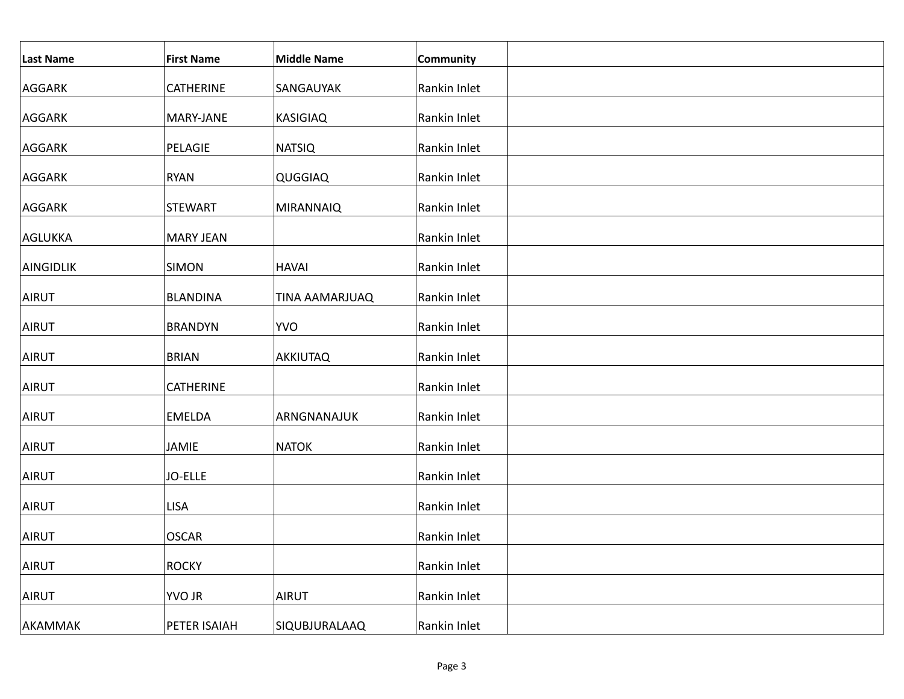| <b>Last Name</b> | <b>First Name</b> | <b>Middle Name</b>    | Community    |  |
|------------------|-------------------|-----------------------|--------------|--|
| AGGARK           | CATHERINE         | SANGAUYAK             | Rankin Inlet |  |
| AGGARK           | MARY-JANE         | <b>KASIGIAQ</b>       | Rankin Inlet |  |
| AGGARK           | PELAGIE           | NATSIQ                | Rankin Inlet |  |
| AGGARK           | RYAN              | QUGGIAQ               | Rankin Inlet |  |
| AGGARK           | <b>STEWART</b>    | MIRANNAIQ             | Rankin Inlet |  |
| AGLUKKA          | <b>MARY JEAN</b>  |                       | Rankin Inlet |  |
| AINGIDLIK        | <b>SIMON</b>      | HAVAI                 | Rankin Inlet |  |
| AIRUT            | <b>BLANDINA</b>   | <b>TINA AAMARJUAQ</b> | Rankin Inlet |  |
| AIRUT            | <b>BRANDYN</b>    | <b>YVO</b>            | Rankin Inlet |  |
| AIRUT            | <b>BRIAN</b>      | AKKIUTAQ              | Rankin Inlet |  |
| AIRUT            | <b>CATHERINE</b>  |                       | Rankin Inlet |  |
| AIRUT            | <b>EMELDA</b>     | ARNGNANAJUK           | Rankin Inlet |  |
| AIRUT            | <b>JAMIE</b>      | <b>NATOK</b>          | Rankin Inlet |  |
| AIRUT            | <b>JO-ELLE</b>    |                       | Rankin Inlet |  |
| AIRUT            | <b>LISA</b>       |                       | Rankin Inlet |  |
| AIRUT            | OSCAR             |                       | Rankin Inlet |  |
| AIRUT            | <b>ROCKY</b>      |                       | Rankin Inlet |  |
| AIRUT            | YVO JR            | AIRUT                 | Rankin Inlet |  |
| AKAMMAK          | PETER ISAIAH      | SIQUBJURALAAQ         | Rankin Inlet |  |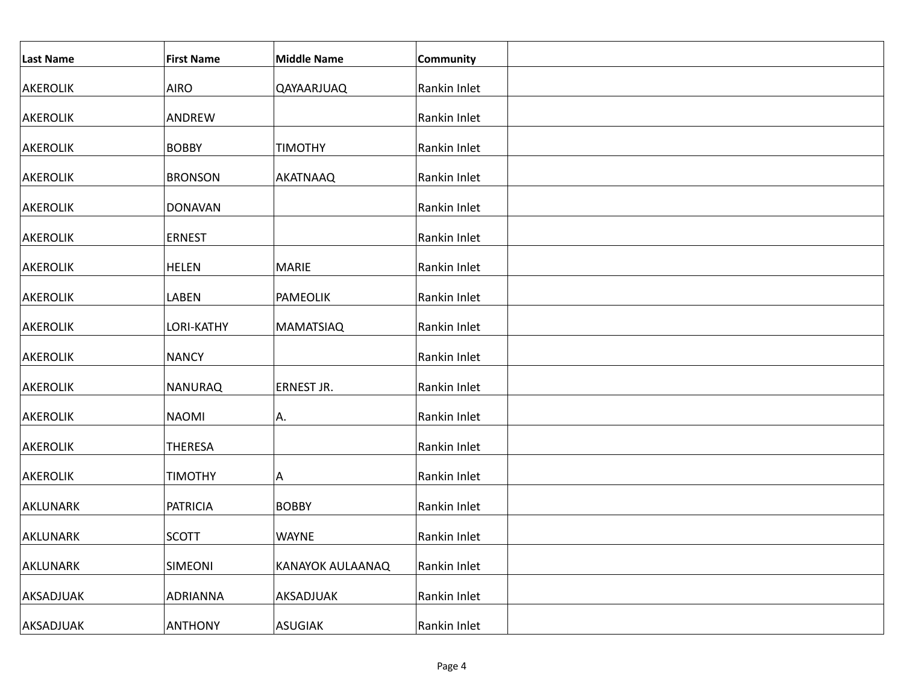| Last Name       | <b>First Name</b> | <b>Middle Name</b>      | Community    |
|-----------------|-------------------|-------------------------|--------------|
| <b>AKEROLIK</b> | AIRO              | QAYAARJUAQ              | Rankin Inlet |
| AKEROLIK        | ANDREW            |                         | Rankin Inlet |
| <b>AKEROLIK</b> | <b>BOBBY</b>      | <b>TIMOTHY</b>          | Rankin Inlet |
| AKEROLIK        | <b>BRONSON</b>    | AKATNAAQ                | Rankin Inlet |
| AKEROLIK        | <b>DONAVAN</b>    |                         | Rankin Inlet |
| AKEROLIK        | <b>ERNEST</b>     |                         | Rankin Inlet |
| AKEROLIK        | <b>HELEN</b>      | MARIE                   | Rankin Inlet |
| <b>AKEROLIK</b> | LABEN             | PAMEOLIK                | Rankin Inlet |
| <b>AKEROLIK</b> | LORI-KATHY        | MAMATSIAQ               | Rankin Inlet |
| AKEROLIK        | NANCY             |                         | Rankin Inlet |
| AKEROLIK        | NANURAQ           | ERNEST JR.              | Rankin Inlet |
| <b>AKEROLIK</b> | NAOMI             | AA.                     | Rankin Inlet |
| AKEROLIK        | <b>THERESA</b>    |                         | Rankin Inlet |
| <b>AKEROLIK</b> | <b>TIMOTHY</b>    | A                       | Rankin Inlet |
| AKLUNARK        | <b>PATRICIA</b>   | <b>BOBBY</b>            | Rankin Inlet |
| AKLUNARK        | <b>SCOTT</b>      | <b>WAYNE</b>            | Rankin Inlet |
| AKLUNARK        | <b>SIMEONI</b>    | <b>KANAYOK AULAANAQ</b> | Rankin Inlet |
| AKSADJUAK       | ADRIANNA          | AKSADJUAK               | Rankin Inlet |
| AKSADJUAK       | ANTHONY           | ASUGIAK                 | Rankin Inlet |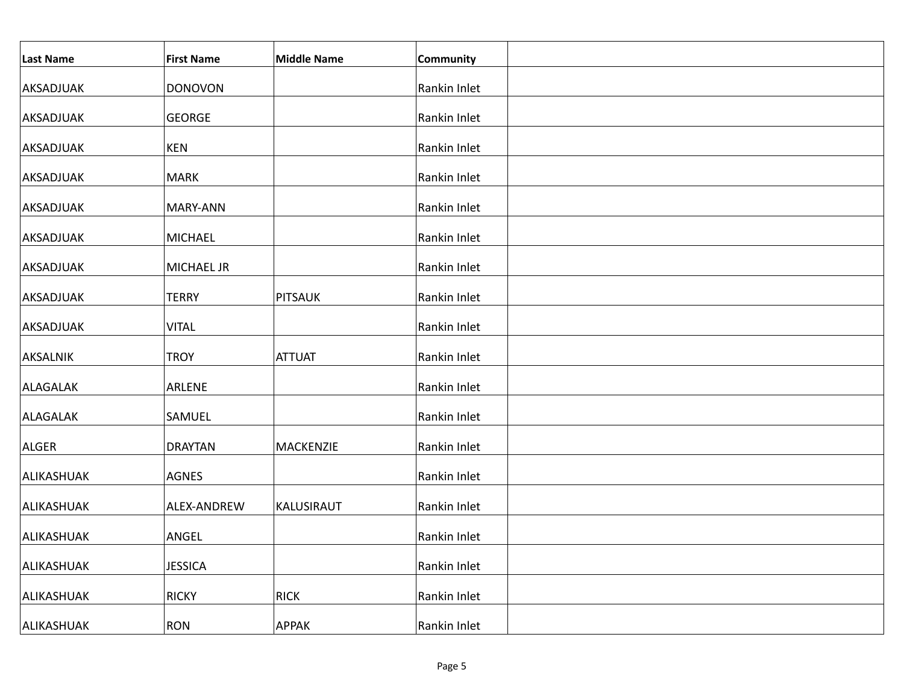| Last Name    | <b>First Name</b> | Middle Name   | Community    |  |
|--------------|-------------------|---------------|--------------|--|
| AKSADJUAK    | <b>DONOVON</b>    |               | Rankin Inlet |  |
| AKSADJUAK    | <b>GEORGE</b>     |               | Rankin Inlet |  |
| AKSADJUAK    | KEN               |               | Rankin Inlet |  |
| AKSADJUAK    | <b>MARK</b>       |               | Rankin Inlet |  |
| AKSADJUAK    | MARY-ANN          |               | Rankin Inlet |  |
| AKSADJUAK    | <b>MICHAEL</b>    |               | Rankin Inlet |  |
| AKSADJUAK    | MICHAEL JR        |               | Rankin Inlet |  |
| AKSADJUAK    | <b>TERRY</b>      | PITSAUK       | Rankin Inlet |  |
| AKSADJUAK    | <b>VITAL</b>      |               | Rankin Inlet |  |
| AKSALNIK     | <b>TROY</b>       | <b>ATTUAT</b> | Rankin Inlet |  |
| ALAGALAK     | ARLENE            |               | Rankin Inlet |  |
| ALAGALAK     | SAMUEL            |               | Rankin Inlet |  |
| <b>ALGER</b> | <b>DRAYTAN</b>    | MACKENZIE     | Rankin Inlet |  |
| ALIKASHUAK   | AGNES             |               | Rankin Inlet |  |
| ALIKASHUAK   | ALEX-ANDREW       | KALUSIRAUT    | Rankin Inlet |  |
| ALIKASHUAK   | ANGEL             |               | Rankin Inlet |  |
| ALIKASHUAK   | <b>JESSICA</b>    |               | Rankin Inlet |  |
| ALIKASHUAK   | RICKY             | <b>RICK</b>   | Rankin Inlet |  |
| ALIKASHUAK   | RON               | APPAK         | Rankin Inlet |  |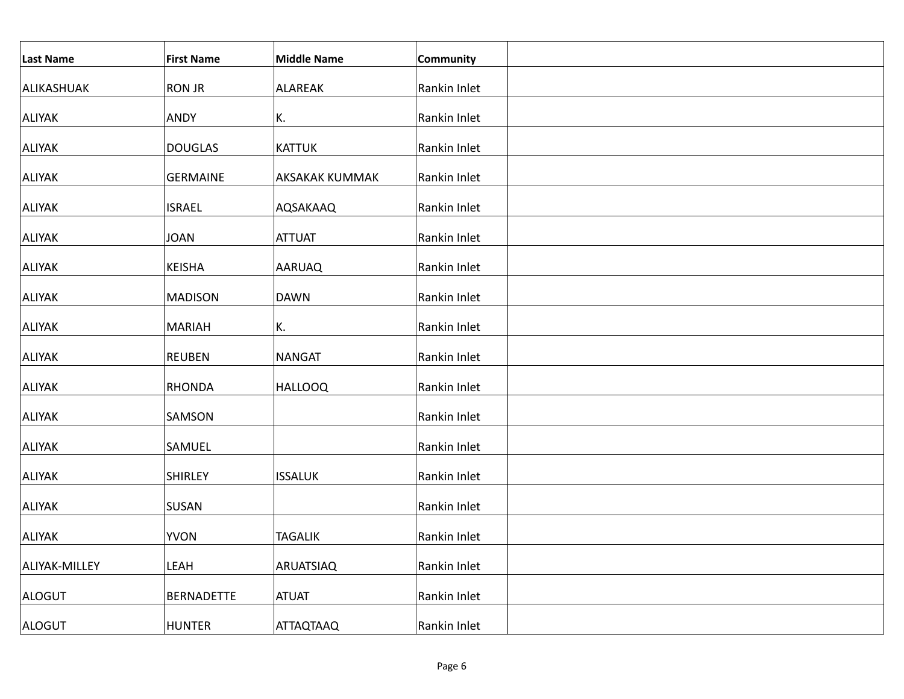| Last Name     | <b>First Name</b> | <b>Middle Name</b>    | Community    |  |
|---------------|-------------------|-----------------------|--------------|--|
| ALIKASHUAK    | <b>RON JR</b>     | ALAREAK               | Rankin Inlet |  |
| ALIYAK        | <b>ANDY</b>       | K.                    | Rankin Inlet |  |
| ALIYAK        | <b>DOUGLAS</b>    | KATTUK                | Rankin Inlet |  |
| ALIYAK        | <b>GERMAINE</b>   | <b>AKSAKAK KUMMAK</b> | Rankin Inlet |  |
| ALIYAK        | <b>ISRAEL</b>     | AQSAKAAQ              | Rankin Inlet |  |
| ALIYAK        | <b>JOAN</b>       | <b>ATTUAT</b>         | Rankin Inlet |  |
| ALIYAK        | <b>KEISHA</b>     | AARUAQ                | Rankin Inlet |  |
| ALIYAK        | <b>MADISON</b>    | DAWN                  | Rankin Inlet |  |
| ALIYAK        | <b>MARIAH</b>     | K.                    | Rankin Inlet |  |
| ALIYAK        | <b>REUBEN</b>     | NANGAT                | Rankin Inlet |  |
| ALIYAK        | <b>RHONDA</b>     | <b>HALLOOQ</b>        | Rankin Inlet |  |
| ALIYAK        | SAMSON            |                       | Rankin Inlet |  |
| ALIYAK        | SAMUEL            |                       | Rankin Inlet |  |
| ALIYAK        | <b>SHIRLEY</b>    | <b>ISSALUK</b>        | Rankin Inlet |  |
| ALIYAK        | SUSAN             |                       | Rankin Inlet |  |
| ALIYAK        | <b>YVON</b>       | <b>TAGALIK</b>        | Rankin Inlet |  |
| ALIYAK-MILLEY | LEAH              | ARUATSIAQ             | Rankin Inlet |  |
| ALOGUT        | <b>BERNADETTE</b> | <b>ATUAT</b>          | Rankin Inlet |  |
| ALOGUT        | HUNTER            | <b>ATTAQTAAQ</b>      | Rankin Inlet |  |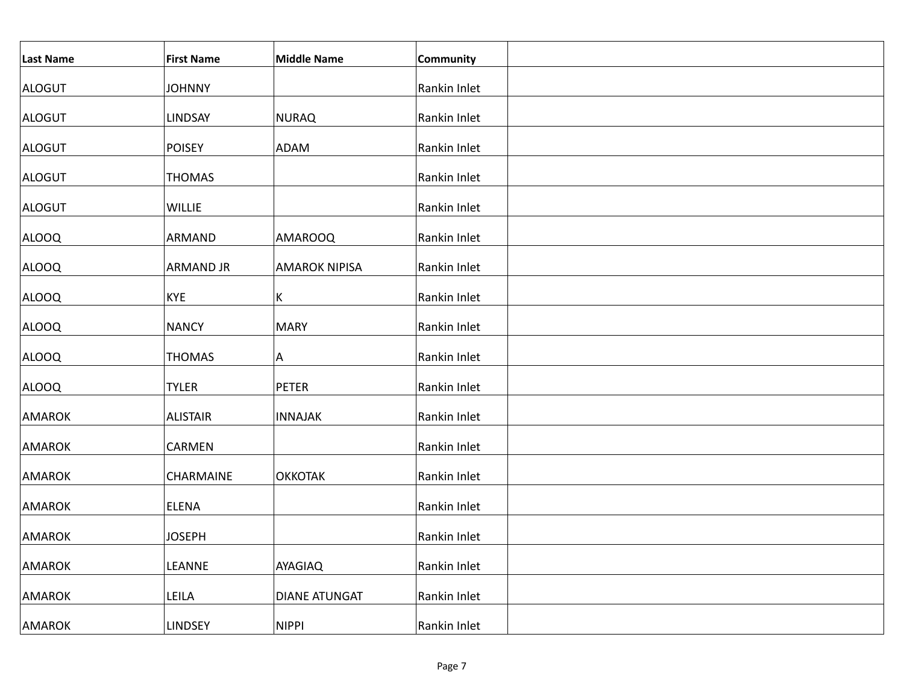| <b>Last Name</b> | <b>First Name</b> | <b>Middle Name</b>   | Community    |  |
|------------------|-------------------|----------------------|--------------|--|
| ALOGUT           | <b>JOHNNY</b>     |                      | Rankin Inlet |  |
| ALOGUT           | <b>LINDSAY</b>    | NURAQ                | Rankin Inlet |  |
| ALOGUT           | POISEY            | <b>ADAM</b>          | Rankin Inlet |  |
| ALOGUT           | <b>THOMAS</b>     |                      | Rankin Inlet |  |
| ALOGUT           | <b>WILLIE</b>     |                      | Rankin Inlet |  |
| ALOOQ            | ARMAND            | AMAROOQ              | Rankin Inlet |  |
| ALOOQ            | ARMAND JR         | <b>AMAROK NIPISA</b> | Rankin Inlet |  |
| ALOOQ            | KYE               | K.                   | Rankin Inlet |  |
| ALOOQ            | NANCY             | MARY                 | Rankin Inlet |  |
| ALOOQ            | <b>THOMAS</b>     | A                    | Rankin Inlet |  |
| <b>ALOOQ</b>     | <b>TYLER</b>      | PETER                | Rankin Inlet |  |
| AMAROK           | ALISTAIR          | <b>INNAJAK</b>       | Rankin Inlet |  |
| AMAROK           | <b>CARMEN</b>     |                      | Rankin Inlet |  |
| AMAROK           | <b>CHARMAINE</b>  | <b>OKKOTAK</b>       | Rankin Inlet |  |
| AMAROK           | <b>ELENA</b>      |                      | Rankin Inlet |  |
| AMAROK           | <b>JOSEPH</b>     |                      | Rankin Inlet |  |
| <b>AMAROK</b>    | LEANNE            | AYAGIAQ              | Rankin Inlet |  |
| <b>AMAROK</b>    | <b>LEILA</b>      | <b>DIANE ATUNGAT</b> | Rankin Inlet |  |
| AMAROK           | LINDSEY           | NIPPI                | Rankin Inlet |  |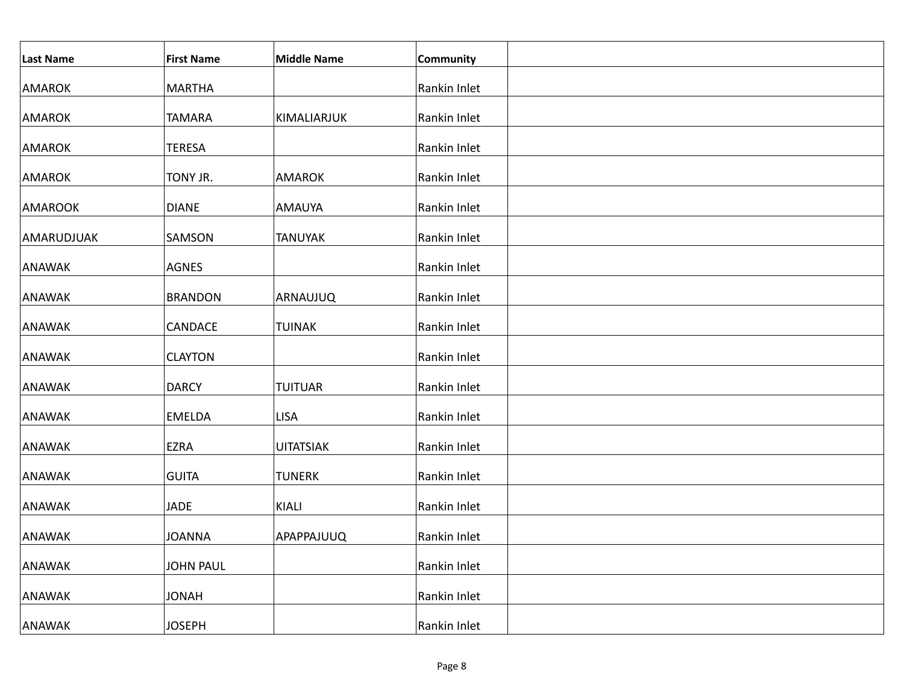| Last Name  | <b>First Name</b> | Middle Name      | Community    |  |
|------------|-------------------|------------------|--------------|--|
| AMAROK     | MARTHA            |                  | Rankin Inlet |  |
| AMAROK     | <b>TAMARA</b>     | KIMALIARJUK      | Rankin Inlet |  |
| AMAROK     | <b>TERESA</b>     |                  | Rankin Inlet |  |
| AMAROK     | TONY JR.          | AMAROK           | Rankin Inlet |  |
| AMAROOK    | DIANE             | AMAUYA           | Rankin Inlet |  |
| AMARUDJUAK | SAMSON            | <b>TANUYAK</b>   | Rankin Inlet |  |
| ANAWAK     | AGNES             |                  | Rankin Inlet |  |
| ANAWAK     | <b>BRANDON</b>    | ARNAUJUQ         | Rankin Inlet |  |
| ANAWAK     | CANDACE           | TUINAK           | Rankin Inlet |  |
| ANAWAK     | <b>CLAYTON</b>    |                  | Rankin Inlet |  |
| ANAWAK     | DARCY             | <b>TUITUAR</b>   | Rankin Inlet |  |
| ANAWAK     | <b>EMELDA</b>     | <b>LISA</b>      | Rankin Inlet |  |
| ANAWAK     | EZRA              | <b>UITATSIAK</b> | Rankin Inlet |  |
| ANAWAK     | GUITA             | TUNERK           | Rankin Inlet |  |
| ANAWAK     | JADE              | KIALI            | Rankin Inlet |  |
| ANAWAK     | <b>JOANNA</b>     | APAPPAJUUQ       | Rankin Inlet |  |
| ANAWAK     | <b>JOHN PAUL</b>  |                  | Rankin Inlet |  |
| ANAWAK     | <b>JONAH</b>      |                  | Rankin Inlet |  |
| ANAWAK     | <b>JOSEPH</b>     |                  | Rankin Inlet |  |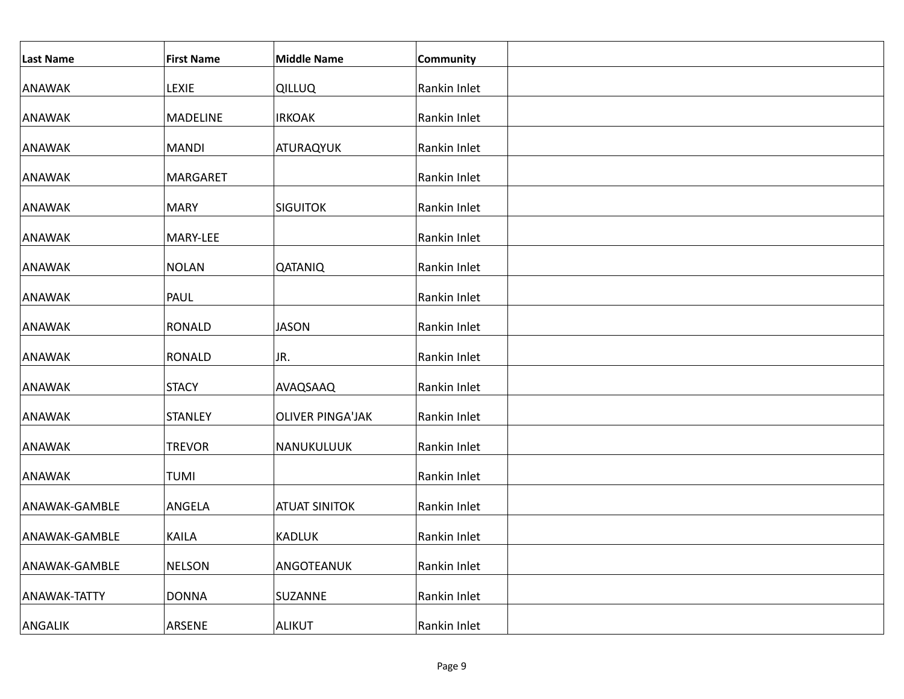| <b>Last Name</b> | <b>First Name</b> | <b>Middle Name</b>      | Community    |  |
|------------------|-------------------|-------------------------|--------------|--|
| <b>ANAWAK</b>    | <b>LEXIE</b>      | <b>QILLUQ</b>           | Rankin Inlet |  |
| <b>ANAWAK</b>    | <b>MADELINE</b>   | <b>IRKOAK</b>           | Rankin Inlet |  |
| ANAWAK           | MANDI             | ATURAQYUK               | Rankin Inlet |  |
| ANAWAK           | MARGARET          |                         | Rankin Inlet |  |
| ANAWAK           | MARY              | <b>SIGUITOK</b>         | Rankin Inlet |  |
| ANAWAK           | MARY-LEE          |                         | Rankin Inlet |  |
| ANAWAK           | NOLAN             | <b>QATANIQ</b>          | Rankin Inlet |  |
| <b>ANAWAK</b>    | PAUL              |                         | Rankin Inlet |  |
| <b>ANAWAK</b>    | <b>RONALD</b>     | <b>JASON</b>            | Rankin Inlet |  |
| <b>ANAWAK</b>    | RONALD            | JR.                     | Rankin Inlet |  |
| <b>ANAWAK</b>    | <b>STACY</b>      | AVAQSAAQ                | Rankin Inlet |  |
| <b>ANAWAK</b>    | STANLEY           | <b>OLIVER PINGA'JAK</b> | Rankin Inlet |  |
| <b>ANAWAK</b>    | <b>TREVOR</b>     | NANUKULUUK              | Rankin Inlet |  |
| ANAWAK           | <b>TUMI</b>       |                         | Rankin Inlet |  |
| ANAWAK-GAMBLE    | ANGELA            | <b>ATUAT SINITOK</b>    | Rankin Inlet |  |
| ANAWAK-GAMBLE    | KAILA             | KADLUK                  | Rankin Inlet |  |
| ANAWAK-GAMBLE    | NELSON            | ANGOTEANUK              | Rankin Inlet |  |
| ANAWAK-TATTY     | DONNA             | <b>SUZANNE</b>          | Rankin Inlet |  |
| ANGALIK          | ARSENE            | ALIKUT                  | Rankin Inlet |  |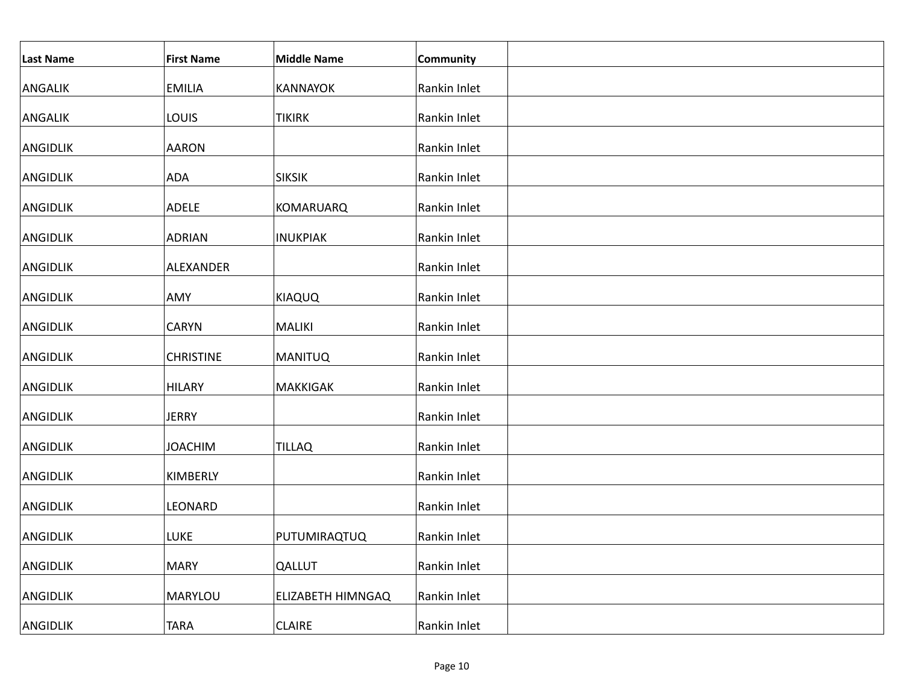| Last Name | <b>First Name</b> | <b>Middle Name</b>       | Community    |
|-----------|-------------------|--------------------------|--------------|
| ANGALIK   | <b>EMILIA</b>     | KANNAYOK                 | Rankin Inlet |
| ANGALIK   | LOUIS             | <b>TIKIRK</b>            | Rankin Inlet |
| ANGIDLIK  | <b>AARON</b>      |                          | Rankin Inlet |
| ANGIDLIK  | ADA               | <b>SIKSIK</b>            | Rankin Inlet |
| ANGIDLIK  | ADELE             | KOMARUARQ                | Rankin Inlet |
| ANGIDLIK  | ADRIAN            | <b>INUKPIAK</b>          | Rankin Inlet |
| ANGIDLIK  | ALEXANDER         |                          | Rankin Inlet |
| ANGIDLIK  | AMY               | Kiaquq                   | Rankin Inlet |
| ANGIDLIK  | <b>CARYN</b>      | MALIKI                   | Rankin Inlet |
| ANGIDLIK  | <b>CHRISTINE</b>  | MANITUQ                  | Rankin Inlet |
| ANGIDLIK  | <b>HILARY</b>     | MAKKIGAK                 | Rankin Inlet |
| ANGIDLIK  | <b>JERRY</b>      |                          | Rankin Inlet |
| ANGIDLIK  | <b>JOACHIM</b>    | <b>TILLAQ</b>            | Rankin Inlet |
| ANGIDLIK  | KIMBERLY          |                          | Rankin Inlet |
| ANGIDLIK  | LEONARD           |                          | Rankin Inlet |
| ANGIDLIK  | LUKE              | PUTUMIRAQTUQ             | Rankin Inlet |
| ANGIDLIK  | MARY              | <b>QALLUT</b>            | Rankin Inlet |
| ANGIDLIK  | MARYLOU           | <b>ELIZABETH HIMNGAQ</b> | Rankin Inlet |
| ANGIDLIK  | <b>TARA</b>       | <b>CLAIRE</b>            | Rankin Inlet |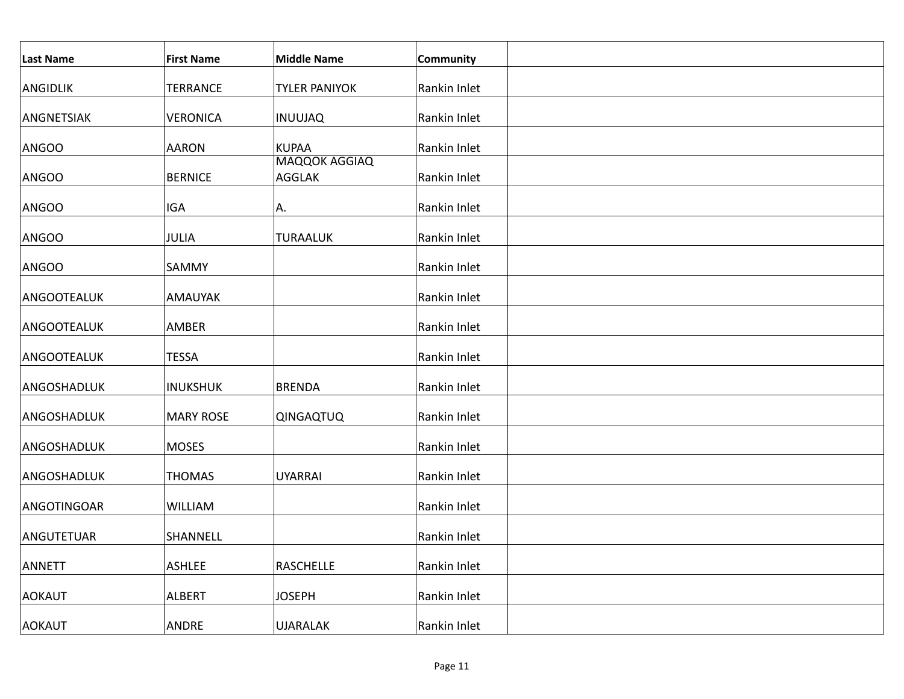| <b>Last Name</b>   | <b>First Name</b> | <b>Middle Name</b>             | Community    |  |
|--------------------|-------------------|--------------------------------|--------------|--|
| <b>ANGIDLIK</b>    | <b>TERRANCE</b>   | <b>TYLER PANIYOK</b>           | Rankin Inlet |  |
| ANGNETSIAK         | <b>VERONICA</b>   | <b>INUUJAQ</b>                 | Rankin Inlet |  |
| ANGOO              | <b>AARON</b>      | KUPAA                          | Rankin Inlet |  |
| ANGOO              | BERNICE           | <b>MAQQOK AGGIAQ</b><br>AGGLAK | Rankin Inlet |  |
| ANGOO              | <b>IGA</b>        | A.                             | Rankin Inlet |  |
| ANGOO              | JULIA             | <b>TURAALUK</b>                | Rankin Inlet |  |
| ANGOO              | <b>SAMMY</b>      |                                | Rankin Inlet |  |
| ANGOOTEALUK        | AMAUYAK           |                                | Rankin Inlet |  |
| ANGOOTEALUK        | AMBER             |                                | Rankin Inlet |  |
| <b>ANGOOTEALUK</b> | <b>TESSA</b>      |                                | Rankin Inlet |  |
| ANGOSHADLUK        | <b>INUKSHUK</b>   | <b>BRENDA</b>                  | Rankin Inlet |  |
| ANGOSHADLUK        | <b>MARY ROSE</b>  | QINGAQTUQ                      | Rankin Inlet |  |
| ANGOSHADLUK        | MOSES             |                                | Rankin Inlet |  |
| ANGOSHADLUK        | <b>THOMAS</b>     | UYARRAI                        | Rankin Inlet |  |
| ANGOTINGOAR        | <b>WILLIAM</b>    |                                | Rankin Inlet |  |
| ANGUTETUAR         | SHANNELL          |                                | Rankin Inlet |  |
| ANNETT             | ASHLEE            | RASCHELLE                      | Rankin Inlet |  |
| <b>AOKAUT</b>      | ALBERT            | <b>JOSEPH</b>                  | Rankin Inlet |  |
| AOKAUT             | ANDRE             | UJARALAK                       | Rankin Inlet |  |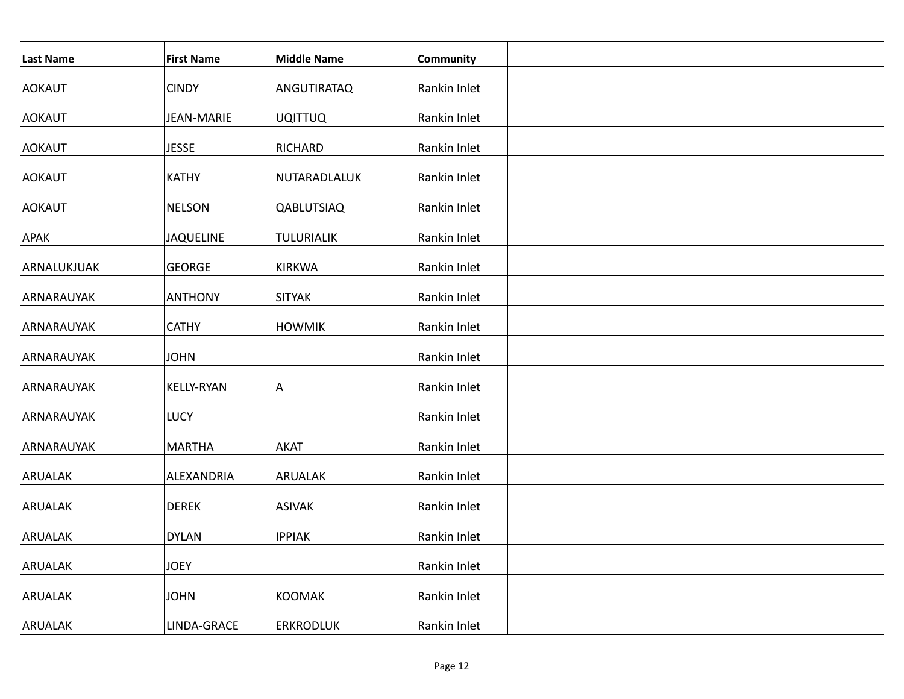| <b>Last Name</b> | <b>First Name</b> | <b>Middle Name</b> | Community    |  |
|------------------|-------------------|--------------------|--------------|--|
| <b>AOKAUT</b>    | <b>CINDY</b>      | ANGUTIRATAQ        | Rankin Inlet |  |
| <b>AOKAUT</b>    | <b>JEAN-MARIE</b> | UQITTUQ            | Rankin Inlet |  |
| AOKAUT           | <b>JESSE</b>      | RICHARD            | Rankin Inlet |  |
| <b>AOKAUT</b>    | KATHY             | NUTARADLALUK       | Rankin Inlet |  |
| AOKAUT           | NELSON            | QABLUTSIAQ         | Rankin Inlet |  |
| <b>APAK</b>      | <b>JAQUELINE</b>  | <b>TULURIALIK</b>  | Rankin Inlet |  |
| ARNALUKJUAK      | GEORGE            | KIRKWA             | Rankin Inlet |  |
| ARNARAUYAK       | ANTHONY           | <b>SITYAK</b>      | Rankin Inlet |  |
| ARNARAUYAK       | <b>CATHY</b>      | <b>HOWMIK</b>      | Rankin Inlet |  |
| ARNARAUYAK       | <b>JOHN</b>       |                    | Rankin Inlet |  |
| ARNARAUYAK       | <b>KELLY-RYAN</b> | Α                  | Rankin Inlet |  |
| ARNARAUYAK       | <b>LUCY</b>       |                    | Rankin Inlet |  |
| ARNARAUYAK       | <b>MARTHA</b>     | <b>AKAT</b>        | Rankin Inlet |  |
| <b>ARUALAK</b>   | ALEXANDRIA        | ARUALAK            | Rankin Inlet |  |
| <b>ARUALAK</b>   | <b>DEREK</b>      | <b>ASIVAK</b>      | Rankin Inlet |  |
| <b>ARUALAK</b>   | DYLAN             | <b>IPPIAK</b>      | Rankin Inlet |  |
| <b>ARUALAK</b>   | <b>JOEY</b>       |                    | Rankin Inlet |  |
| <b>ARUALAK</b>   | <b>JOHN</b>       | <b>KOOMAK</b>      | Rankin Inlet |  |
| ARUALAK          | LINDA-GRACE       | <b>ERKRODLUK</b>   | Rankin Inlet |  |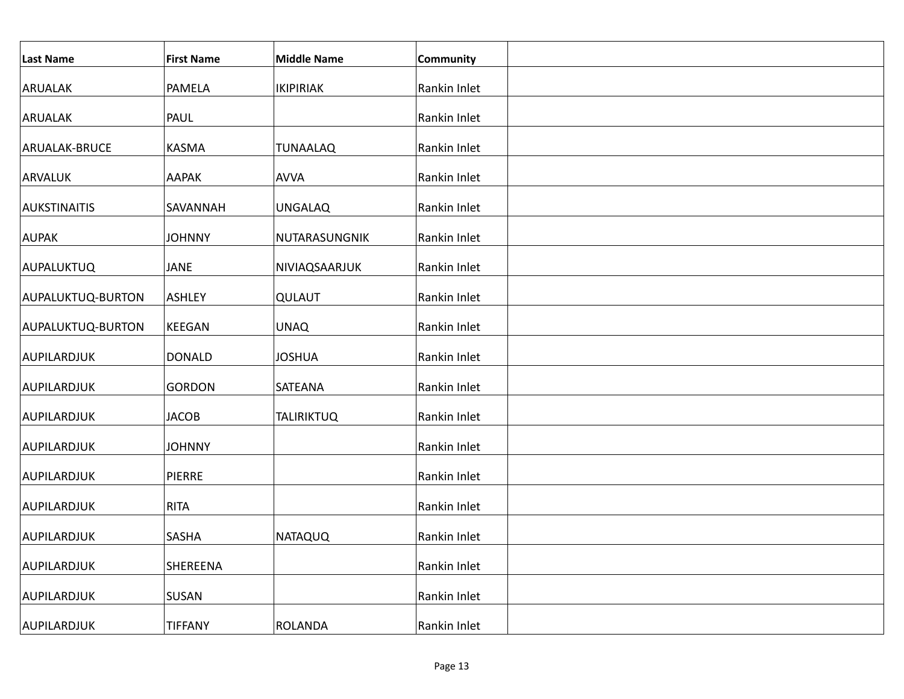| <b>Last Name</b>   | <b>First Name</b> | <b>Middle Name</b> | Community    |  |
|--------------------|-------------------|--------------------|--------------|--|
| <b>ARUALAK</b>     | PAMELA            | <b>IKIPIRIAK</b>   | Rankin Inlet |  |
| <b>ARUALAK</b>     | PAUL              |                    | Rankin Inlet |  |
| ARUALAK-BRUCE      | <b>KASMA</b>      | <b>TUNAALAQ</b>    | Rankin Inlet |  |
| ARVALUK            | AAPAK             | <b>AVVA</b>        | Rankin Inlet |  |
| AUKSTINAITIS       | SAVANNAH          | <b>UNGALAQ</b>     | Rankin Inlet |  |
| <b>AUPAK</b>       | <b>JOHNNY</b>     | NUTARASUNGNIK      | Rankin Inlet |  |
| AUPALUKTUQ         | <b>JANE</b>       | NIVIAQSAARJUK      | Rankin Inlet |  |
| AUPALUKTUQ-BURTON  | ASHLEY            | <b>QULAUT</b>      | Rankin Inlet |  |
| AUPALUKTUQ-BURTON  | KEEGAN            | <b>UNAQ</b>        | Rankin Inlet |  |
| AUPILARDJUK        | DONALD            | <b>JOSHUA</b>      | Rankin Inlet |  |
| <b>AUPILARDJUK</b> | <b>GORDON</b>     | <b>SATEANA</b>     | Rankin Inlet |  |
| AUPILARDJUK        | <b>JACOB</b>      | <b>TALIRIKTUQ</b>  | Rankin Inlet |  |
| <b>AUPILARDJUK</b> | <b>JOHNNY</b>     |                    | Rankin Inlet |  |
| AUPILARDJUK        | PIERRE            |                    | Rankin Inlet |  |
| AUPILARDJUK        | RITA              |                    | Rankin Inlet |  |
| AUPILARDJUK        | SASHA             | NATAQUQ            | Rankin Inlet |  |
|                    |                   |                    |              |  |
| AUPILARDJUK        | SHEREENA          |                    | Rankin Inlet |  |
| <b>AUPILARDJUK</b> | SUSAN             |                    | Rankin Inlet |  |
| AUPILARDJUK        | <b>TIFFANY</b>    | ROLANDA            | Rankin Inlet |  |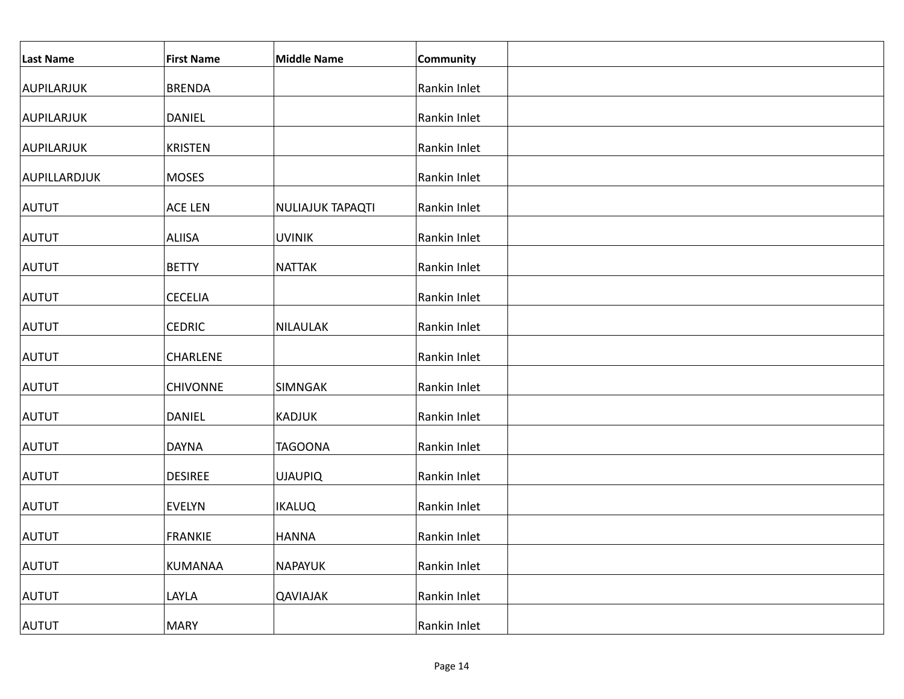| Last Name    | <b>First Name</b> | <b>Middle Name</b> | Community    |  |
|--------------|-------------------|--------------------|--------------|--|
| AUPILARJUK   | BRENDA            |                    | Rankin Inlet |  |
| AUPILARJUK   | DANIEL            |                    | Rankin Inlet |  |
| AUPILARJUK   | KRISTEN           |                    | Rankin Inlet |  |
| AUPILLARDJUK | MOSES             |                    | Rankin Inlet |  |
| AUTUT        | <b>ACE LEN</b>    | NULIAJUK TAPAQTI   | Rankin Inlet |  |
| AUTUT        | ALIISA            | UVINIK             | Rankin Inlet |  |
| AUTUT        | <b>BETTY</b>      | NATTAK             | Rankin Inlet |  |
| AUTUT        | <b>CECELIA</b>    |                    | Rankin Inlet |  |
| AUTUT        | <b>CEDRIC</b>     | NILAULAK           | Rankin Inlet |  |
| AUTUT        | <b>CHARLENE</b>   |                    | Rankin Inlet |  |
| AUTUT        | <b>CHIVONNE</b>   | <b>SIMNGAK</b>     | Rankin Inlet |  |
| <b>AUTUT</b> | DANIEL            | KADJUK             | Rankin Inlet |  |
| AUTUT        | DAYNA             | <b>TAGOONA</b>     | Rankin Inlet |  |
| AUTUT        | <b>DESIREE</b>    | <b>UJAUPIQ</b>     | Rankin Inlet |  |
| <b>AUTUT</b> | <b>EVELYN</b>     | <b>IKALUQ</b>      | Rankin Inlet |  |
| AUTUT        | FRANKIE           | <b>HANNA</b>       | Rankin Inlet |  |
| AUTUT        | KUMANAA           | NAPAYUK            | Rankin Inlet |  |
| AUTUT        | LAYLA             | <b>QAVIAJAK</b>    | Rankin Inlet |  |
| AUTUT        | MARY              |                    | Rankin Inlet |  |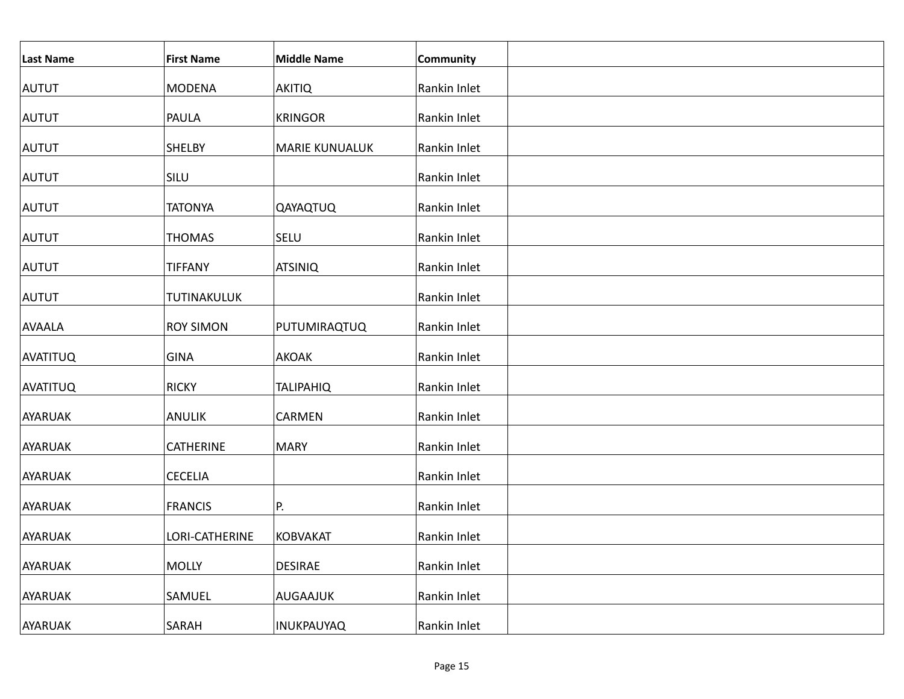| <b>Last Name</b> | <b>First Name</b> | <b>Middle Name</b> | Community    |  |
|------------------|-------------------|--------------------|--------------|--|
| AUTUT            | <b>MODENA</b>     | <b>AKITIQ</b>      | Rankin Inlet |  |
| AUTUT            | PAULA             | KRINGOR            | Rankin Inlet |  |
| AUTUT            | SHELBY            | MARIE KUNUALUK     | Rankin Inlet |  |
| AUTUT            | SILU              |                    | Rankin Inlet |  |
| AUTUT            | <b>TATONYA</b>    | QAYAQTUQ           | Rankin Inlet |  |
| AUTUT            | <b>THOMAS</b>     | <b>SELU</b>        | Rankin Inlet |  |
| AUTUT            | <b>TIFFANY</b>    | <b>ATSINIQ</b>     | Rankin Inlet |  |
| AUTUT            | TUTINAKULUK       |                    | Rankin Inlet |  |
| AVAALA           | <b>ROY SIMON</b>  | PUTUMIRAQTUQ       | Rankin Inlet |  |
| AVATITUQ         | <b>GINA</b>       | AKOAK              | Rankin Inlet |  |
| AVATITUQ         | <b>RICKY</b>      | <b>TALIPAHIQ</b>   | Rankin Inlet |  |
| AYARUAK          | ANULIK            | <b>CARMEN</b>      | Rankin Inlet |  |
| <b>AYARUAK</b>   | <b>CATHERINE</b>  | MARY               | Rankin Inlet |  |
| AYARUAK          | <b>CECELIA</b>    |                    | Rankin Inlet |  |
| <b>AYARUAK</b>   | <b>FRANCIS</b>    | P.                 | Rankin Inlet |  |
| AYARUAK          | LORI-CATHERINE    | KOBVAKAT           | Rankin Inlet |  |
| <b>AYARUAK</b>   | <b>MOLLY</b>      | <b>DESIRAE</b>     | Rankin Inlet |  |
| AYARUAK          | SAMUEL            | AUGAAJUK           | Rankin Inlet |  |
| AYARUAK          | SARAH             | INUKPAUYAQ         | Rankin Inlet |  |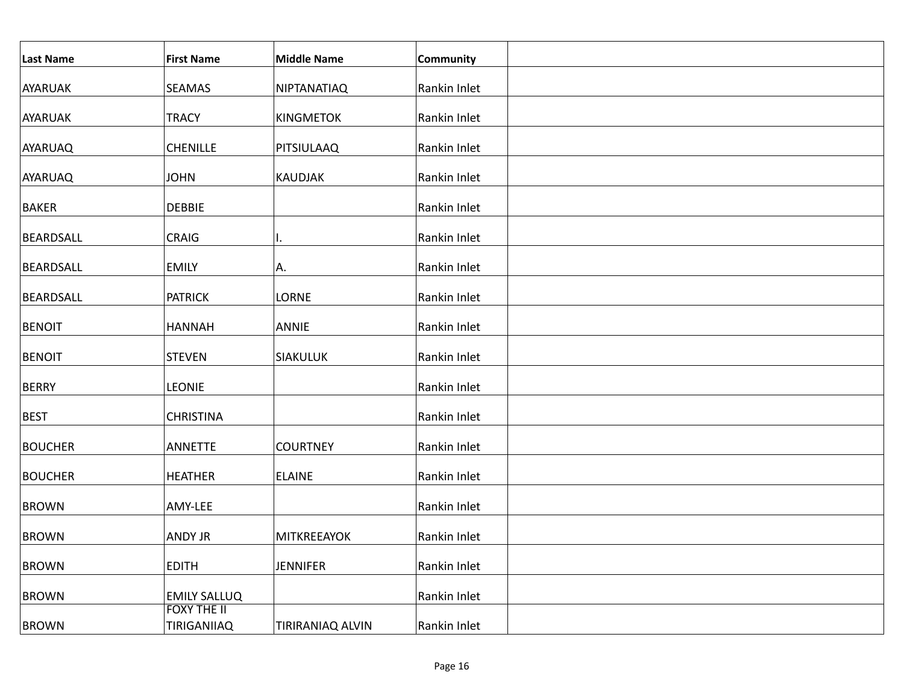| <b>Last Name</b> | <b>First Name</b>                        | <b>Middle Name</b>      | Community    |  |
|------------------|------------------------------------------|-------------------------|--------------|--|
| <b>AYARUAK</b>   | SEAMAS                                   | NIPTANATIAQ             | Rankin Inlet |  |
| AYARUAK          | <b>TRACY</b>                             | KINGMETOK               | Rankin Inlet |  |
| AYARUAQ          | <b>CHENILLE</b>                          | PITSIULAAQ              | Rankin Inlet |  |
| AYARUAQ          | <b>JOHN</b>                              | KAUDJAK                 | Rankin Inlet |  |
| BAKER            | <b>DEBBIE</b>                            |                         | Rankin Inlet |  |
| BEARDSALL        | <b>CRAIG</b>                             | ΙΙ.                     | Rankin Inlet |  |
| BEARDSALL        | <b>EMILY</b>                             | A.                      | Rankin Inlet |  |
| BEARDSALL        | PATRICK                                  | <b>LORNE</b>            | Rankin Inlet |  |
| <b>BENOIT</b>    | HANNAH                                   | ANNIE                   | Rankin Inlet |  |
| <b>BENOIT</b>    | <b>STEVEN</b>                            | SIAKULUK                | Rankin Inlet |  |
| <b>BERRY</b>     | <b>LEONIE</b>                            |                         | Rankin Inlet |  |
| BEST             | <b>CHRISTINA</b>                         |                         | Rankin Inlet |  |
| <b>BOUCHER</b>   | <b>ANNETTE</b>                           | <b>COURTNEY</b>         | Rankin Inlet |  |
| <b>BOUCHER</b>   | <b>HEATHER</b>                           | ELAINE                  | Rankin Inlet |  |
| <b>BROWN</b>     | AMY-LEE                                  |                         | Rankin Inlet |  |
| <b>BROWN</b>     | ANDY JR                                  | MITKREEAYOK             | Rankin Inlet |  |
| <b>BROWN</b>     | <b>EDITH</b>                             | <b>JENNIFER</b>         | Rankin Inlet |  |
| <b>BROWN</b>     | <b>EMILY SALLUQ</b>                      |                         | Rankin Inlet |  |
| <b>BROWN</b>     | <b>FOXY THE II</b><br><b>TIRIGANIIAQ</b> | <b>TIRIRANIAQ ALVIN</b> | Rankin Inlet |  |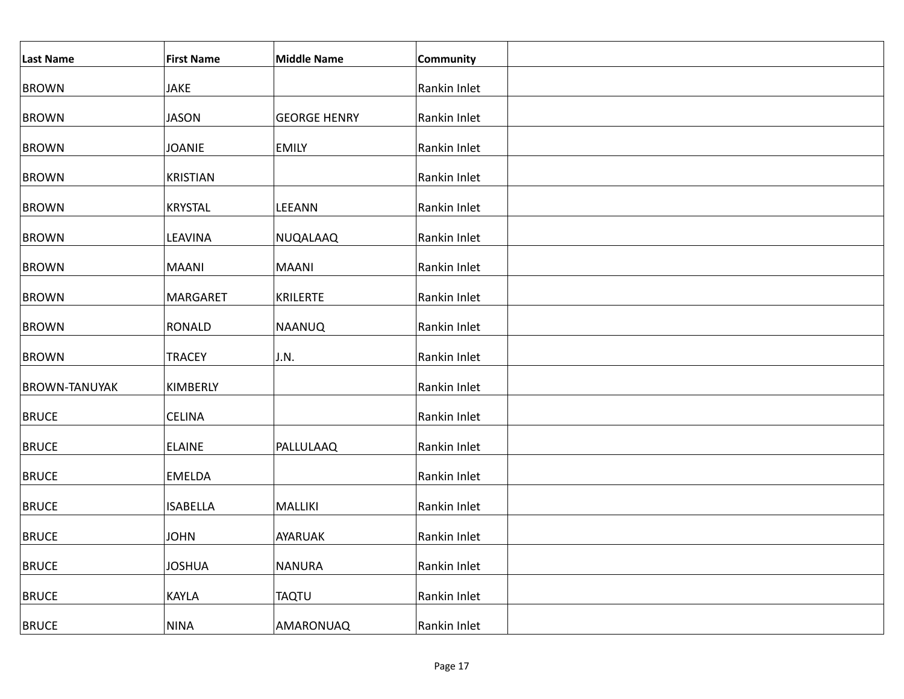| <b>Last Name</b>     | <b>First Name</b> | <b>Middle Name</b>  | Community    |  |
|----------------------|-------------------|---------------------|--------------|--|
| <b>BROWN</b>         | <b>JAKE</b>       |                     | Rankin Inlet |  |
| <b>BROWN</b>         | <b>JASON</b>      | <b>GEORGE HENRY</b> | Rankin Inlet |  |
| <b>BROWN</b>         | <b>JOANIE</b>     | <b>EMILY</b>        | Rankin Inlet |  |
| <b>BROWN</b>         | <b>KRISTIAN</b>   |                     | Rankin Inlet |  |
| <b>BROWN</b>         | <b>KRYSTAL</b>    | LEEANN              | Rankin Inlet |  |
| <b>BROWN</b>         | LEAVINA           | NUQALAAQ            | Rankin Inlet |  |
| <b>BROWN</b>         | <b>MAANI</b>      | MAANI               | Rankin Inlet |  |
| <b>BROWN</b>         | <b>MARGARET</b>   | <b>KRILERTE</b>     | Rankin Inlet |  |
| <b>BROWN</b>         | <b>RONALD</b>     | <b>NAANUQ</b>       | Rankin Inlet |  |
| <b>BROWN</b>         | <b>TRACEY</b>     | J.N.                | Rankin Inlet |  |
| <b>BROWN-TANUYAK</b> | KIMBERLY          |                     | Rankin Inlet |  |
| <b>BRUCE</b>         | <b>CELINA</b>     |                     | Rankin Inlet |  |
| <b>BRUCE</b>         | <b>ELAINE</b>     | PALLULAAQ           | Rankin Inlet |  |
| <b>BRUCE</b>         | <b>EMELDA</b>     |                     | Rankin Inlet |  |
| <b>BRUCE</b>         | <b>ISABELLA</b>   | MALLIKI             | Rankin Inlet |  |
| <b>BRUCE</b>         | <b>JOHN</b>       | AYARUAK             | Rankin Inlet |  |
| <b>BRUCE</b>         | <b>JOSHUA</b>     | <b>NANURA</b>       | Rankin Inlet |  |
| <b>BRUCE</b>         | <b>KAYLA</b>      | <b>TAQTU</b>        | Rankin Inlet |  |
| <b>BRUCE</b>         | <b>NINA</b>       | AMARONUAQ           | Rankin Inlet |  |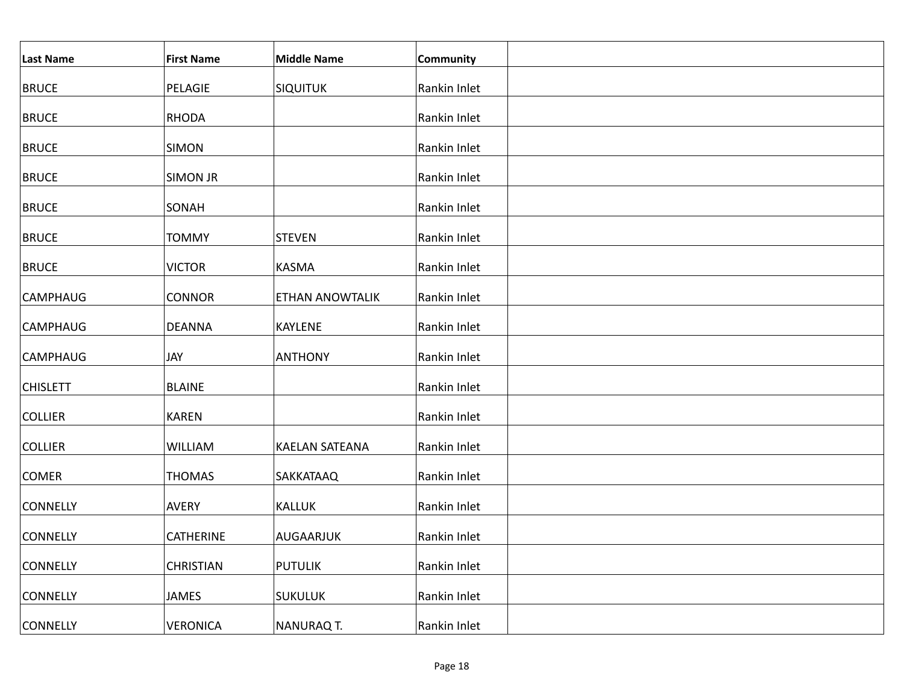| <b>Last Name</b> | <b>First Name</b> | <b>Middle Name</b>     | Community    |  |
|------------------|-------------------|------------------------|--------------|--|
| <b>BRUCE</b>     | PELAGIE           | <b>SIQUITUK</b>        | Rankin Inlet |  |
| <b>BRUCE</b>     | <b>RHODA</b>      |                        | Rankin Inlet |  |
| <b>BRUCE</b>     | <b>SIMON</b>      |                        | Rankin Inlet |  |
| <b>BRUCE</b>     | <b>SIMON JR</b>   |                        | Rankin Inlet |  |
| <b>BRUCE</b>     | SONAH             |                        | Rankin Inlet |  |
| <b>BRUCE</b>     | <b>TOMMY</b>      | <b>STEVEN</b>          | Rankin Inlet |  |
| <b>BRUCE</b>     | <b>VICTOR</b>     | KASMA                  | Rankin Inlet |  |
| <b>CAMPHAUG</b>  | <b>CONNOR</b>     | <b>ETHAN ANOWTALIK</b> | Rankin Inlet |  |
| CAMPHAUG         | <b>DEANNA</b>     | <b>KAYLENE</b>         | Rankin Inlet |  |
| <b>CAMPHAUG</b>  | JAY               | ANTHONY                | Rankin Inlet |  |
| <b>CHISLETT</b>  | <b>BLAINE</b>     |                        | Rankin Inlet |  |
| <b>COLLIER</b>   | <b>KAREN</b>      |                        | Rankin Inlet |  |
| <b>COLLIER</b>   | WILLIAM           | <b>KAELAN SATEANA</b>  | Rankin Inlet |  |
| <b>COMER</b>     | <b>THOMAS</b>     | SAKKATAAQ              | Rankin Inlet |  |
| <b>CONNELLY</b>  | <b>AVERY</b>      | KALLUK                 | Rankin Inlet |  |
| <b>CONNELLY</b>  | <b>CATHERINE</b>  | AUGAARJUK              | Rankin Inlet |  |
| <b>CONNELLY</b>  | <b>CHRISTIAN</b>  | <b>PUTULIK</b>         | Rankin Inlet |  |
| CONNELLY         | <b>JAMES</b>      | SUKULUK                | Rankin Inlet |  |
| <b>CONNELLY</b>  | <b>VERONICA</b>   | NANURAQ T.             | Rankin Inlet |  |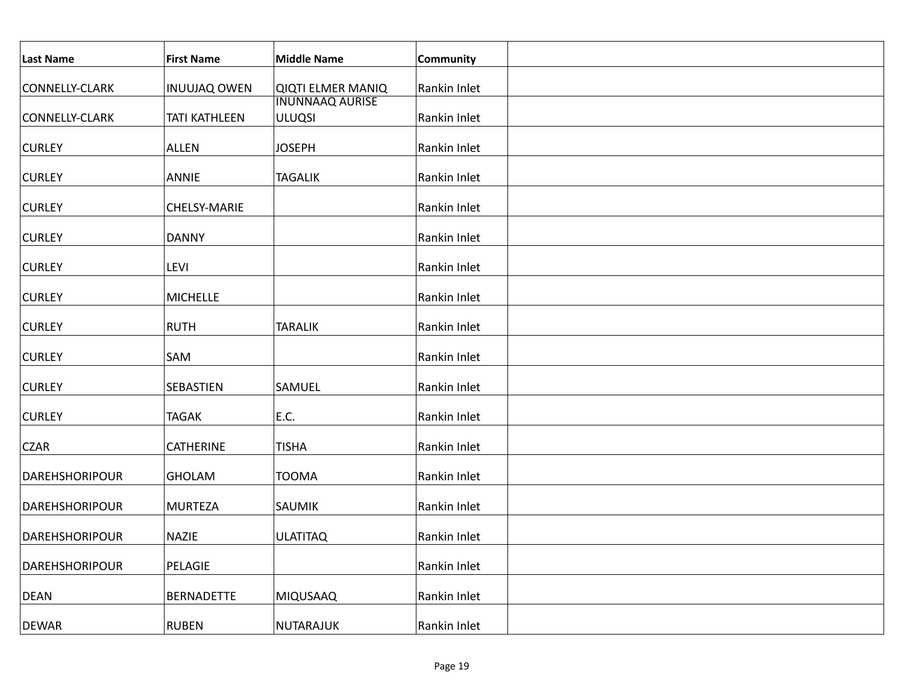| <b>Last Name</b>      | <b>First Name</b>    | <b>Middle Name</b>               | Community    |  |
|-----------------------|----------------------|----------------------------------|--------------|--|
| <b>CONNELLY-CLARK</b> | <b>INUUJAQ OWEN</b>  | <b>QIQTI ELMER MANIQ</b>         | Rankin Inlet |  |
| CONNELLY-CLARK        | <b>TATI KATHLEEN</b> | <b>INUNNAAQ AURISE</b><br>ULUQSI | Rankin Inlet |  |
| <b>CURLEY</b>         | ALLEN                | <b>JOSEPH</b>                    | Rankin Inlet |  |
| <b>CURLEY</b>         | ANNIE                | <b>TAGALIK</b>                   | Rankin Inlet |  |
| <b>CURLEY</b>         | <b>CHELSY-MARIE</b>  |                                  | Rankin Inlet |  |
| <b>CURLEY</b>         | DANNY                |                                  | Rankin Inlet |  |
| <b>CURLEY</b>         | <b>LEVI</b>          |                                  | Rankin Inlet |  |
| <b>CURLEY</b>         | MICHELLE             |                                  | Rankin Inlet |  |
| <b>CURLEY</b>         | RUTH                 | <b>TARALIK</b>                   | Rankin Inlet |  |
| <b>CURLEY</b>         | SAM                  |                                  | Rankin Inlet |  |
| <b>CURLEY</b>         | SEBASTIEN            | <b>SAMUEL</b>                    | Rankin Inlet |  |
| <b>CURLEY</b>         | <b>TAGAK</b>         | E.C.                             | Rankin Inlet |  |
| <b>CZAR</b>           | <b>CATHERINE</b>     | <b>TISHA</b>                     | Rankin Inlet |  |
| DAREHSHORIPOUR        | GHOLAM               | <b>TOOMA</b>                     | Rankin Inlet |  |
| DAREHSHORIPOUR        | MURTEZA              | <b>SAUMIK</b>                    | Rankin Inlet |  |
| DAREHSHORIPOUR        | NAZIE                | <b>ULATITAQ</b>                  | Rankin Inlet |  |
| DAREHSHORIPOUR        | PELAGIE              |                                  | Rankin Inlet |  |
| <b>DEAN</b>           | BERNADETTE           | MIQUSAAQ                         | Rankin Inlet |  |
| DEWAR                 | <b>RUBEN</b>         | NUTARAJUK                        | Rankin Inlet |  |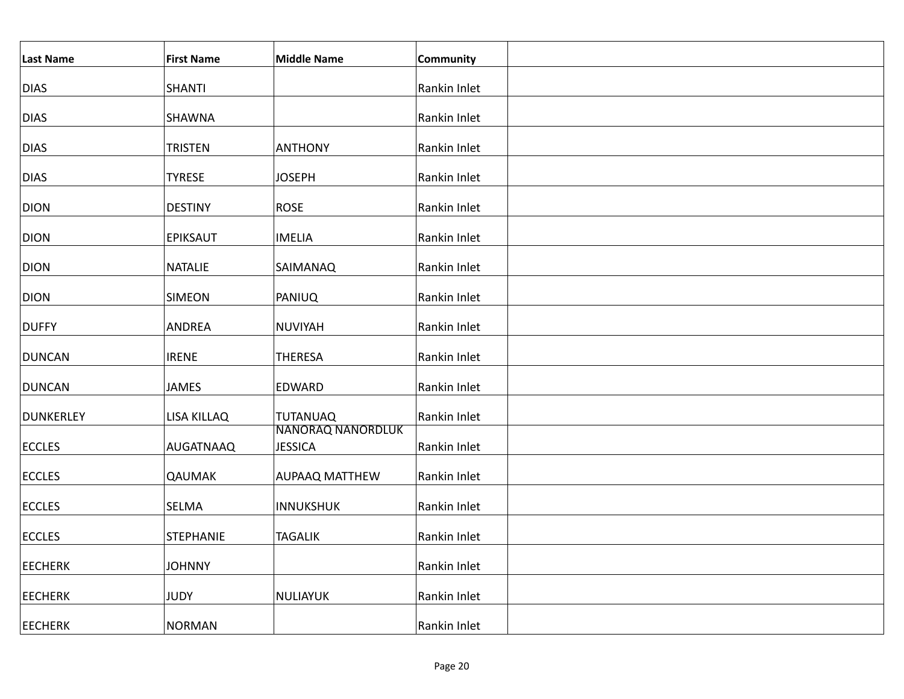| Last Name      | <b>First Name</b>  | <b>Middle Name</b>                  | Community    |  |
|----------------|--------------------|-------------------------------------|--------------|--|
| <b>DIAS</b>    | <b>SHANTI</b>      |                                     | Rankin Inlet |  |
| <b>DIAS</b>    | SHAWNA             |                                     | Rankin Inlet |  |
| <b>DIAS</b>    | <b>TRISTEN</b>     | ANTHONY                             | Rankin Inlet |  |
| <b>DIAS</b>    | <b>TYRESE</b>      | <b>JOSEPH</b>                       | Rankin Inlet |  |
| <b>DION</b>    | <b>DESTINY</b>     | ROSE                                | Rankin Inlet |  |
| DION           | EPIKSAUT           | <b>IMELIA</b>                       | Rankin Inlet |  |
| DION           | <b>NATALIE</b>     | SAIMANAQ                            | Rankin Inlet |  |
| DION           | <b>SIMEON</b>      | PANIUQ                              | Rankin Inlet |  |
| <b>DUFFY</b>   | ANDREA             | NUVIYAH                             | Rankin Inlet |  |
| DUNCAN         | <b>IRENE</b>       | <b>THERESA</b>                      | Rankin Inlet |  |
| DUNCAN         | <b>JAMES</b>       | <b>EDWARD</b>                       | Rankin Inlet |  |
| DUNKERLEY      | <b>LISA KILLAQ</b> | <b>TUTANUAQ</b>                     | Rankin Inlet |  |
| <b>ECCLES</b>  | <b>AUGATNAAQ</b>   | NANORAQ NANORDLUK<br><b>JESSICA</b> | Rankin Inlet |  |
| <b>ECCLES</b>  | <b>QAUMAK</b>      | <b>AUPAAQ MATTHEW</b>               | Rankin Inlet |  |
| <b>ECCLES</b>  | SELMA              | <b>INNUKSHUK</b>                    | Rankin Inlet |  |
| <b>ECCLES</b>  | <b>STEPHANIE</b>   | <b>TAGALIK</b>                      | Rankin Inlet |  |
| <b>EECHERK</b> | <b>JOHNNY</b>      |                                     | Rankin Inlet |  |
| <b>EECHERK</b> | <b>JUDY</b>        | NULIAYUK                            | Rankin Inlet |  |
| <b>EECHERK</b> | <b>NORMAN</b>      |                                     | Rankin Inlet |  |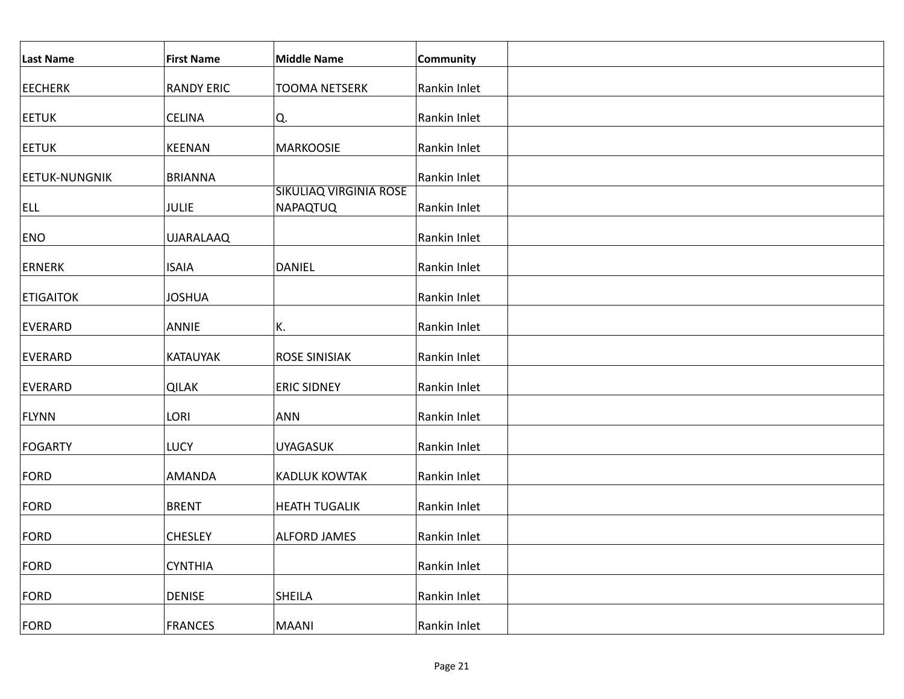| <b>Last Name</b>     | <b>First Name</b> | <b>Middle Name</b>                        | Community    |  |
|----------------------|-------------------|-------------------------------------------|--------------|--|
| <b>EECHERK</b>       | <b>RANDY ERIC</b> | <b>TOOMA NETSERK</b>                      | Rankin Inlet |  |
| <b>EETUK</b>         | <b>CELINA</b>     | Q.                                        | Rankin Inlet |  |
| <b>EETUK</b>         | <b>KEENAN</b>     | MARKOOSIE                                 | Rankin Inlet |  |
| <b>EETUK-NUNGNIK</b> | <b>BRIANNA</b>    |                                           | Rankin Inlet |  |
| <b>ELL</b>           | JULIE             | <b>SIKULIAQ VIRGINIA ROSE</b><br>NAPAQTUQ | Rankin Inlet |  |
| <b>ENO</b>           | <b>UJARALAAQ</b>  |                                           | Rankin Inlet |  |
| <b>ERNERK</b>        | <b>ISAIA</b>      | DANIEL                                    | Rankin Inlet |  |
| <b>ETIGAITOK</b>     | <b>JOSHUA</b>     |                                           | Rankin Inlet |  |
| <b>EVERARD</b>       | <b>ANNIE</b>      | K.                                        | Rankin Inlet |  |
| EVERARD              | <b>KATAUYAK</b>   | <b>ROSE SINISIAK</b>                      | Rankin Inlet |  |
| <b>EVERARD</b>       | <b>QILAK</b>      | <b>ERIC SIDNEY</b>                        | Rankin Inlet |  |
| <b>FLYNN</b>         | LORI              | <b>ANN</b>                                | Rankin Inlet |  |
| <b>FOGARTY</b>       | <b>LUCY</b>       | <b>UYAGASUK</b>                           | Rankin Inlet |  |
| <b>FORD</b>          | <b>AMANDA</b>     | <b>KADLUK KOWTAK</b>                      | Rankin Inlet |  |
| <b>FORD</b>          | <b>BRENT</b>      | <b>HEATH TUGALIK</b>                      | Rankin Inlet |  |
| <b>FORD</b>          | <b>CHESLEY</b>    | ALFORD JAMES                              | Rankin Inlet |  |
| <b>FORD</b>          | <b>CYNTHIA</b>    |                                           | Rankin Inlet |  |
| <b>FORD</b>          | <b>DENISE</b>     | SHEILA                                    | Rankin Inlet |  |
| <b>FORD</b>          | <b>FRANCES</b>    | MAANI                                     | Rankin Inlet |  |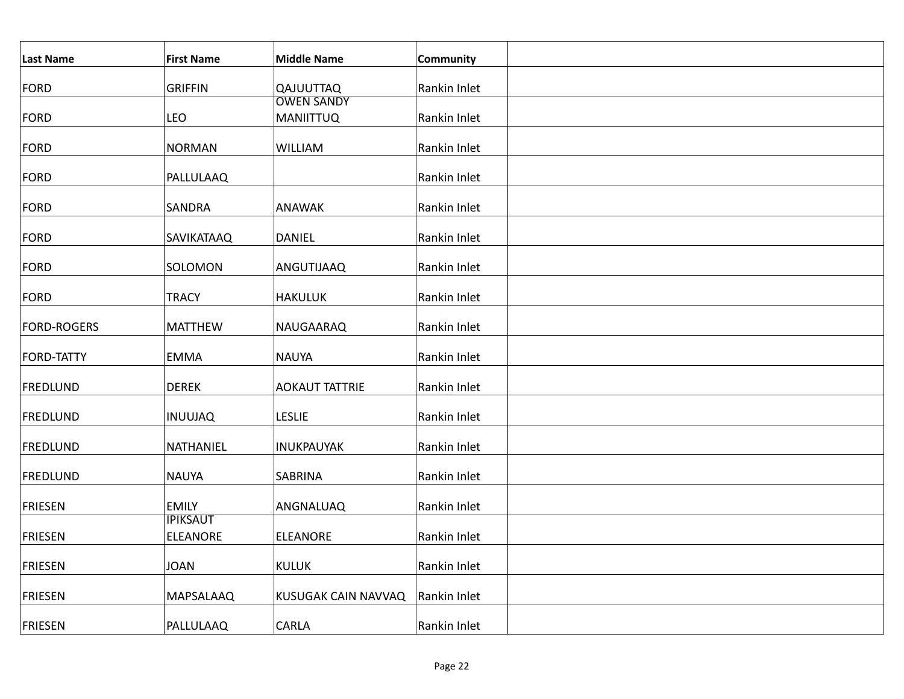| <b>Last Name</b>   | <b>First Name</b>                  | <b>Middle Name</b>             | Community    |  |
|--------------------|------------------------------------|--------------------------------|--------------|--|
| FORD               | <b>GRIFFIN</b>                     | QAJUUTTAQ                      | Rankin Inlet |  |
| <b>FORD</b>        | LEO                                | <b>OWEN SANDY</b><br>MANIITTUQ | Rankin Inlet |  |
| FORD               | <b>NORMAN</b>                      | WILLIAM                        | Rankin Inlet |  |
| FORD               | PALLULAAQ                          |                                | Rankin Inlet |  |
| FORD               | SANDRA                             | ANAWAK                         | Rankin Inlet |  |
| FORD               | SAVIKATAAQ                         | DANIEL                         | Rankin Inlet |  |
| FORD               | SOLOMON                            | ANGUTIJAAQ                     | Rankin Inlet |  |
| FORD               | <b>TRACY</b>                       | <b>HAKULUK</b>                 | Rankin Inlet |  |
| <b>FORD-ROGERS</b> | <b>MATTHEW</b>                     | NAUGAARAQ                      | Rankin Inlet |  |
| <b>FORD-TATTY</b>  | <b>EMMA</b>                        | <b>NAUYA</b>                   | Rankin Inlet |  |
| FREDLUND           | <b>DEREK</b>                       | <b>AOKAUT TATTRIE</b>          | Rankin Inlet |  |
| FREDLUND           | <b>INUUJAQ</b>                     | <b>LESLIE</b>                  | Rankin Inlet |  |
| FREDLUND           | NATHANIEL                          | <b>INUKPAUYAK</b>              | Rankin Inlet |  |
| FREDLUND           | <b>NAUYA</b>                       | <b>SABRINA</b>                 | Rankin Inlet |  |
| FRIESEN            | <b>EMILY</b>                       | ANGNALUAQ                      | Rankin Inlet |  |
| FRIESEN            | <b>IPIKSAUT</b><br><b>ELEANORE</b> | ELEANORE                       | Rankin Inlet |  |
| FRIESEN            | <b>JOAN</b>                        | KULUK                          | Rankin Inlet |  |
| FRIESEN            | <b>MAPSALAAQ</b>                   | KUSUGAK CAIN NAVVAQ            | Rankin Inlet |  |
| FRIESEN            | PALLULAAQ                          | <b>CARLA</b>                   | Rankin Inlet |  |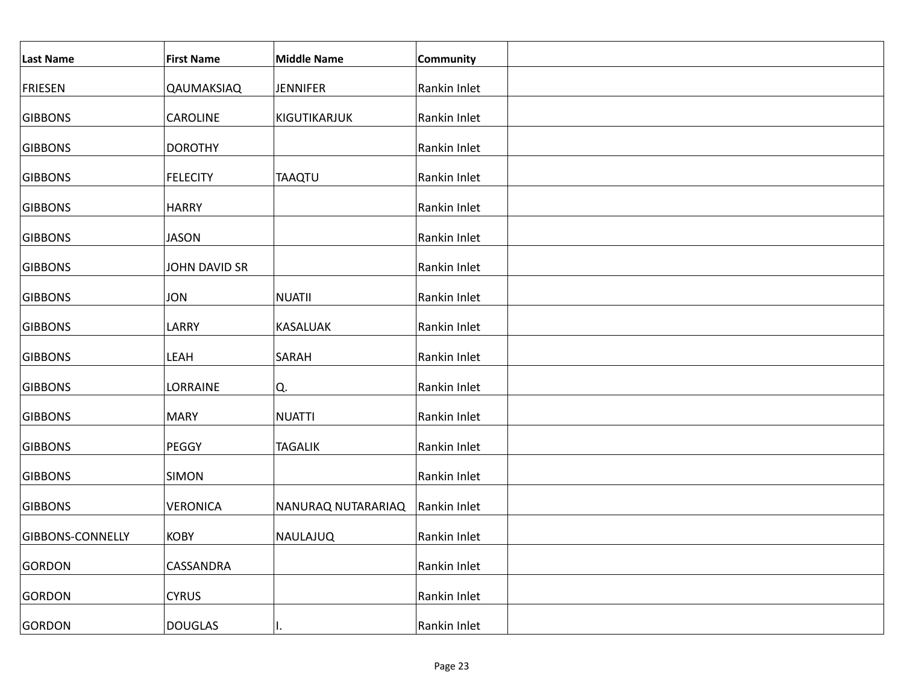| <b>Last Name</b>        | <b>First Name</b> | <b>Middle Name</b> | Community    |  |
|-------------------------|-------------------|--------------------|--------------|--|
| FRIESEN                 | <b>QAUMAKSIAQ</b> | <b>JENNIFER</b>    | Rankin Inlet |  |
| GIBBONS                 | <b>CAROLINE</b>   | KIGUTIKARJUK       | Rankin Inlet |  |
| GIBBONS                 | <b>DOROTHY</b>    |                    | Rankin Inlet |  |
| GIBBONS                 | FELECITY          | <b>TAAQTU</b>      | Rankin Inlet |  |
| GIBBONS                 | HARRY             |                    | Rankin Inlet |  |
| GIBBONS                 | <b>JASON</b>      |                    | Rankin Inlet |  |
| <b>GIBBONS</b>          | JOHN DAVID SR     |                    | Rankin Inlet |  |
| <b>GIBBONS</b>          | <b>JON</b>        | NUATII             | Rankin Inlet |  |
| <b>GIBBONS</b>          | <b>LARRY</b>      | <b>KASALUAK</b>    | Rankin Inlet |  |
| <b>GIBBONS</b>          | LEAH              | SARAH              | Rankin Inlet |  |
| <b>GIBBONS</b>          | <b>LORRAINE</b>   | Q.                 | Rankin Inlet |  |
| GIBBONS                 | MARY              | NUATTI             | Rankin Inlet |  |
| GIBBONS                 | PEGGY             | <b>TAGALIK</b>     | Rankin Inlet |  |
| <b>GIBBONS</b>          | <b>SIMON</b>      |                    | Rankin Inlet |  |
| GIBBONS                 | <b>VERONICA</b>   | NANURAQ NUTARARIAQ | Rankin Inlet |  |
| <b>GIBBONS-CONNELLY</b> | KOBY              | NAULAJUQ           | Rankin Inlet |  |
| <b>GORDON</b>           | <b>CASSANDRA</b>  |                    | Rankin Inlet |  |
| <b>GORDON</b>           | <b>CYRUS</b>      |                    | Rankin Inlet |  |
| GORDON                  | DOUGLAS           | ΙΙ.                | Rankin Inlet |  |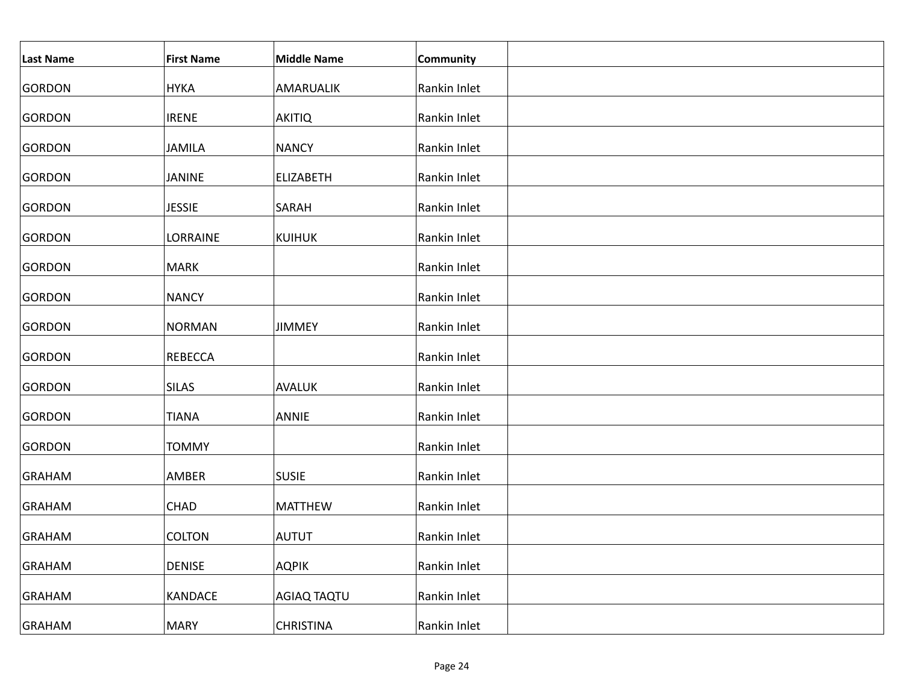| <b>Last Name</b> | <b>First Name</b> | <b>Middle Name</b> | Community    |  |
|------------------|-------------------|--------------------|--------------|--|
| <b>GORDON</b>    | HYKA              | AMARUALIK          | Rankin Inlet |  |
| GORDON           | <b>IRENE</b>      | <b>AKITIQ</b>      | Rankin Inlet |  |
| GORDON           | <b>JAMILA</b>     | NANCY              | Rankin Inlet |  |
| GORDON           | <b>JANINE</b>     | <b>ELIZABETH</b>   | Rankin Inlet |  |
| GORDON           | <b>JESSIE</b>     | SARAH              | Rankin Inlet |  |
| GORDON           | <b>LORRAINE</b>   | KUIHUK             | Rankin Inlet |  |
| GORDON           | MARK              |                    | Rankin Inlet |  |
| <b>GORDON</b>    | NANCY             |                    | Rankin Inlet |  |
| <b>GORDON</b>    | NORMAN            | <b>JIMMEY</b>      | Rankin Inlet |  |
| GORDON           | REBECCA           |                    | Rankin Inlet |  |
| GORDON           | <b>SILAS</b>      | AVALUK             | Rankin Inlet |  |
| GORDON           | <b>TIANA</b>      | ANNIE              | Rankin Inlet |  |
| GORDON           | <b>TOMMY</b>      |                    | Rankin Inlet |  |
| <b>GRAHAM</b>    | AMBER             | <b>SUSIE</b>       | Rankin Inlet |  |
| GRAHAM           | <b>CHAD</b>       | <b>MATTHEW</b>     | Rankin Inlet |  |
| <b>GRAHAM</b>    | <b>COLTON</b>     | AUTUT              | Rankin Inlet |  |
| <b>GRAHAM</b>    | DENISE            | <b>AQPIK</b>       | Rankin Inlet |  |
| <b>GRAHAM</b>    | KANDACE           | AGIAQ TAQTU        | Rankin Inlet |  |
| GRAHAM           | MARY              | <b>CHRISTINA</b>   | Rankin Inlet |  |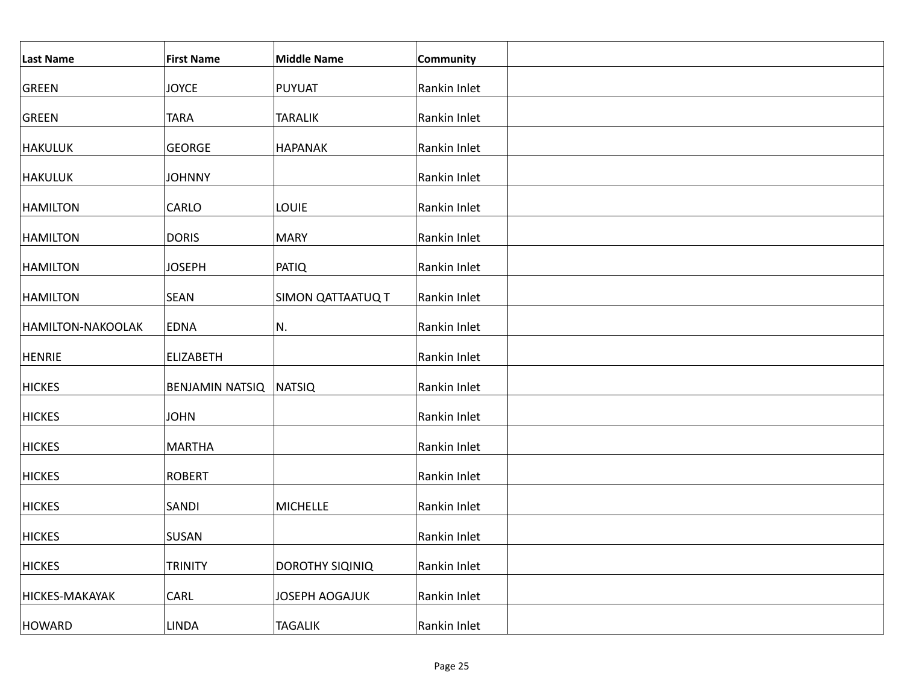| <b>Last Name</b>         | <b>First Name</b>      | <b>Middle Name</b>     | Community    |  |
|--------------------------|------------------------|------------------------|--------------|--|
| GREEN                    | <b>JOYCE</b>           | PUYUAT                 | Rankin Inlet |  |
| GREEN                    | <b>TARA</b>            | <b>TARALIK</b>         | Rankin Inlet |  |
| HAKULUK                  | GEORGE                 | <b>HAPANAK</b>         | Rankin Inlet |  |
| HAKULUK                  | <b>JOHNNY</b>          |                        | Rankin Inlet |  |
| <b>HAMILTON</b>          | CARLO                  | <b>LOUIE</b>           | Rankin Inlet |  |
| <b>HAMILTON</b>          | <b>DORIS</b>           | MARY                   | Rankin Inlet |  |
| <b>HAMILTON</b>          | <b>JOSEPH</b>          | PATIQ                  | Rankin Inlet |  |
| <b>HAMILTON</b>          | SEAN                   | SIMON QATTAATUQ T      | Rankin Inlet |  |
| <b>HAMILTON-NAKOOLAK</b> | <b>EDNA</b>            | N.                     | Rankin Inlet |  |
| <b>HENRIE</b>            | <b>ELIZABETH</b>       |                        | Rankin Inlet |  |
| <b>HICKES</b>            | BENJAMIN NATSIQ NATSIQ |                        | Rankin Inlet |  |
| <b>HICKES</b>            | <b>JOHN</b>            |                        | Rankin Inlet |  |
| <b>HICKES</b>            | <b>MARTHA</b>          |                        | Rankin Inlet |  |
| <b>HICKES</b>            | <b>ROBERT</b>          |                        | Rankin Inlet |  |
| <b>HICKES</b>            | <b>SANDI</b>           | MICHELLE               | Rankin Inlet |  |
| <b>HICKES</b>            | SUSAN                  |                        | Rankin Inlet |  |
| <b>HICKES</b>            | <b>TRINITY</b>         | <b>DOROTHY SIQINIQ</b> | Rankin Inlet |  |
| <b>HICKES-MAKAYAK</b>    | CARL                   | <b>JOSEPH AOGAJUK</b>  | Rankin Inlet |  |
| HOWARD                   | <b>LINDA</b>           | <b>TAGALIK</b>         | Rankin Inlet |  |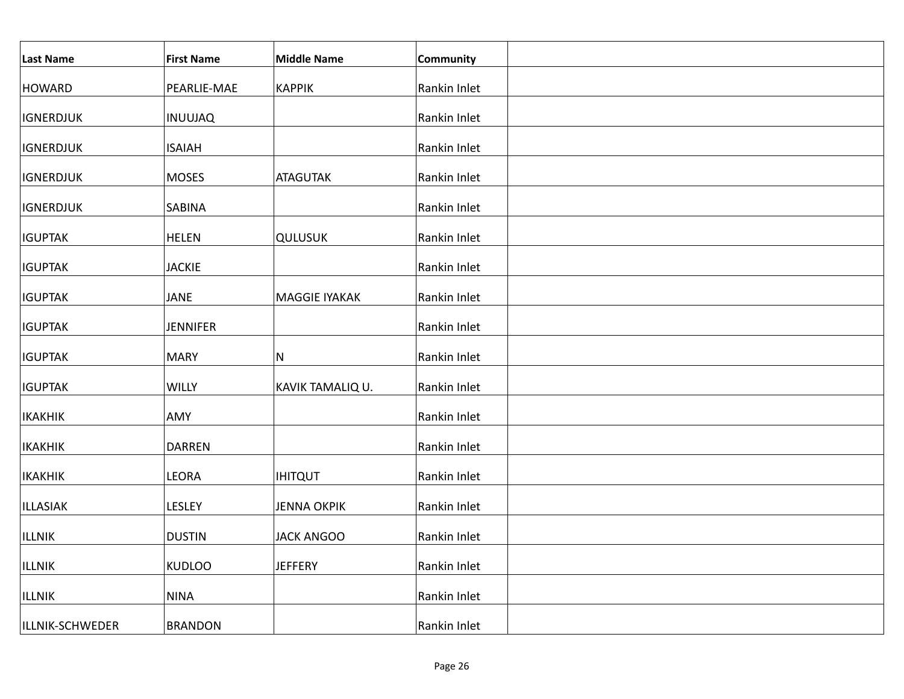| <b>Last Name</b> | <b>First Name</b> | <b>Middle Name</b>   | Community    |  |
|------------------|-------------------|----------------------|--------------|--|
| HOWARD           | PEARLIE-MAE       | KAPPIK               | Rankin Inlet |  |
| <b>IGNERDJUK</b> | <b>INUUJAQ</b>    |                      | Rankin Inlet |  |
| IGNERDJUK        | <b>ISAIAH</b>     |                      | Rankin Inlet |  |
| <b>IGNERDJUK</b> | MOSES             | <b>ATAGUTAK</b>      | Rankin Inlet |  |
| <b>IGNERDJUK</b> | SABINA            |                      | Rankin Inlet |  |
| <b>IGUPTAK</b>   | HELEN             | <b>QULUSUK</b>       | Rankin Inlet |  |
| <b>IGUPTAK</b>   | <b>JACKIE</b>     |                      | Rankin Inlet |  |
| <b>IGUPTAK</b>   | <b>JANE</b>       | <b>MAGGIE IYAKAK</b> | Rankin Inlet |  |
| <b>IGUPTAK</b>   | <b>JENNIFER</b>   |                      | Rankin Inlet |  |
| <b>IGUPTAK</b>   | MARY              | N                    | Rankin Inlet |  |
| <b>IGUPTAK</b>   | <b>WILLY</b>      | KAVIK TAMALIQ U.     | Rankin Inlet |  |
| <b>IKAKHIK</b>   | AMY               |                      | Rankin Inlet |  |
| <b>IKAKHIK</b>   | DARREN            |                      | Rankin Inlet |  |
| <b>IKAKHIK</b>   | <b>LEORA</b>      | <b>IHITQUT</b>       | Rankin Inlet |  |
| <b>ILLASIAK</b>  | <b>LESLEY</b>     | <b>JENNA OKPIK</b>   | Rankin Inlet |  |
| <b>ILLNIK</b>    | DUSTIN            | <b>JACK ANGOO</b>    | Rankin Inlet |  |
| <b>ILLNIK</b>    | KUDLOO            | <b>JEFFERY</b>       | Rankin Inlet |  |
| <b>ILLNIK</b>    | NINA              |                      | Rankin Inlet |  |
| ILLNIK-SCHWEDER  | BRANDON           |                      | Rankin Inlet |  |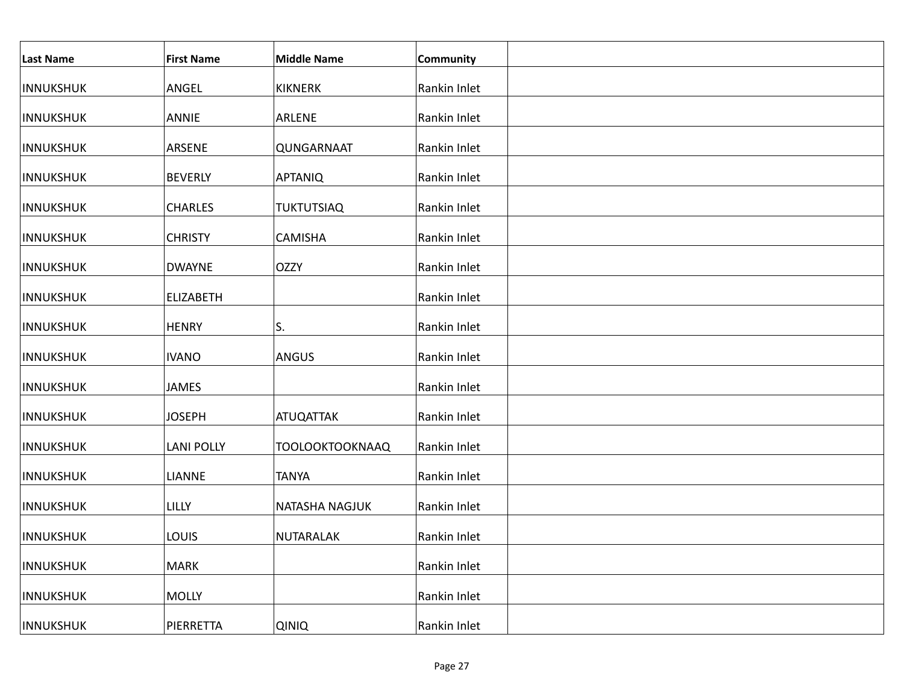| <b>Last Name</b> | <b>First Name</b> | <b>Middle Name</b>     | Community    |  |
|------------------|-------------------|------------------------|--------------|--|
| <b>INNUKSHUK</b> | ANGEL             | KIKNERK                | Rankin Inlet |  |
| <b>INNUKSHUK</b> | ANNIE             | ARLENE                 | Rankin Inlet |  |
| <b>INNUKSHUK</b> | ARSENE            | QUNGARNAAT             | Rankin Inlet |  |
| <b>INNUKSHUK</b> | BEVERLY           | APTANIQ                | Rankin Inlet |  |
| <b>INNUKSHUK</b> | <b>CHARLES</b>    | <b>TUKTUTSIAQ</b>      | Rankin Inlet |  |
| <b>INNUKSHUK</b> | <b>CHRISTY</b>    | <b>CAMISHA</b>         | Rankin Inlet |  |
| <b>INNUKSHUK</b> | <b>DWAYNE</b>     | OZZY                   | Rankin Inlet |  |
| <b>INNUKSHUK</b> | ELIZABETH         |                        | Rankin Inlet |  |
| <b>INNUKSHUK</b> | <b>HENRY</b>      | S.                     | Rankin Inlet |  |
| <b>INNUKSHUK</b> | <b>IVANO</b>      | ANGUS                  | Rankin Inlet |  |
| <b>INNUKSHUK</b> | <b>JAMES</b>      |                        | Rankin Inlet |  |
| INNUKSHUK        | <b>JOSEPH</b>     | <b>ATUQATTAK</b>       | Rankin Inlet |  |
| <b>INNUKSHUK</b> | <b>LANI POLLY</b> | <b>TOOLOOKTOOKNAAQ</b> | Rankin Inlet |  |
| <b>INNUKSHUK</b> | LIANNE            | <b>TANYA</b>           | Rankin Inlet |  |
| <b>INNUKSHUK</b> | <b>LILLY</b>      | NATASHA NAGJUK         | Rankin Inlet |  |
| <b>INNUKSHUK</b> | LOUIS             | NUTARALAK              | Rankin Inlet |  |
| <b>INNUKSHUK</b> | MARK              |                        | Rankin Inlet |  |
| <b>INNUKSHUK</b> | MOLLY             |                        | Rankin Inlet |  |
| INNUKSHUK        | PIERRETTA         | <b>QINIQ</b>           | Rankin Inlet |  |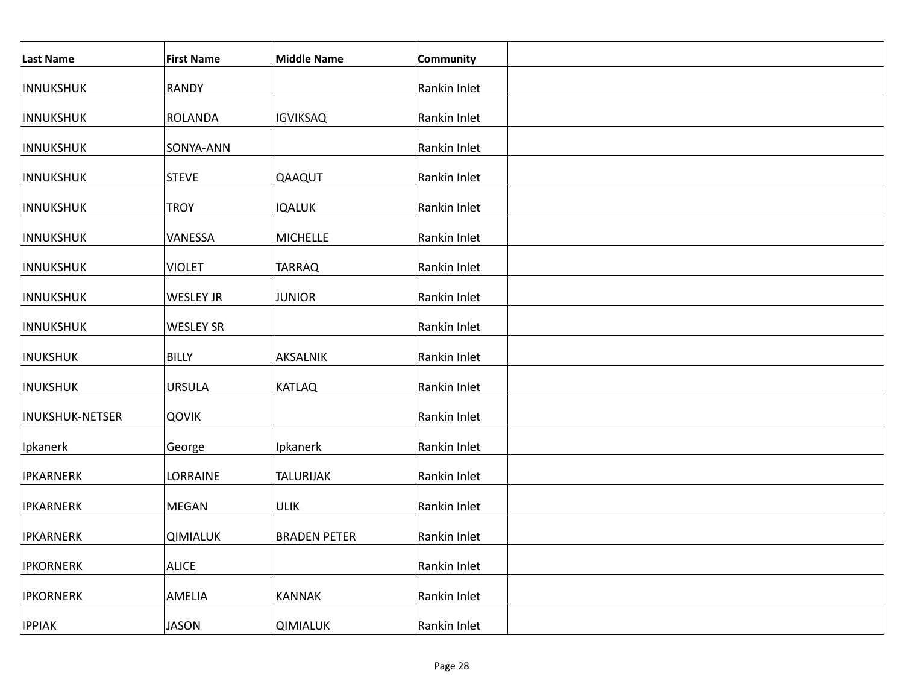| <b>Last Name</b>       | <b>First Name</b> | <b>Middle Name</b>  | Community    |  |
|------------------------|-------------------|---------------------|--------------|--|
| <b>INNUKSHUK</b>       | RANDY             |                     | Rankin Inlet |  |
| <b>INNUKSHUK</b>       | <b>ROLANDA</b>    | <b>IGVIKSAQ</b>     | Rankin Inlet |  |
| INNUKSHUK              | SONYA-ANN         |                     | Rankin Inlet |  |
| <b>INNUKSHUK</b>       | <b>STEVE</b>      | QAAQUT              | Rankin Inlet |  |
| <b>INNUKSHUK</b>       | <b>TROY</b>       | <b>IQALUK</b>       | Rankin Inlet |  |
| <b>INNUKSHUK</b>       | VANESSA           | <b>MICHELLE</b>     | Rankin Inlet |  |
| <b>INNUKSHUK</b>       | <b>VIOLET</b>     | <b>TARRAQ</b>       | Rankin Inlet |  |
| <b>INNUKSHUK</b>       | <b>WESLEY JR</b>  | JUNIOR              | Rankin Inlet |  |
| <b>INNUKSHUK</b>       | <b>WESLEY SR</b>  |                     | Rankin Inlet |  |
| <b>INUKSHUK</b>        | BILLY             | AKSALNIK            | Rankin Inlet |  |
| <b>INUKSHUK</b>        | <b>URSULA</b>     | KATLAQ              | Rankin Inlet |  |
| <b>INUKSHUK-NETSER</b> | <b>QOVIK</b>      |                     | Rankin Inlet |  |
| Ipkanerk               | George            | Ipkanerk            | Rankin Inlet |  |
| <b>IPKARNERK</b>       | <b>LORRAINE</b>   | <b>TALURIJAK</b>    | Rankin Inlet |  |
| IPKARNERK              | <b>MEGAN</b>      | <b>ULIK</b>         | Rankin Inlet |  |
| <b>IPKARNERK</b>       | <b>QIMIALUK</b>   | <b>BRADEN PETER</b> | Rankin Inlet |  |
| <b>IPKORNERK</b>       | <b>ALICE</b>      |                     | Rankin Inlet |  |
| <b>IPKORNERK</b>       | AMELIA            | KANNAK              | Rankin Inlet |  |
| <b>IPPIAK</b>          | <b>JASON</b>      | <b>QIMIALUK</b>     | Rankin Inlet |  |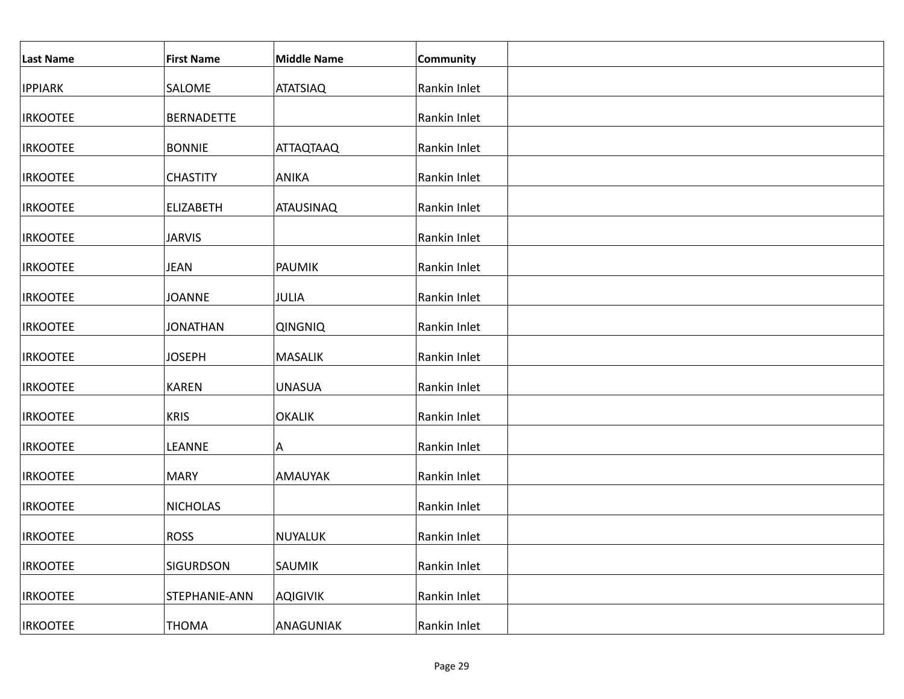| <b>Last Name</b> | <b>First Name</b> | <b>Middle Name</b> | Community    |  |
|------------------|-------------------|--------------------|--------------|--|
| <b>IPPIARK</b>   | SALOME            | <b>ATATSIAQ</b>    | Rankin Inlet |  |
| <b>IRKOOTEE</b>  | <b>BERNADETTE</b> |                    | Rankin Inlet |  |
| <b>IRKOOTEE</b>  | <b>BONNIE</b>     | <b>ATTAQTAAQ</b>   | Rankin Inlet |  |
| <b>IRKOOTEE</b>  | <b>CHASTITY</b>   | ANIKA              | Rankin Inlet |  |
| <b>IRKOOTEE</b>  | <b>ELIZABETH</b>  | <b>ATAUSINAQ</b>   | Rankin Inlet |  |
| <b>IRKOOTEE</b>  | <b>JARVIS</b>     |                    | Rankin Inlet |  |
| <b>IRKOOTEE</b>  | <b>JEAN</b>       | PAUMIK             | Rankin Inlet |  |
| <b>IRKOOTEE</b>  | <b>JOANNE</b>     | JULIA              | Rankin Inlet |  |
| <b>IRKOOTEE</b>  | <b>JONATHAN</b>   | <b>QINGNIQ</b>     | Rankin Inlet |  |
| <b>IRKOOTEE</b>  | <b>JOSEPH</b>     | MASALIK            | Rankin Inlet |  |
| <b>IRKOOTEE</b>  | <b>KAREN</b>      | UNASUA             | Rankin Inlet |  |
| <b>IRKOOTEE</b>  | <b>KRIS</b>       | <b>OKALIK</b>      | Rankin Inlet |  |
| <b>IRKOOTEE</b>  | LEANNE            | Α                  | Rankin Inlet |  |
| <b>IRKOOTEE</b>  | <b>MARY</b>       | AMAUYAK            | Rankin Inlet |  |
| <b>IRKOOTEE</b>  | <b>NICHOLAS</b>   |                    | Rankin Inlet |  |
| <b>IRKOOTEE</b>  | <b>ROSS</b>       | NUYALUK            | Rankin Inlet |  |
| <b>IRKOOTEE</b>  | SIGURDSON         | SAUMIK             | Rankin Inlet |  |
| <b>IRKOOTEE</b>  | STEPHANIE-ANN     | AQIGIVIK           | Rankin Inlet |  |
| <b>IRKOOTEE</b>  | <b>THOMA</b>      | ANAGUNIAK          | Rankin Inlet |  |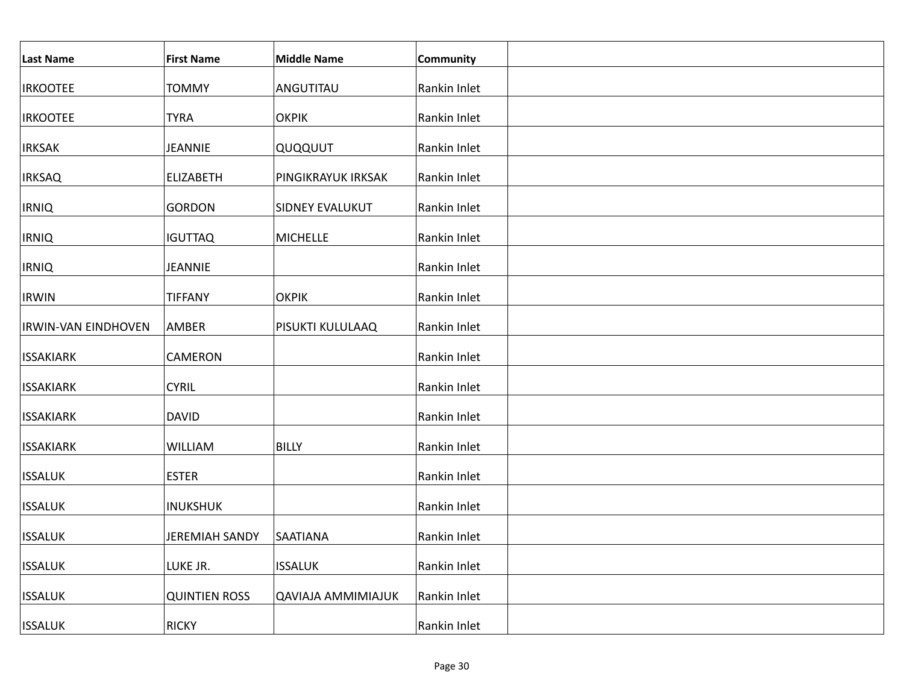| <b>Last Name</b>           | <b>First Name</b>     | <b>Middle Name</b>     | Community    |
|----------------------------|-----------------------|------------------------|--------------|
| <b>IRKOOTEE</b>            | <b>TOMMY</b>          | ANGUTITAU              | Rankin Inlet |
| <b>IRKOOTEE</b>            | <b>TYRA</b>           | <b>OKPIK</b>           | Rankin Inlet |
| <b>IRKSAK</b>              | <b>JEANNIE</b>        | QUQQUUT                | Rankin Inlet |
| <b>IRKSAQ</b>              | <b>ELIZABETH</b>      | PINGIKRAYUK IRKSAK     | Rankin Inlet |
| <b>IRNIQ</b>               | <b>GORDON</b>         | <b>SIDNEY EVALUKUT</b> | Rankin Inlet |
| <b>IRNIQ</b>               | <b>IGUTTAQ</b>        | MICHELLE               | Rankin Inlet |
| <b>IRNIQ</b>               | JEANNIE               |                        | Rankin Inlet |
| <b>IRWIN</b>               | <b>TIFFANY</b>        | <b>OKPIK</b>           | Rankin Inlet |
| <b>IRWIN-VAN EINDHOVEN</b> | AMBER                 | PISUKTI KULULAAQ       | Rankin Inlet |
| <b>ISSAKIARK</b>           | <b>CAMERON</b>        |                        | Rankin Inlet |
| <b>ISSAKIARK</b>           | <b>CYRIL</b>          |                        | Rankin Inlet |
| <b>ISSAKIARK</b>           | <b>DAVID</b>          |                        | Rankin Inlet |
| <b>ISSAKIARK</b>           | WILLIAM               | <b>BILLY</b>           | Rankin Inlet |
| <b>ISSALUK</b>             | <b>ESTER</b>          |                        | Rankin Inlet |
| <b>ISSALUK</b>             | <b>INUKSHUK</b>       |                        | Rankin Inlet |
| <b>ISSALUK</b>             | <b>JEREMIAH SANDY</b> | SAATIANA               | Rankin Inlet |
| <b>ISSALUK</b>             | LUKE JR.              | <b>ISSALUK</b>         | Rankin Inlet |
| <b>ISSALUK</b>             | <b>QUINTIEN ROSS</b>  | QAVIAJA AMMIMIAJUK     | Rankin Inlet |
| <b>ISSALUK</b>             | RICKY                 |                        | Rankin Inlet |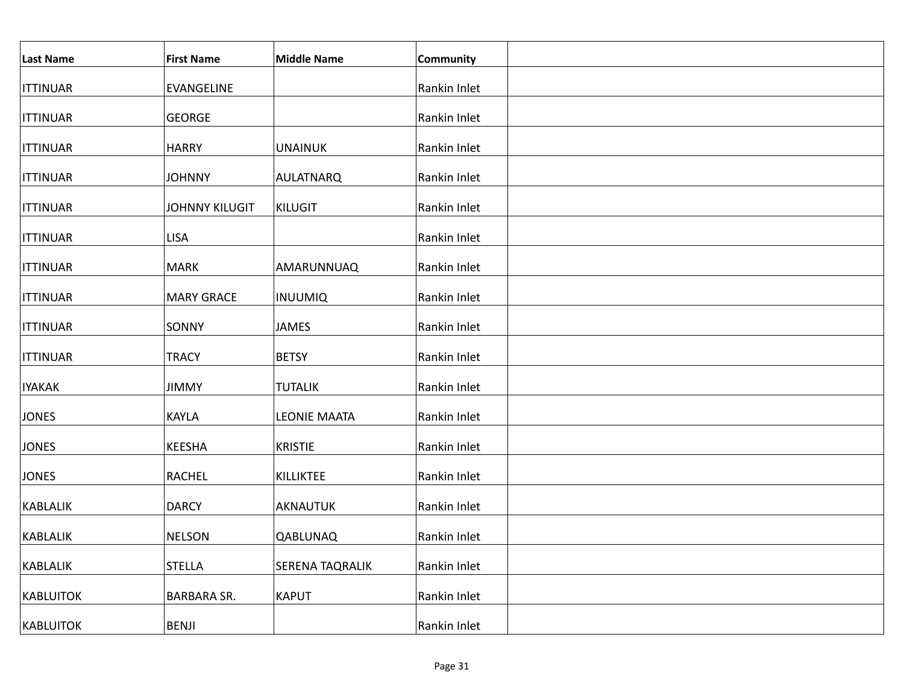| <b>Last Name</b> | <b>First Name</b>     | <b>Middle Name</b>  | Community    |  |
|------------------|-----------------------|---------------------|--------------|--|
| <b>ITTINUAR</b>  | EVANGELINE            |                     | Rankin Inlet |  |
| <b>ITTINUAR</b>  | <b>GEORGE</b>         |                     | Rankin Inlet |  |
| <b>ITTINUAR</b>  | HARRY                 | UNAINUK             | Rankin Inlet |  |
| <b>ITTINUAR</b>  | <b>JOHNNY</b>         | <b>AULATNARQ</b>    | Rankin Inlet |  |
| <b>ITTINUAR</b>  | <b>JOHNNY KILUGIT</b> | KILUGIT             | Rankin Inlet |  |
| <b>ITTINUAR</b>  | LISA                  |                     | Rankin Inlet |  |
| <b>ITTINUAR</b>  | MARK                  | AMARUNNUAQ          | Rankin Inlet |  |
| <b>ITTINUAR</b>  | MARY GRACE            | INUUMIQ             | Rankin Inlet |  |
| <b>ITTINUAR</b>  | SONNY                 | <b>JAMES</b>        | Rankin Inlet |  |
| <b>ITTINUAR</b>  | <b>TRACY</b>          | <b>BETSY</b>        | Rankin Inlet |  |
| <b>IYAKAK</b>    | <b>JIMMY</b>          | <b>TUTALIK</b>      | Rankin Inlet |  |
| <b>JONES</b>     | KAYLA                 | <b>LEONIE MAATA</b> | Rankin Inlet |  |
| <b>JONES</b>     | <b>KEESHA</b>         | KRISTIE             | Rankin Inlet |  |
| <b>JONES</b>     | RACHEL                | KILLIKTEE           | Rankin Inlet |  |
| <b>KABLALIK</b>  | DARCY                 | AKNAUTUK            | Rankin Inlet |  |
| <b>KABLALIK</b>  | NELSON                | QABLUNAQ            | Rankin Inlet |  |
| <b>KABLALIK</b>  | <b>STELLA</b>         | SERENA TAQRALIK     | Rankin Inlet |  |
| <b>KABLUITOK</b> | <b>BARBARA SR.</b>    | KAPUT               | Rankin Inlet |  |
| KABLUITOK        | BENJI                 |                     | Rankin Inlet |  |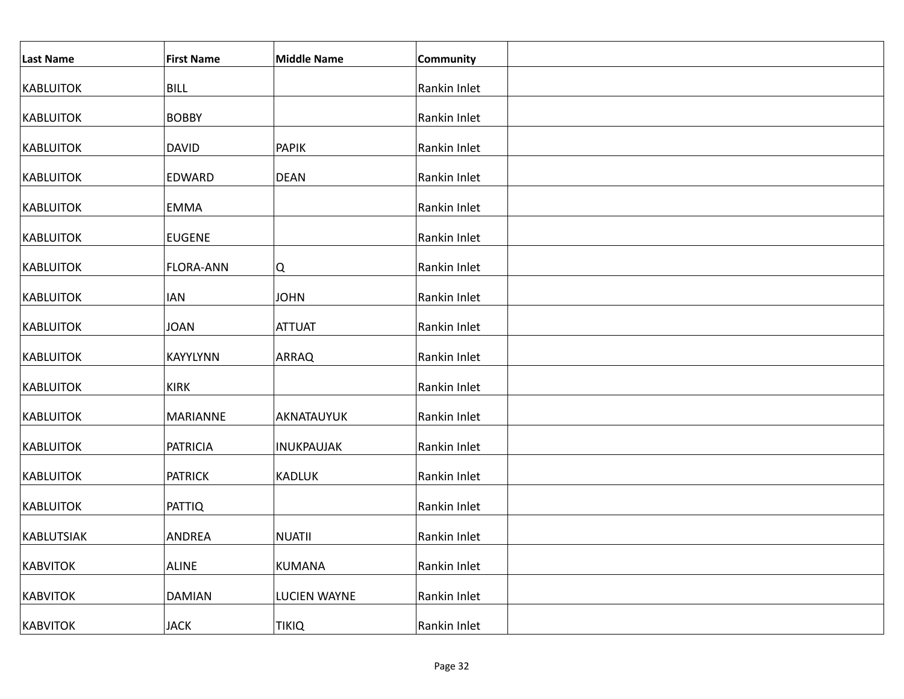| Last Name  | <b>First Name</b> | <b>Middle Name</b> | Community    |
|------------|-------------------|--------------------|--------------|
| KABLUITOK  | BILL              |                    | Rankin Inlet |
| KABLUITOK  | <b>BOBBY</b>      |                    | Rankin Inlet |
| KABLUITOK  | DAVID             | PAPIK              | Rankin Inlet |
| KABLUITOK  | <b>EDWARD</b>     | DEAN               | Rankin Inlet |
| KABLUITOK  | EMMA              |                    | Rankin Inlet |
| KABLUITOK  | EUGENE            |                    | Rankin Inlet |
| KABLUITOK  | FLORA-ANN         | ∣Q                 | Rankin Inlet |
| KABLUITOK  | <b>IAN</b>        | <b>JOHN</b>        | Rankin Inlet |
| KABLUITOK  | <b>JOAN</b>       | <b>ATTUAT</b>      | Rankin Inlet |
| KABLUITOK  | <b>KAYYLYNN</b>   | ARRAQ              | Rankin Inlet |
| KABLUITOK  | <b>KIRK</b>       |                    | Rankin Inlet |
| KABLUITOK  | MARIANNE          | AKNATAUYUK         | Rankin Inlet |
| KABLUITOK  | <b>PATRICIA</b>   | <b>INUKPAUJAK</b>  | Rankin Inlet |
| KABLUITOK  | <b>PATRICK</b>    | KADLUK             | Rankin Inlet |
| KABLUITOK  | <b>PATTIQ</b>     |                    | Rankin Inlet |
| KABLUTSIAK | ANDREA            | NUATII             | Rankin Inlet |
| KABVITOK   | ALINE             | KUMANA             | Rankin Inlet |
| KABVITOK   | DAMIAN            | LUCIEN WAYNE       | Rankin Inlet |
| KABVITOK   | <b>JACK</b>       | <b>TIKIQ</b>       | Rankin Inlet |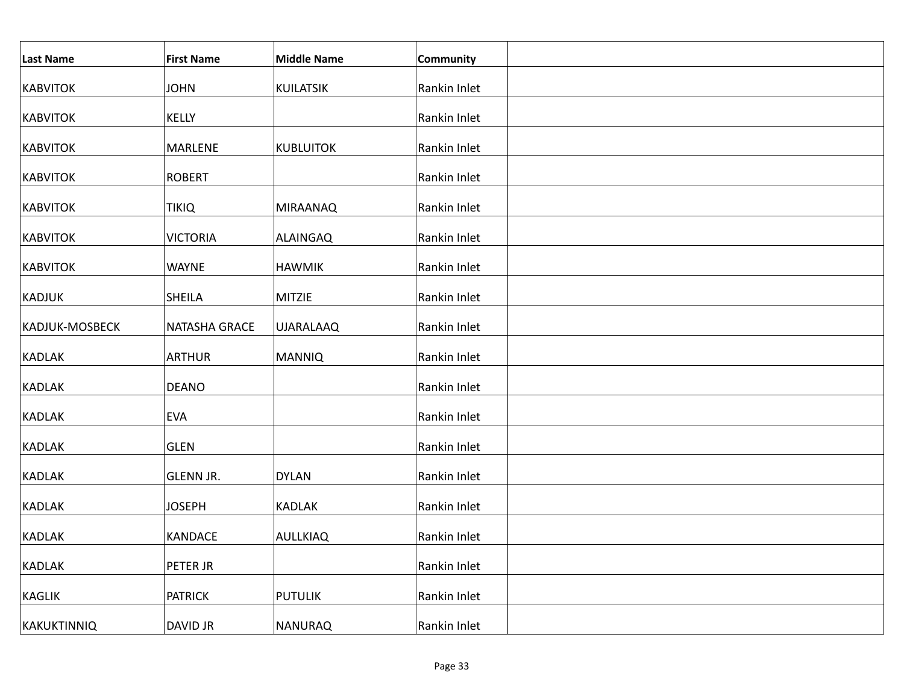| <b>Last Name</b> | <b>First Name</b> | <b>Middle Name</b> | Community    |  |
|------------------|-------------------|--------------------|--------------|--|
| KABVITOK         | <b>JOHN</b>       | KUILATSIK          | Rankin Inlet |  |
| <b>KABVITOK</b>  | <b>KELLY</b>      |                    | Rankin Inlet |  |
| KABVITOK         | MARLENE           | <b>KUBLUITOK</b>   | Rankin Inlet |  |
| KABVITOK         | <b>ROBERT</b>     |                    | Rankin Inlet |  |
| KABVITOK         | <b>TIKIQ</b>      | <b>MIRAANAQ</b>    | Rankin Inlet |  |
| <b>KABVITOK</b>  | <b>VICTORIA</b>   | ALAINGAQ           | Rankin Inlet |  |
| <b>KABVITOK</b>  | <b>WAYNE</b>      | <b>HAWMIK</b>      | Rankin Inlet |  |
| KADJUK           | SHEILA            | MITZIE             | Rankin Inlet |  |
| KADJUK-MOSBECK   | NATASHA GRACE     | <b>UJARALAAQ</b>   | Rankin Inlet |  |
| <b>KADLAK</b>    | ARTHUR            | MANNIQ             | Rankin Inlet |  |
| <b>KADLAK</b>    | <b>DEANO</b>      |                    | Rankin Inlet |  |
| KADLAK           | <b>EVA</b>        |                    | Rankin Inlet |  |
| KADLAK           | GLEN              |                    | Rankin Inlet |  |
| KADLAK           | GLENN JR.         | <b>DYLAN</b>       | Rankin Inlet |  |
| KADLAK           | <b>JOSEPH</b>     | KADLAK             | Rankin Inlet |  |
| KADLAK           | KANDACE           | AULLKIAQ           | Rankin Inlet |  |
| <b>KADLAK</b>    | PETER JR          |                    | Rankin Inlet |  |
| <b>KAGLIK</b>    | PATRICK           | PUTULIK            | Rankin Inlet |  |
| KAKUKTINNIQ      | DAVID JR          | NANURAQ            | Rankin Inlet |  |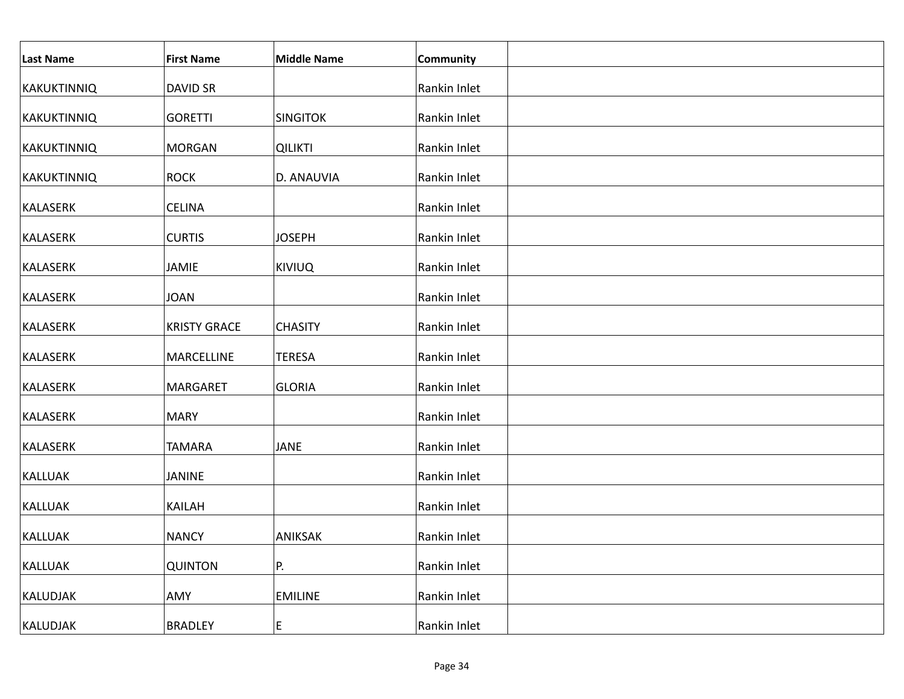| Last Name   | <b>First Name</b>   | <b>Middle Name</b> | Community    |  |
|-------------|---------------------|--------------------|--------------|--|
| KAKUKTINNIQ | DAVID SR            |                    | Rankin Inlet |  |
| KAKUKTINNIQ | <b>GORETTI</b>      | <b>SINGITOK</b>    | Rankin Inlet |  |
| KAKUKTINNIQ | <b>MORGAN</b>       | <b>QILIKTI</b>     | Rankin Inlet |  |
| KAKUKTINNIQ | ROCK                | D. ANAUVIA         | Rankin Inlet |  |
| KALASERK    | <b>CELINA</b>       |                    | Rankin Inlet |  |
| KALASERK    | <b>CURTIS</b>       | <b>JOSEPH</b>      | Rankin Inlet |  |
| KALASERK    | <b>JAMIE</b>        | KIVIUQ             | Rankin Inlet |  |
| KALASERK    | <b>JOAN</b>         |                    | Rankin Inlet |  |
| KALASERK    | <b>KRISTY GRACE</b> | <b>CHASITY</b>     | Rankin Inlet |  |
| KALASERK    | <b>MARCELLINE</b>   | <b>TERESA</b>      | Rankin Inlet |  |
| KALASERK    | <b>MARGARET</b>     | GLORIA             | Rankin Inlet |  |
| KALASERK    | MARY                |                    | Rankin Inlet |  |
| KALASERK    | <b>TAMARA</b>       | JANE               | Rankin Inlet |  |
| KALLUAK     | <b>JANINE</b>       |                    | Rankin Inlet |  |
| KALLUAK     | <b>KAILAH</b>       |                    | Rankin Inlet |  |
| KALLUAK     | NANCY               | ANIKSAK            | Rankin Inlet |  |
| KALLUAK     | <b>QUINTON</b>      | Р.                 | Rankin Inlet |  |
| KALUDJAK    | AMY                 | <b>EMILINE</b>     | Rankin Inlet |  |
| KALUDJAK    | <b>BRADLEY</b>      | E                  | Rankin Inlet |  |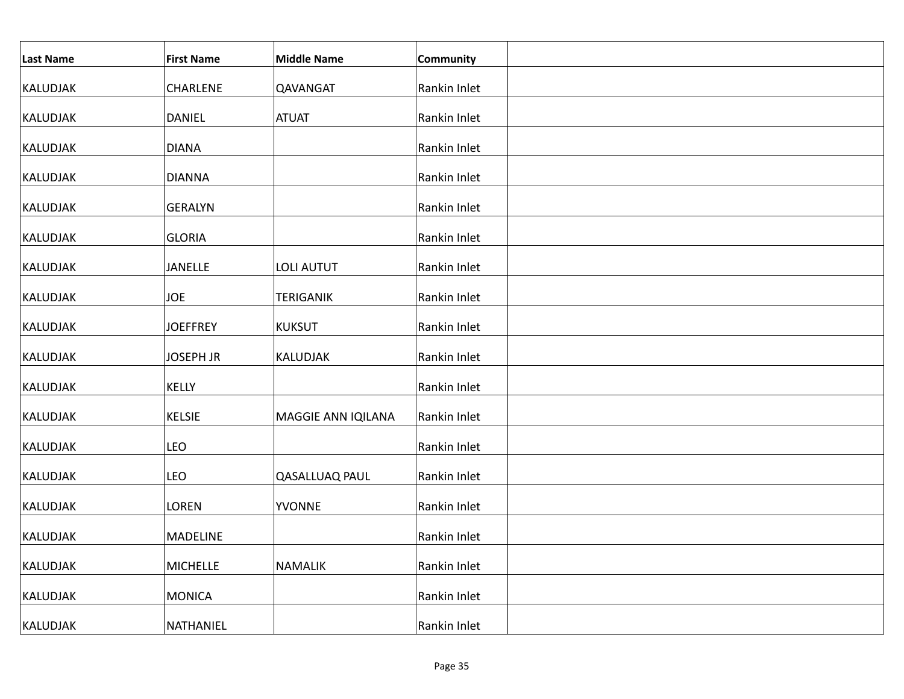| Last Name | <b>First Name</b> | Middle Name               | Community    |
|-----------|-------------------|---------------------------|--------------|
| KALUDJAK  | CHARLENE          | <b>QAVANGAT</b>           | Rankin Inlet |
| KALUDJAK  | <b>DANIEL</b>     | <b>ATUAT</b>              | Rankin Inlet |
| KALUDJAK  | DIANA             |                           | Rankin Inlet |
| KALUDJAK  | <b>DIANNA</b>     |                           | Rankin Inlet |
| KALUDJAK  | GERALYN           |                           | Rankin Inlet |
| KALUDJAK  | GLORIA            |                           | Rankin Inlet |
| KALUDJAK  | <b>JANELLE</b>    | LOLI AUTUT                | Rankin Inlet |
| KALUDJAK  | <b>JOE</b>        | <b>TERIGANIK</b>          | Rankin Inlet |
| KALUDJAK  | <b>JOEFFREY</b>   | KUKSUT                    | Rankin Inlet |
| KALUDJAK  | <b>JOSEPH JR</b>  | KALUDJAK                  | Rankin Inlet |
| KALUDJAK  | KELLY             |                           | Rankin Inlet |
| KALUDJAK  | KELSIE            | <b>MAGGIE ANN IQILANA</b> | Rankin Inlet |
| KALUDJAK  | LEO               |                           | Rankin Inlet |
| KALUDJAK  | LEO               | QASALLUAQ PAUL            | Rankin Inlet |
| KALUDJAK  | <b>LOREN</b>      | <b>YVONNE</b>             | Rankin Inlet |
| KALUDJAK  | MADELINE          |                           | Rankin Inlet |
| KALUDJAK  | MICHELLE          | NAMALIK                   | Rankin Inlet |
| KALUDJAK  | MONICA            |                           | Rankin Inlet |
| KALUDJAK  | NATHANIEL         |                           | Rankin Inlet |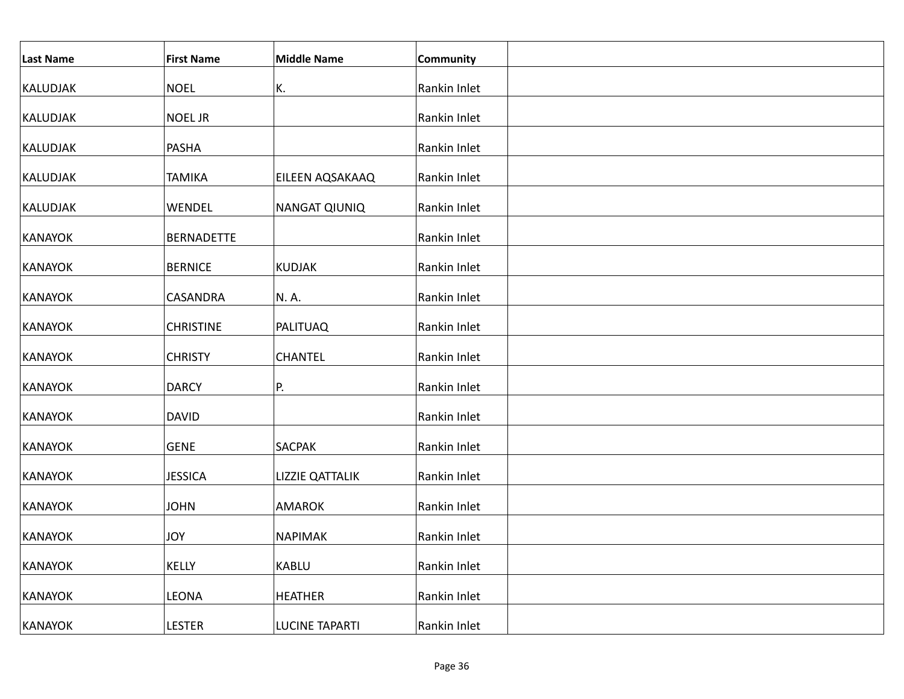| Last Name | <b>First Name</b> | Middle Name            | Community    |
|-----------|-------------------|------------------------|--------------|
| KALUDJAK  | NOEL              | K.                     | Rankin Inlet |
| KALUDJAK  | <b>NOEL JR</b>    |                        | Rankin Inlet |
| KALUDJAK  | PASHA             |                        | Rankin Inlet |
| KALUDJAK  | <b>TAMIKA</b>     | EILEEN AQSAKAAQ        | Rankin Inlet |
| KALUDJAK  | WENDEL            | <b>NANGAT QIUNIQ</b>   | Rankin Inlet |
| KANAYOK   | BERNADETTE        |                        | Rankin Inlet |
| KANAYOK   | <b>BERNICE</b>    | KUDJAK                 | Rankin Inlet |
| KANAYOK   | CASANDRA          | N. A.                  | Rankin Inlet |
| KANAYOK   | <b>CHRISTINE</b>  | PALITUAQ               | Rankin Inlet |
| KANAYOK   | <b>CHRISTY</b>    | <b>CHANTEL</b>         | Rankin Inlet |
| KANAYOK   | DARCY             | P.                     | Rankin Inlet |
| KANAYOK   | DAVID             |                        | Rankin Inlet |
| KANAYOK   | GENE              | <b>SACPAK</b>          | Rankin Inlet |
| KANAYOK   | <b>JESSICA</b>    | <b>LIZZIE QATTALIK</b> | Rankin Inlet |
| KANAYOK   | <b>JOHN</b>       | AMAROK                 | Rankin Inlet |
| KANAYOK   | YOL               | NAPIMAK                | Rankin Inlet |
| KANAYOK   | KELLY             | KABLU                  | Rankin Inlet |
| KANAYOK   | LEONA             | <b>HEATHER</b>         | Rankin Inlet |
| KANAYOK   | <b>LESTER</b>     | <b>LUCINE TAPARTI</b>  | Rankin Inlet |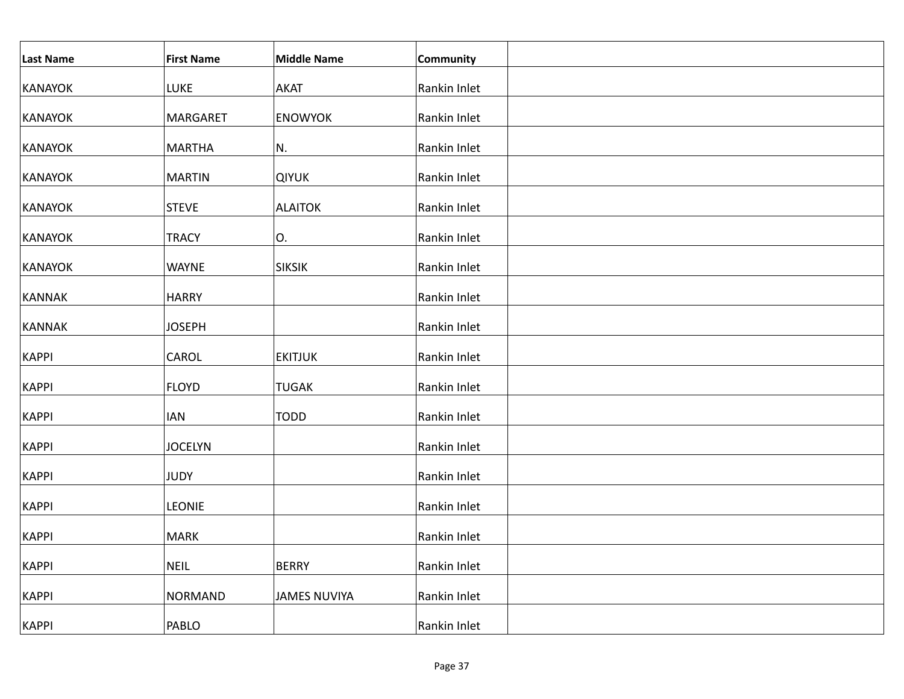| <b>Last Name</b> | <b>First Name</b> | <b>Middle Name</b>  | Community    |  |
|------------------|-------------------|---------------------|--------------|--|
| <b>KANAYOK</b>   | LUKE              | <b>AKAT</b>         | Rankin Inlet |  |
| <b>KANAYOK</b>   | MARGARET          | <b>ENOWYOK</b>      | Rankin Inlet |  |
| KANAYOK          | MARTHA            | N.                  | Rankin Inlet |  |
| KANAYOK          | MARTIN            | <b>QIYUK</b>        | Rankin Inlet |  |
| KANAYOK          | <b>STEVE</b>      | ALAITOK             | Rankin Inlet |  |
| <b>KANAYOK</b>   | <b>TRACY</b>      | O.                  | Rankin Inlet |  |
| <b>KANAYOK</b>   | <b>WAYNE</b>      | <b>SIKSIK</b>       | Rankin Inlet |  |
| <b>KANNAK</b>    | HARRY             |                     | Rankin Inlet |  |
| <b>KANNAK</b>    | <b>JOSEPH</b>     |                     | Rankin Inlet |  |
| <b>KAPPI</b>     | CAROL             | <b>EKITJUK</b>      | Rankin Inlet |  |
| KAPPI            | FLOYD             | <b>TUGAK</b>        | Rankin Inlet |  |
| KAPPI            | <b>IAN</b>        | <b>TODD</b>         | Rankin Inlet |  |
| KAPPI            | <b>JOCELYN</b>    |                     | Rankin Inlet |  |
| KAPPI            | <b>JUDY</b>       |                     | Rankin Inlet |  |
| KAPPI            | <b>LEONIE</b>     |                     | Rankin Inlet |  |
| KAPPI            | MARK              |                     | Rankin Inlet |  |
| <b>KAPPI</b>     | NEIL              | <b>BERRY</b>        | Rankin Inlet |  |
| <b>KAPPI</b>     | NORMAND           | <b>JAMES NUVIYA</b> | Rankin Inlet |  |
| KAPPI            | PABLO             |                     | Rankin Inlet |  |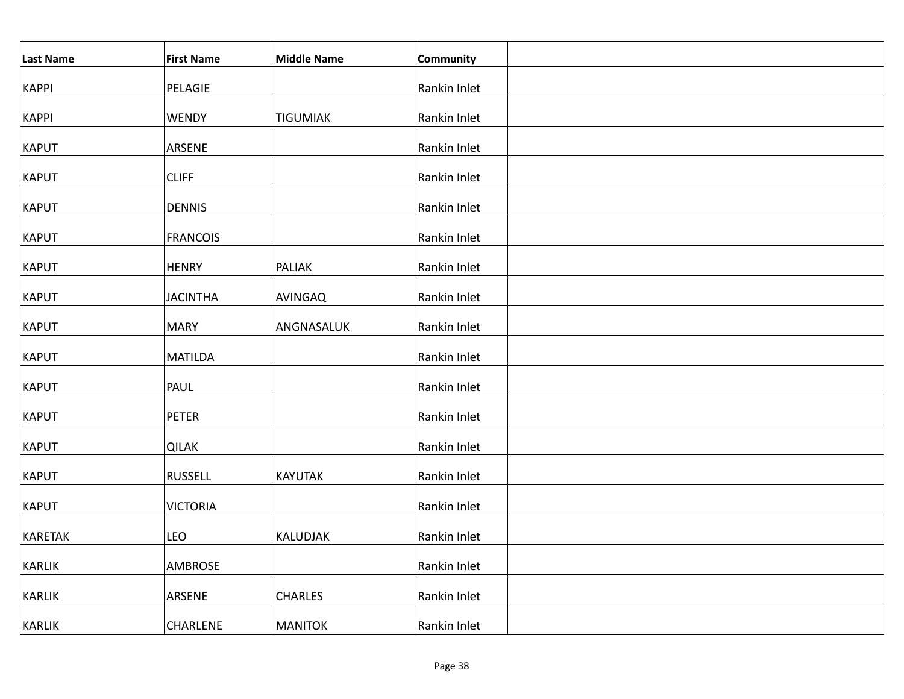| <b>Last Name</b> | <b>First Name</b> | Middle Name    | Community    |  |
|------------------|-------------------|----------------|--------------|--|
| <b>KAPPI</b>     | PELAGIE           |                | Rankin Inlet |  |
| <b>KAPPI</b>     | <b>WENDY</b>      | TIGUMIAK       | Rankin Inlet |  |
| <b>KAPUT</b>     | ARSENE            |                | Rankin Inlet |  |
| <b>KAPUT</b>     | <b>CLIFF</b>      |                | Rankin Inlet |  |
| <b>KAPUT</b>     | <b>DENNIS</b>     |                | Rankin Inlet |  |
| <b>KAPUT</b>     | <b>FRANCOIS</b>   |                | Rankin Inlet |  |
| <b>KAPUT</b>     | <b>HENRY</b>      | PALIAK         | Rankin Inlet |  |
| <b>KAPUT</b>     | <b>JACINTHA</b>   | AVINGAQ        | Rankin Inlet |  |
| <b>KAPUT</b>     | <b>MARY</b>       | ANGNASALUK     | Rankin Inlet |  |
| <b>KAPUT</b>     | <b>MATILDA</b>    |                | Rankin Inlet |  |
| <b>KAPUT</b>     | PAUL              |                | Rankin Inlet |  |
| <b>KAPUT</b>     | <b>PETER</b>      |                | Rankin Inlet |  |
| <b>KAPUT</b>     | <b>QILAK</b>      |                | Rankin Inlet |  |
| <b>KAPUT</b>     | RUSSELL           | KAYUTAK        | Rankin Inlet |  |
| <b>KAPUT</b>     | <b>VICTORIA</b>   |                | Rankin Inlet |  |
| <b>KARETAK</b>   | LEO               | KALUDJAK       | Rankin Inlet |  |
| <b>KARLIK</b>    | AMBROSE           |                | Rankin Inlet |  |
| <b>KARLIK</b>    | ARSENE            | <b>CHARLES</b> | Rankin Inlet |  |
| <b>KARLIK</b>    | CHARLENE          | MANITOK        | Rankin Inlet |  |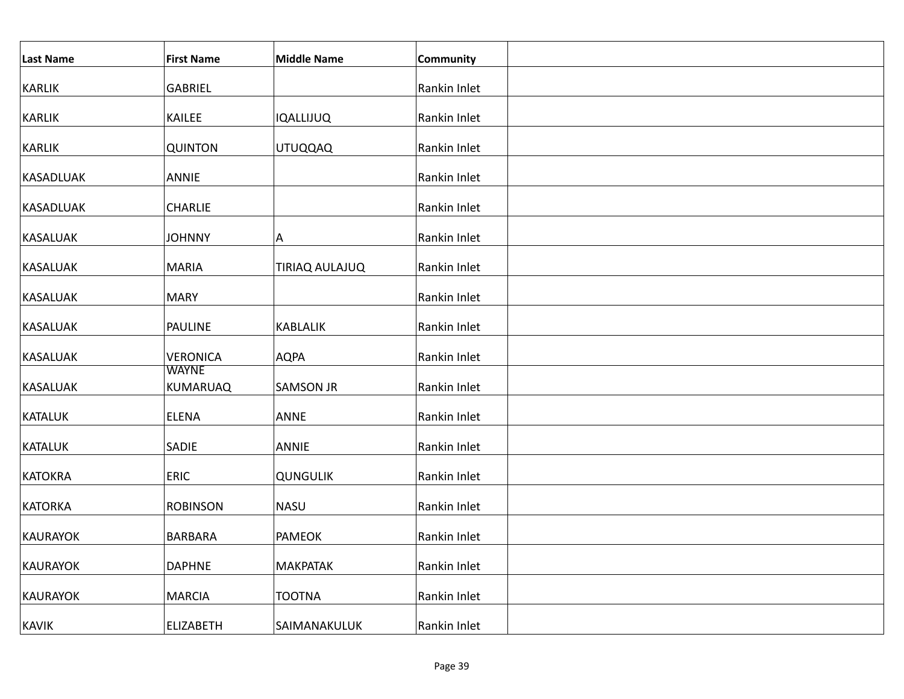| <b>Last Name</b> | <b>First Name</b>               | <b>Middle Name</b>    | Community    |  |
|------------------|---------------------------------|-----------------------|--------------|--|
| KARLIK           | GABRIEL                         |                       | Rankin Inlet |  |
| KARLIK           | KAILEE                          | <b>IQALLIJUQ</b>      | Rankin Inlet |  |
| KARLIK           | <b>QUINTON</b>                  | UTUQQAQ               | Rankin Inlet |  |
| KASADLUAK        | ANNIE                           |                       | Rankin Inlet |  |
| KASADLUAK        | <b>CHARLIE</b>                  |                       | Rankin Inlet |  |
| KASALUAK         | <b>JOHNNY</b>                   | A                     | Rankin Inlet |  |
| KASALUAK         | <b>MARIA</b>                    | <b>TIRIAQ AULAJUQ</b> | Rankin Inlet |  |
| KASALUAK         | <b>MARY</b>                     |                       | Rankin Inlet |  |
| KASALUAK         | <b>PAULINE</b>                  | KABLALIK              | Rankin Inlet |  |
| <b>KASALUAK</b>  | <b>VERONICA</b>                 | <b>AQPA</b>           | Rankin Inlet |  |
| KASALUAK         | <b>WAYNE</b><br><b>KUMARUAQ</b> | <b>SAMSON JR</b>      | Rankin Inlet |  |
| KATALUK          | ELENA                           | ANNE                  | Rankin Inlet |  |
| KATALUK          | SADIE                           | ANNIE                 | Rankin Inlet |  |
| KATOKRA          | ERIC                            | <b>QUNGULIK</b>       | Rankin Inlet |  |
| KATORKA          | <b>ROBINSON</b>                 | NASU                  | Rankin Inlet |  |
| KAURAYOK         | <b>BARBARA</b>                  | <b>PAMEOK</b>         | Rankin Inlet |  |
| KAURAYOK         | <b>DAPHNE</b>                   | <b>MAKPATAK</b>       | Rankin Inlet |  |
| KAURAYOK         | <b>MARCIA</b>                   | <b>TOOTNA</b>         | Rankin Inlet |  |
| KAVIK            | <b>ELIZABETH</b>                | SAIMANAKULUK          | Rankin Inlet |  |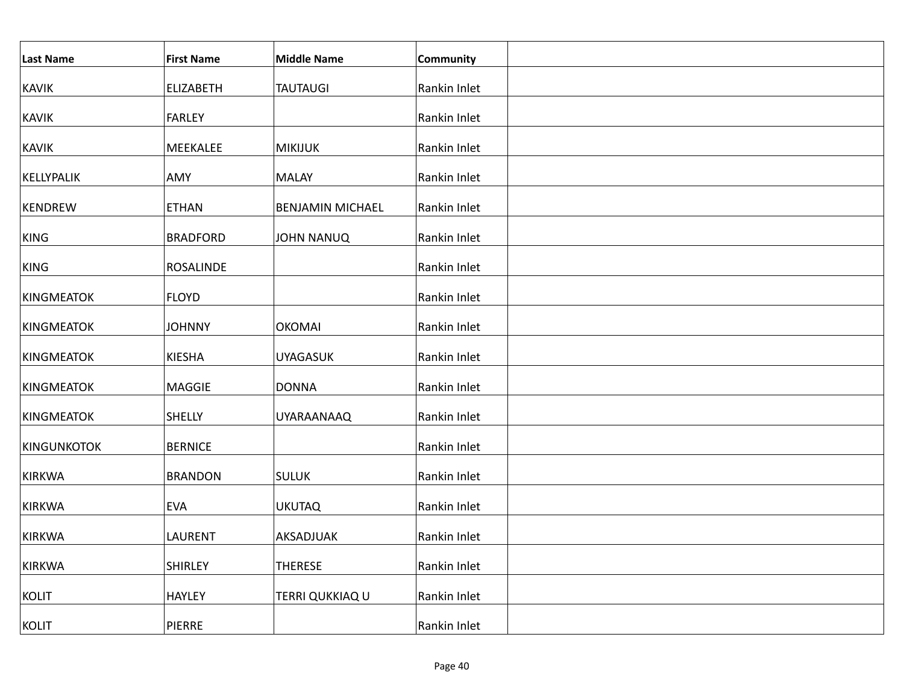| <b>Last Name</b>  | <b>First Name</b> | <b>Middle Name</b>      | Community    |
|-------------------|-------------------|-------------------------|--------------|
| KAVIK             | <b>ELIZABETH</b>  | <b>TAUTAUGI</b>         | Rankin Inlet |
| KAVIK             | <b>FARLEY</b>     |                         | Rankin Inlet |
| KAVIK             | MEEKALEE          | <b>MIKIJUK</b>          | Rankin Inlet |
| KELLYPALIK        | AMY               | MALAY                   | Rankin Inlet |
| KENDREW           | <b>ETHAN</b>      | <b>BENJAMIN MICHAEL</b> | Rankin Inlet |
| KING              | <b>BRADFORD</b>   | <b>JOHN NANUQ</b>       | Rankin Inlet |
| KING              | <b>ROSALINDE</b>  |                         | Rankin Inlet |
| KINGMEATOK        | <b>FLOYD</b>      |                         | Rankin Inlet |
| KINGMEATOK        | <b>JOHNNY</b>     | <b>OKOMAI</b>           | Rankin Inlet |
| <b>KINGMEATOK</b> | <b>KIESHA</b>     | <b>UYAGASUK</b>         | Rankin Inlet |
| KINGMEATOK        | <b>MAGGIE</b>     | DONNA                   | Rankin Inlet |
| KINGMEATOK        | SHELLY            | <b>UYARAANAAQ</b>       | Rankin Inlet |
| KINGUNKOTOK       | <b>BERNICE</b>    |                         | Rankin Inlet |
| KIRKWA            | <b>BRANDON</b>    | <b>SULUK</b>            | Rankin Inlet |
| KIRKWA            | <b>EVA</b>        | <b>UKUTAQ</b>           | Rankin Inlet |
| KIRKWA            | <b>LAURENT</b>    | AKSADJUAK               | Rankin Inlet |
| KIRKWA            | <b>SHIRLEY</b>    | <b>THERESE</b>          | Rankin Inlet |
| KOLIT             | <b>HAYLEY</b>     | <b>TERRI QUKKIAQ U</b>  | Rankin Inlet |
| KOLIT             | PIERRE            |                         | Rankin Inlet |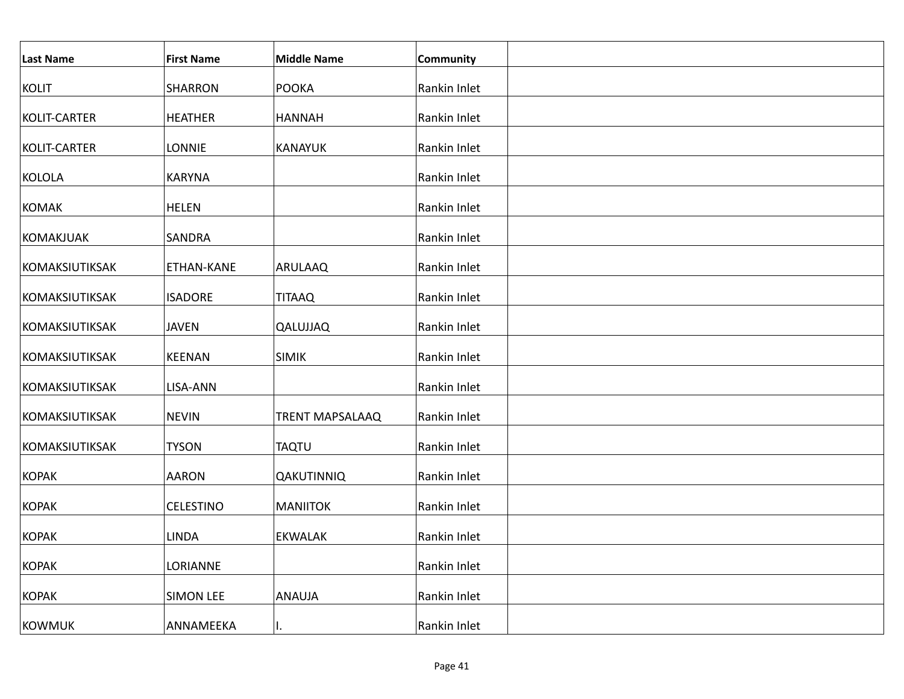| <b>Last Name</b>      | <b>First Name</b> | <b>Middle Name</b>     | Community    |  |
|-----------------------|-------------------|------------------------|--------------|--|
| <b>KOLIT</b>          | SHARRON           | POOKA                  | Rankin Inlet |  |
| KOLIT-CARTER          | <b>HEATHER</b>    | <b>HANNAH</b>          | Rankin Inlet |  |
| KOLIT-CARTER          | <b>LONNIE</b>     | KANAYUK                | Rankin Inlet |  |
| <b>KOLOLA</b>         | KARYNA            |                        | Rankin Inlet |  |
| <b>KOMAK</b>          | <b>HELEN</b>      |                        | Rankin Inlet |  |
| <b>KOMAKJUAK</b>      | <b>SANDRA</b>     |                        | Rankin Inlet |  |
| <b>KOMAKSIUTIKSAK</b> | <b>ETHAN-KANE</b> | ARULAAQ                | Rankin Inlet |  |
| <b>KOMAKSIUTIKSAK</b> | <b>ISADORE</b>    | <b>TITAAQ</b>          | Rankin Inlet |  |
| <b>KOMAKSIUTIKSAK</b> | <b>JAVEN</b>      | QALUJJAQ               | Rankin Inlet |  |
| <b>KOMAKSIUTIKSAK</b> | KEENAN            | <b>SIMIK</b>           | Rankin Inlet |  |
| <b>KOMAKSIUTIKSAK</b> | LISA-ANN          |                        | Rankin Inlet |  |
| <b>KOMAKSIUTIKSAK</b> | NEVIN             | <b>TRENT MAPSALAAQ</b> | Rankin Inlet |  |
| KOMAKSIUTIKSAK        | <b>TYSON</b>      | <b>TAQTU</b>           | Rankin Inlet |  |
| <b>KOPAK</b>          | AARON             | QAKUTINNIQ             | Rankin Inlet |  |
| <b>KOPAK</b>          | <b>CELESTINO</b>  | <b>MANIITOK</b>        | Rankin Inlet |  |
| <b>KOPAK</b>          | LINDA             | <b>EKWALAK</b>         | Rankin Inlet |  |
| <b>KOPAK</b>          | <b>LORIANNE</b>   |                        | Rankin Inlet |  |
| <b>KOPAK</b>          | <b>SIMON LEE</b>  | ANAUJA                 | Rankin Inlet |  |
| <b>KOWMUK</b>         | ANNAMEEKA         | μ.                     | Rankin Inlet |  |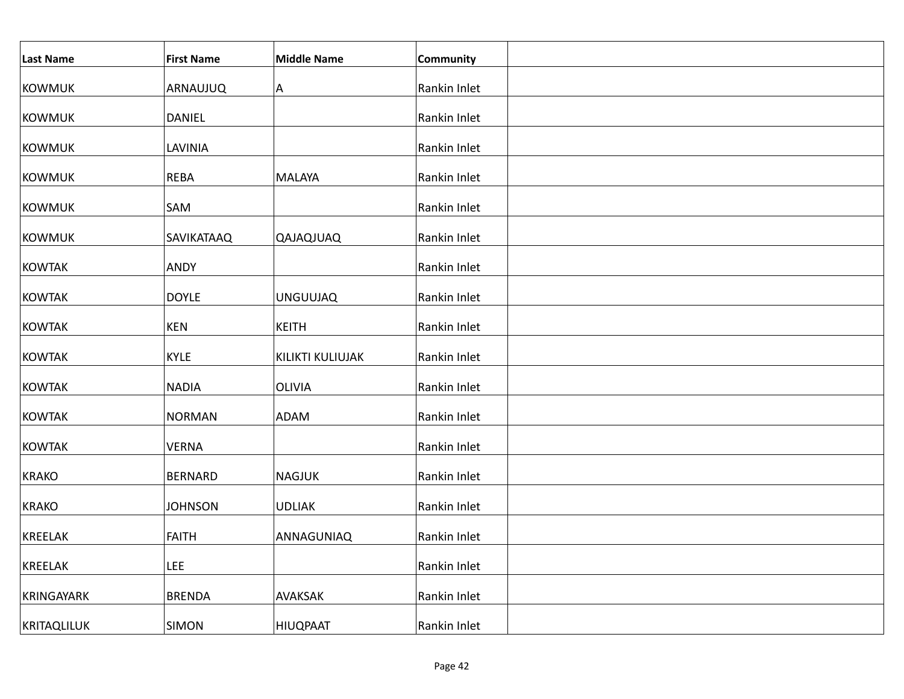| <b>Last Name</b>  | <b>First Name</b> | <b>Middle Name</b> | Community    |  |
|-------------------|-------------------|--------------------|--------------|--|
| <b>KOWMUK</b>     | ARNAUJUQ          | A                  | Rankin Inlet |  |
| <b>KOWMUK</b>     | DANIEL            |                    | Rankin Inlet |  |
| <b>KOWMUK</b>     | LAVINIA           |                    | Rankin Inlet |  |
| <b>KOWMUK</b>     | <b>REBA</b>       | <b>MALAYA</b>      | Rankin Inlet |  |
| <b>KOWMUK</b>     | SAM               |                    | Rankin Inlet |  |
| <b>KOWMUK</b>     | SAVIKATAAQ        | QAJAQJUAQ          | Rankin Inlet |  |
| <b>KOWTAK</b>     | ANDY              |                    | Rankin Inlet |  |
| <b>KOWTAK</b>     | <b>DOYLE</b>      | <b>UNGUUJAQ</b>    | Rankin Inlet |  |
| <b>KOWTAK</b>     | KEN               | KEITH              | Rankin Inlet |  |
| <b>KOWTAK</b>     | KYLE              | KILIKTI KULIUJAK   | Rankin Inlet |  |
| <b>KOWTAK</b>     | NADIA             | <b>OLIVIA</b>      | Rankin Inlet |  |
| <b>KOWTAK</b>     | NORMAN            | ADAM               | Rankin Inlet |  |
| <b>KOWTAK</b>     | <b>VERNA</b>      |                    | Rankin Inlet |  |
| <b>KRAKO</b>      | <b>BERNARD</b>    | NAGJUK             | Rankin Inlet |  |
| <b>KRAKO</b>      | <b>JOHNSON</b>    | <b>UDLIAK</b>      | Rankin Inlet |  |
| <b>KREELAK</b>    | FAITH             | ANNAGUNIAQ         | Rankin Inlet |  |
| <b>KREELAK</b>    | LEE               |                    | Rankin Inlet |  |
| <b>KRINGAYARK</b> | BRENDA            | AVAKSAK            | Rankin Inlet |  |
| KRITAQLILUK       | <b>SIMON</b>      | HIUQPAAT           | Rankin Inlet |  |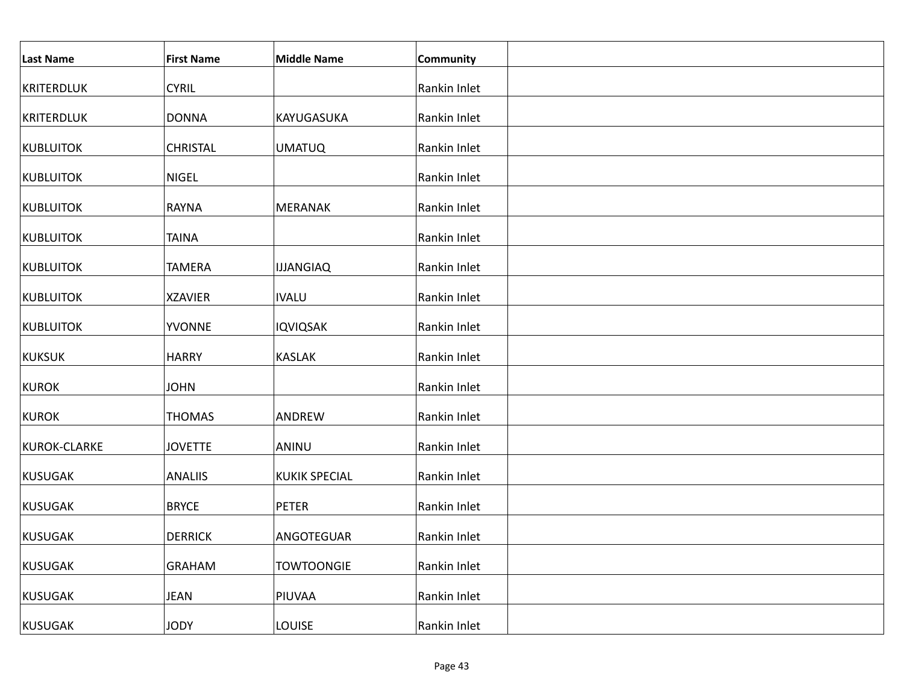| Last Name        | <b>First Name</b> | <b>Middle Name</b>   | Community    |
|------------------|-------------------|----------------------|--------------|
| KRITERDLUK       | <b>CYRIL</b>      |                      | Rankin Inlet |
| KRITERDLUK       | DONNA             | <b>KAYUGASUKA</b>    | Rankin Inlet |
| KUBLUITOK        | <b>CHRISTAL</b>   | UMATUQ               | Rankin Inlet |
| <b>KUBLUITOK</b> | NIGEL             |                      | Rankin Inlet |
| KUBLUITOK        | RAYNA             | MERANAK              | Rankin Inlet |
| KUBLUITOK        | <b>TAINA</b>      |                      | Rankin Inlet |
| KUBLUITOK        | <b>TAMERA</b>     | <b>IJJANGIAQ</b>     | Rankin Inlet |
| KUBLUITOK        | <b>XZAVIER</b>    | <b>IVALU</b>         | Rankin Inlet |
| KUBLUITOK        | <b>YVONNE</b>     | <b>IQVIQSAK</b>      | Rankin Inlet |
| KUKSUK           | <b>HARRY</b>      | KASLAK               | Rankin Inlet |
| KUROK            | <b>JOHN</b>       |                      | Rankin Inlet |
| KUROK            | <b>THOMAS</b>     | ANDREW               | Rankin Inlet |
| KUROK-CLARKE     | <b>JOVETTE</b>    | ANINU                | Rankin Inlet |
| KUSUGAK          | ANALIIS           | <b>KUKIK SPECIAL</b> | Rankin Inlet |
| KUSUGAK          | <b>BRYCE</b>      | PETER                | Rankin Inlet |
| KUSUGAK          | <b>DERRICK</b>    | ANGOTEGUAR           | Rankin Inlet |
| KUSUGAK          | <b>GRAHAM</b>     | <b>TOWTOONGIE</b>    | Rankin Inlet |
| KUSUGAK          | <b>JEAN</b>       | PIUVAA               | Rankin Inlet |
| KUSUGAK          | <b>JODY</b>       | LOUISE               | Rankin Inlet |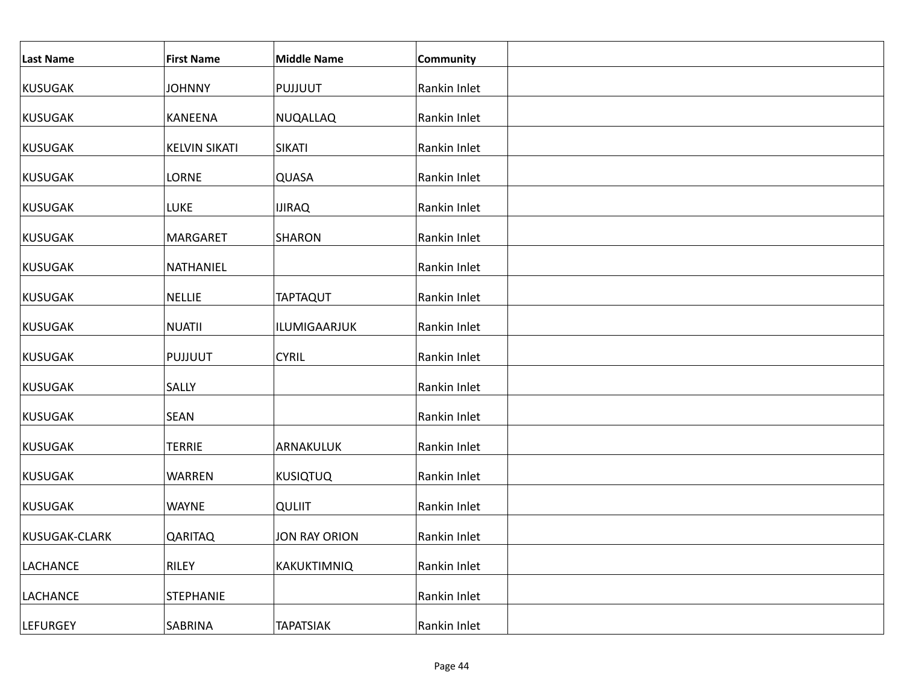| Last Name       | <b>First Name</b>    | Middle Name          | Community    |  |
|-----------------|----------------------|----------------------|--------------|--|
| KUSUGAK         | <b>JOHNNY</b>        | PUJJUUT              | Rankin Inlet |  |
| KUSUGAK         | KANEENA              | NUQALLAQ             | Rankin Inlet |  |
| KUSUGAK         | <b>KELVIN SIKATI</b> | <b>SIKATI</b>        | Rankin Inlet |  |
| KUSUGAK         | <b>LORNE</b>         | <b>QUASA</b>         | Rankin Inlet |  |
| KUSUGAK         | <b>LUKE</b>          | <b>IJIRAQ</b>        | Rankin Inlet |  |
| KUSUGAK         | MARGARET             | SHARON               | Rankin Inlet |  |
| KUSUGAK         | NATHANIEL            |                      | Rankin Inlet |  |
| KUSUGAK         | NELLIE               | <b>TAPTAQUT</b>      | Rankin Inlet |  |
| KUSUGAK         | NUATII               | ILUMIGAARJUK         | Rankin Inlet |  |
| KUSUGAK         | PUJJUUT              | <b>CYRIL</b>         | Rankin Inlet |  |
| KUSUGAK         | <b>SALLY</b>         |                      | Rankin Inlet |  |
| KUSUGAK         | SEAN                 |                      | Rankin Inlet |  |
| KUSUGAK         | <b>TERRIE</b>        | ARNAKULUK            | Rankin Inlet |  |
| KUSUGAK         | WARREN               | KUSIQTUQ             | Rankin Inlet |  |
| KUSUGAK         | <b>WAYNE</b>         | <b>QULIIT</b>        | Rankin Inlet |  |
| KUSUGAK-CLARK   | QARITAQ              | <b>JON RAY ORION</b> | Rankin Inlet |  |
| LACHANCE        | RILEY                | <b>KAKUKTIMNIQ</b>   | Rankin Inlet |  |
| LACHANCE        | <b>STEPHANIE</b>     |                      | Rankin Inlet |  |
| <b>LEFURGEY</b> | SABRINA              | <b>TAPATSIAK</b>     | Rankin Inlet |  |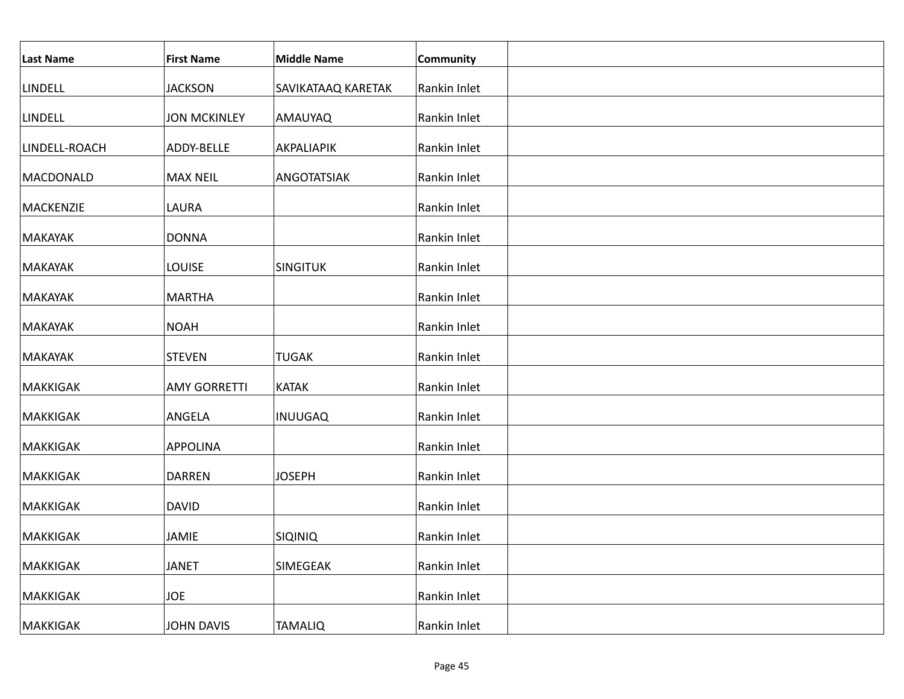| <b>Last Name</b> | <b>First Name</b>   | <b>Middle Name</b> | Community    |  |
|------------------|---------------------|--------------------|--------------|--|
| <b>LINDELL</b>   | <b>JACKSON</b>      | SAVIKATAAQ KARETAK | Rankin Inlet |  |
| <b>LINDELL</b>   | <b>JON MCKINLEY</b> | AMAUYAQ            | Rankin Inlet |  |
| LINDELL-ROACH    | ADDY-BELLE          | <b>AKPALIAPIK</b>  | Rankin Inlet |  |
| MACDONALD        | MAX NEIL            | ANGOTATSIAK        | Rankin Inlet |  |
| MACKENZIE        | <b>LAURA</b>        |                    | Rankin Inlet |  |
| <b>MAKAYAK</b>   | DONNA               |                    | Rankin Inlet |  |
| MAKAYAK          | <b>LOUISE</b>       | <b>SINGITUK</b>    | Rankin Inlet |  |
| <b>MAKAYAK</b>   | MARTHA              |                    | Rankin Inlet |  |
| <b>MAKAYAK</b>   | NOAH                |                    | Rankin Inlet |  |
| MAKAYAK          | <b>STEVEN</b>       | <b>TUGAK</b>       | Rankin Inlet |  |
| MAKKIGAK         | <b>AMY GORRETTI</b> | KATAK              | Rankin Inlet |  |
| MAKKIGAK         | ANGELA              | INUUGAQ            | Rankin Inlet |  |
| MAKKIGAK         | <b>APPOLINA</b>     |                    | Rankin Inlet |  |
| MAKKIGAK         | DARREN              | <b>JOSEPH</b>      | Rankin Inlet |  |
| MAKKIGAK         | DAVID               |                    | Rankin Inlet |  |
| MAKKIGAK         | <b>JAMIE</b>        | <b>SIQINIQ</b>     | Rankin Inlet |  |
| MAKKIGAK         | <b>JANET</b>        | <b>SIMEGEAK</b>    | Rankin Inlet |  |
| MAKKIGAK         | <b>JOE</b>          |                    | Rankin Inlet |  |
| MAKKIGAK         | <b>JOHN DAVIS</b>   | <b>TAMALIQ</b>     | Rankin Inlet |  |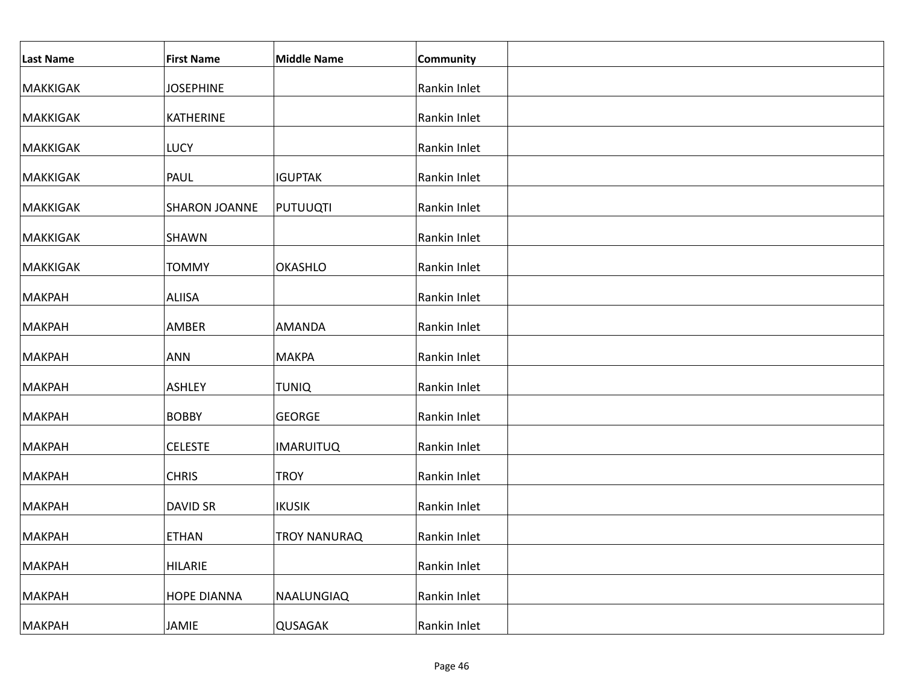| Last Name | <b>First Name</b>    | <b>Middle Name</b>  | Community    |
|-----------|----------------------|---------------------|--------------|
| MAKKIGAK  | <b>JOSEPHINE</b>     |                     | Rankin Inlet |
| MAKKIGAK  | <b>KATHERINE</b>     |                     | Rankin Inlet |
| MAKKIGAK  | LUCY                 |                     | Rankin Inlet |
| MAKKIGAK  | PAUL                 | <b>IGUPTAK</b>      | Rankin Inlet |
| MAKKIGAK  | <b>SHARON JOANNE</b> | PUTUUQTI            | Rankin Inlet |
| MAKKIGAK  | SHAWN                |                     | Rankin Inlet |
| MAKKIGAK  | <b>TOMMY</b>         | OKASHLO             | Rankin Inlet |
| MAKPAH    | ALIISA               |                     | Rankin Inlet |
| MAKPAH    | AMBER                | AMANDA              | Rankin Inlet |
| MAKPAH    | ANN                  | MAKPA               | Rankin Inlet |
| MAKPAH    | ASHLEY               | TUNIQ               | Rankin Inlet |
| MAKPAH    | <b>BOBBY</b>         | GEORGE              | Rankin Inlet |
| MAKPAH    | <b>CELESTE</b>       | IMARUITUQ           | Rankin Inlet |
| MAKPAH    | <b>CHRIS</b>         | <b>TROY</b>         | Rankin Inlet |
| MAKPAH    | <b>DAVID SR</b>      | <b>IKUSIK</b>       | Rankin Inlet |
| MAKPAH    | <b>ETHAN</b>         | <b>TROY NANURAQ</b> | Rankin Inlet |
| MAKPAH    | <b>HILARIE</b>       |                     | Rankin Inlet |
| MAKPAH    | <b>HOPE DIANNA</b>   | NAALUNGIAQ          | Rankin Inlet |
| MAKPAH    | <b>JAMIE</b>         | <b>QUSAGAK</b>      | Rankin Inlet |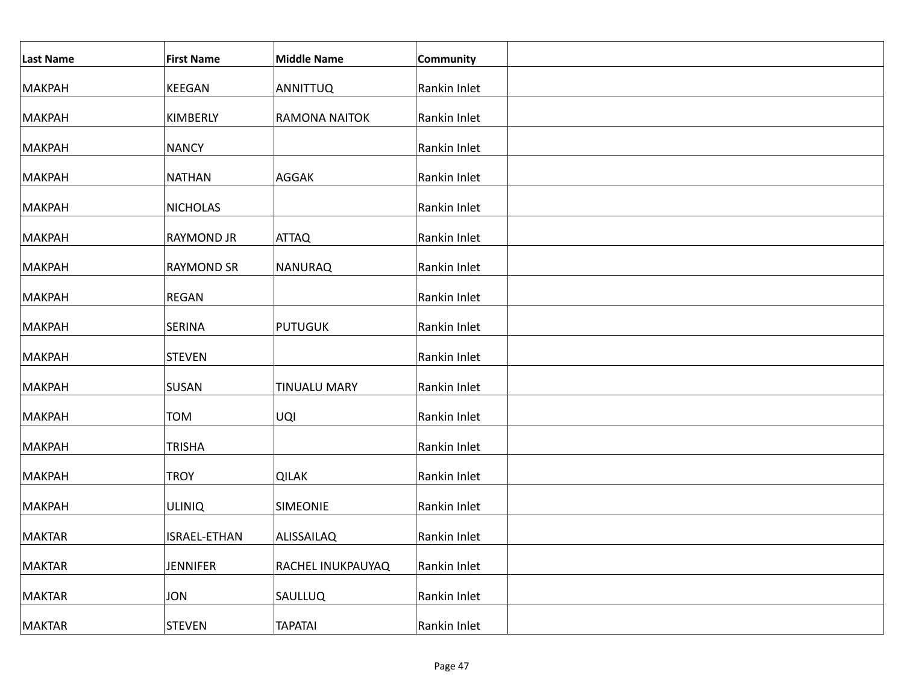| <b>Last Name</b> | <b>First Name</b>   | Middle Name          | Community    |  |
|------------------|---------------------|----------------------|--------------|--|
| MAKPAH           | KEEGAN              | ANNITTUQ             | Rankin Inlet |  |
| MAKPAH           | <b>KIMBERLY</b>     | <b>RAMONA NAITOK</b> | Rankin Inlet |  |
| MAKPAH           | NANCY               |                      | Rankin Inlet |  |
| MAKPAH           | NATHAN              | AGGAK                | Rankin Inlet |  |
| MAKPAH           | NICHOLAS            |                      | Rankin Inlet |  |
| MAKPAH           | <b>RAYMOND JR</b>   | <b>ATTAQ</b>         | Rankin Inlet |  |
| MAKPAH           | <b>RAYMOND SR</b>   | NANURAQ              | Rankin Inlet |  |
| MAKPAH           | REGAN               |                      | Rankin Inlet |  |
| MAKPAH           | SERINA              | PUTUGUK              | Rankin Inlet |  |
| MAKPAH           | <b>STEVEN</b>       |                      | Rankin Inlet |  |
| MAKPAH           | <b>SUSAN</b>        | <b>TINUALU MARY</b>  | Rankin Inlet |  |
| MAKPAH           | <b>TOM</b>          | UQI                  | Rankin Inlet |  |
| MAKPAH           | <b>TRISHA</b>       |                      | Rankin Inlet |  |
| MAKPAH           | <b>TROY</b>         | <b>QILAK</b>         | Rankin Inlet |  |
| MAKPAH           | <b>ULINIQ</b>       | <b>SIMEONIE</b>      | Rankin Inlet |  |
| MAKTAR           | <b>ISRAEL-ETHAN</b> | ALISSAILAQ           | Rankin Inlet |  |
| MAKTAR           | <b>JENNIFER</b>     | RACHEL INUKPAUYAQ    | Rankin Inlet |  |
| MAKTAR           | <b>JON</b>          | <b>SAULLUQ</b>       | Rankin Inlet |  |
| MAKTAR           | STEVEN              | <b>TAPATAI</b>       | Rankin Inlet |  |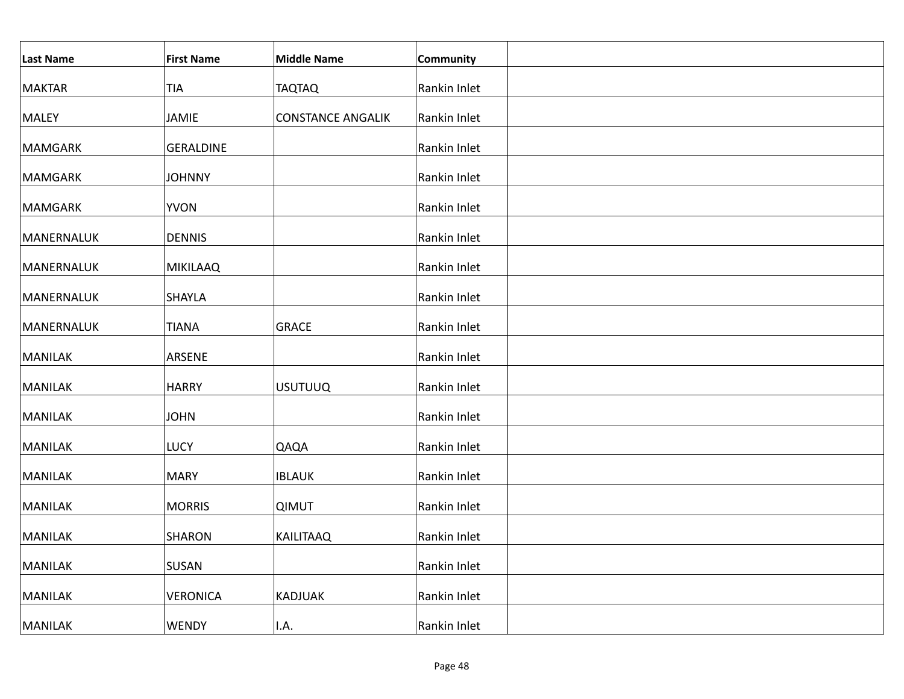| Last Name  | <b>First Name</b> | Middle Name       | Community    |
|------------|-------------------|-------------------|--------------|
| MAKTAR     | TIA               | <b>TAQTAQ</b>     | Rankin Inlet |
| MALEY      | <b>JAMIE</b>      | CONSTANCE ANGALIK | Rankin Inlet |
| MAMGARK    | GERALDINE         |                   | Rankin Inlet |
| MAMGARK    | <b>JOHNNY</b>     |                   | Rankin Inlet |
| MAMGARK    | <b>YVON</b>       |                   | Rankin Inlet |
| MANERNALUK | DENNIS            |                   | Rankin Inlet |
| MANERNALUK | MIKILAAQ          |                   | Rankin Inlet |
| MANERNALUK | SHAYLA            |                   | Rankin Inlet |
| MANERNALUK | <b>TIANA</b>      | GRACE             | Rankin Inlet |
| MANILAK    | ARSENE            |                   | Rankin Inlet |
| MANILAK    | <b>HARRY</b>      | USUTUUQ           | Rankin Inlet |
| MANILAK    | <b>JOHN</b>       |                   | Rankin Inlet |
| MANILAK    | <b>LUCY</b>       | QAQA              | Rankin Inlet |
| MANILAK    | MARY              | <b>IBLAUK</b>     | Rankin Inlet |
| MANILAK    | MORRIS            | QIMUT             | Rankin Inlet |
| MANILAK    | SHARON            | KAILITAAQ         | Rankin Inlet |
| MANILAK    | SUSAN             |                   | Rankin Inlet |
| MANILAK    | <b>VERONICA</b>   | KADJUAK           | Rankin Inlet |
| MANILAK    | WENDY             | I.A.              | Rankin Inlet |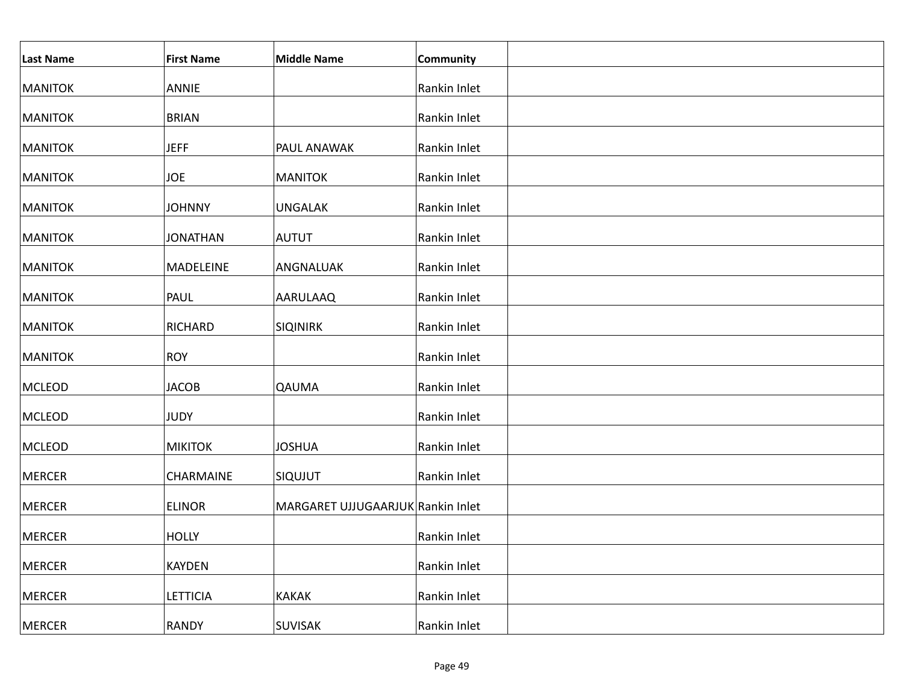| Last Name | <b>First Name</b> | Middle Name                       | Community    |
|-----------|-------------------|-----------------------------------|--------------|
| MANITOK   | ANNIE             |                                   | Rankin Inlet |
| MANITOK   | <b>BRIAN</b>      |                                   | Rankin Inlet |
| MANITOK   | <b>JEFF</b>       | <b>PAUL ANAWAK</b>                | Rankin Inlet |
| MANITOK   | <b>JOE</b>        | MANITOK                           | Rankin Inlet |
| MANITOK   | <b>JOHNNY</b>     | UNGALAK                           | Rankin Inlet |
| MANITOK   | <b>JONATHAN</b>   | AUTUT                             | Rankin Inlet |
| MANITOK   | MADELEINE         | ANGNALUAK                         | Rankin Inlet |
| MANITOK   | PAUL              | AARULAAQ                          | Rankin Inlet |
| MANITOK   | RICHARD           | <b>SIQINIRK</b>                   | Rankin Inlet |
| MANITOK   | ROY               |                                   | Rankin Inlet |
| MCLEOD    | <b>JACOB</b>      | QAUMA                             | Rankin Inlet |
| MCLEOD    | <b>JUDY</b>       |                                   | Rankin Inlet |
| MCLEOD    | <b>MIKITOK</b>    | <b>JOSHUA</b>                     | Rankin Inlet |
| MERCER    | CHARMAINE         | SIQUJUT                           | Rankin Inlet |
| MERCER    | <b>ELINOR</b>     | MARGARET UJJUGAARJUK Rankin Inlet |              |
| MERCER    | HOLLY             |                                   | Rankin Inlet |
| MERCER    | <b>KAYDEN</b>     |                                   | Rankin Inlet |
| MERCER    | <b>LETTICIA</b>   | KAKAK                             | Rankin Inlet |
| MERCER    | RANDY             | <b>SUVISAK</b>                    | Rankin Inlet |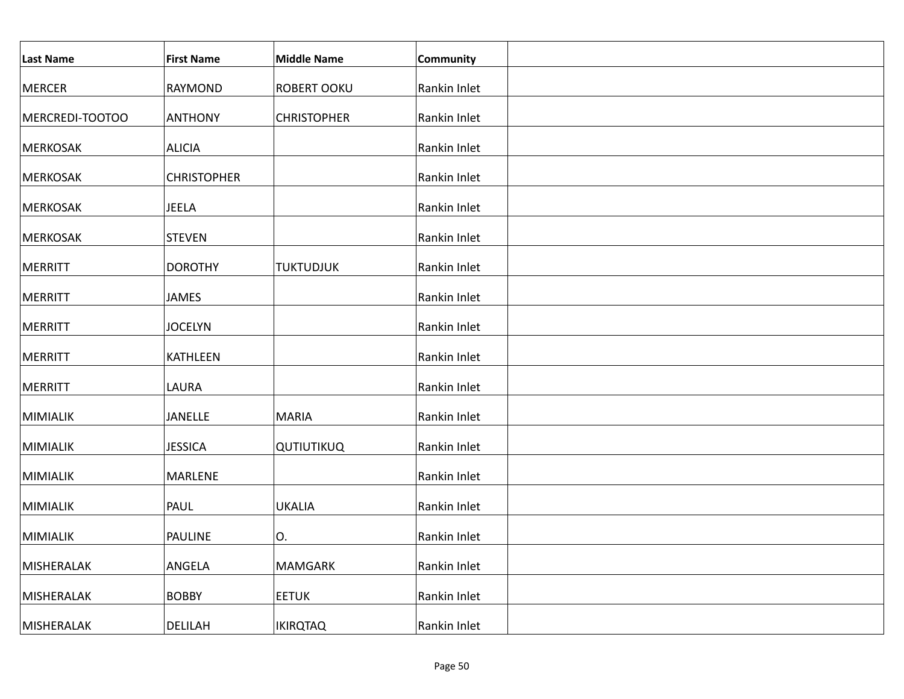| <b>Last Name</b> | <b>First Name</b>  | <b>Middle Name</b> | Community    |  |
|------------------|--------------------|--------------------|--------------|--|
| MERCER           | RAYMOND            | <b>ROBERT OOKU</b> | Rankin Inlet |  |
| MERCREDI-TOOTOO  | ANTHONY            | <b>CHRISTOPHER</b> | Rankin Inlet |  |
| MERKOSAK         | ALICIA             |                    | Rankin Inlet |  |
| MERKOSAK         | <b>CHRISTOPHER</b> |                    | Rankin Inlet |  |
| MERKOSAK         | <b>JEELA</b>       |                    | Rankin Inlet |  |
| MERKOSAK         | <b>STEVEN</b>      |                    | Rankin Inlet |  |
| MERRITT          | <b>DOROTHY</b>     | <b>TUKTUDJUK</b>   | Rankin Inlet |  |
| MERRITT          | <b>JAMES</b>       |                    | Rankin Inlet |  |
| MERRITT          | <b>JOCELYN</b>     |                    | Rankin Inlet |  |
| MERRITT          | <b>KATHLEEN</b>    |                    | Rankin Inlet |  |
| MERRITT          | <b>LAURA</b>       |                    | Rankin Inlet |  |
| MIMIALIK         | <b>JANELLE</b>     | MARIA              | Rankin Inlet |  |
| MIMIALIK         | <b>JESSICA</b>     | QUTIUTIKUQ         | Rankin Inlet |  |
| MIMIALIK         | MARLENE            |                    | Rankin Inlet |  |
| MIMIALIK         | PAUL               | <b>UKALIA</b>      | Rankin Inlet |  |
| MIMIALIK         | PAULINE            | ΙО.                | Rankin Inlet |  |
| MISHERALAK       | ANGELA             | <b>MAMGARK</b>     | Rankin Inlet |  |
| MISHERALAK       | <b>BOBBY</b>       | <b>EETUK</b>       | Rankin Inlet |  |
| MISHERALAK       | DELILAH            | <b>IKIRQTAQ</b>    | Rankin Inlet |  |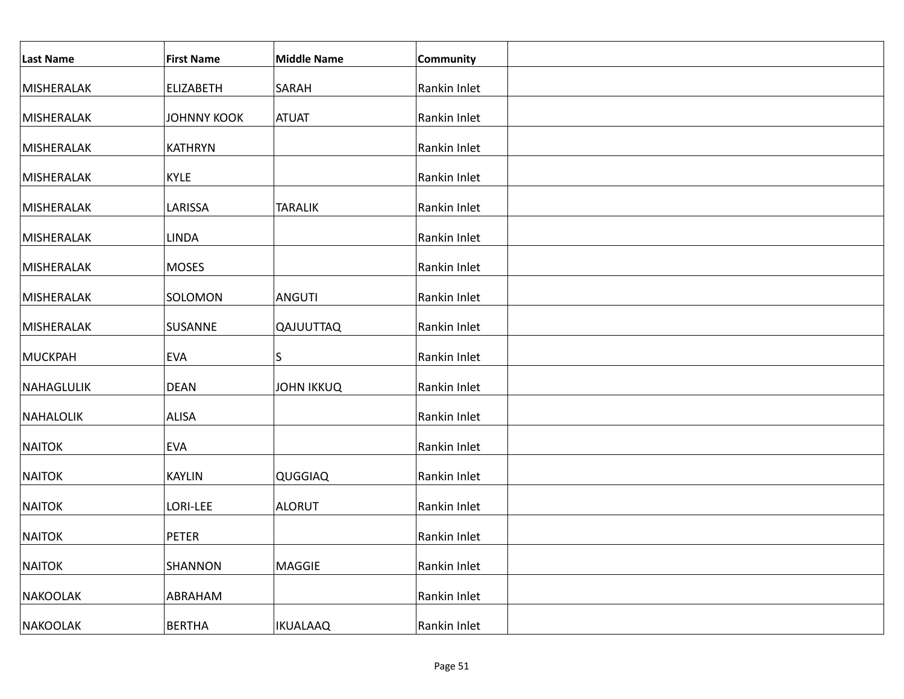| Last Name     | <b>First Name</b>  | Middle Name       | Community    |
|---------------|--------------------|-------------------|--------------|
| MISHERALAK    | ELIZABETH          | SARAH             | Rankin Inlet |
| MISHERALAK    | <b>JOHNNY KOOK</b> | <b>ATUAT</b>      | Rankin Inlet |
| MISHERALAK    | <b>KATHRYN</b>     |                   | Rankin Inlet |
| MISHERALAK    | KYLE               |                   | Rankin Inlet |
| MISHERALAK    | LARISSA            | <b>TARALIK</b>    | Rankin Inlet |
| MISHERALAK    | <b>LINDA</b>       |                   | Rankin Inlet |
| MISHERALAK    | MOSES              |                   | Rankin Inlet |
| MISHERALAK    | SOLOMON            | ANGUTI            | Rankin Inlet |
| MISHERALAK    | SUSANNE            | <b>QAJUUTTAQ</b>  | Rankin Inlet |
| MUCKPAH       | <b>EVA</b>         | S                 | Rankin Inlet |
| NAHAGLULIK    | DEAN               | <b>JOHN IKKUQ</b> | Rankin Inlet |
| NAHALOLIK     | <b>ALISA</b>       |                   | Rankin Inlet |
| <b>NAITOK</b> | <b>EVA</b>         |                   | Rankin Inlet |
| NAITOK        | <b>KAYLIN</b>      | QUGGIAQ           | Rankin Inlet |
| NAITOK        | LORI-LEE           | ALORUT            | Rankin Inlet |
| NAITOK        | PETER              |                   | Rankin Inlet |
| NAITOK        | SHANNON            | MAGGIE            | Rankin Inlet |
| NAKOOLAK      | ABRAHAM            |                   | Rankin Inlet |
| NAKOOLAK      | BERTHA             | <b>IKUALAAQ</b>   | Rankin Inlet |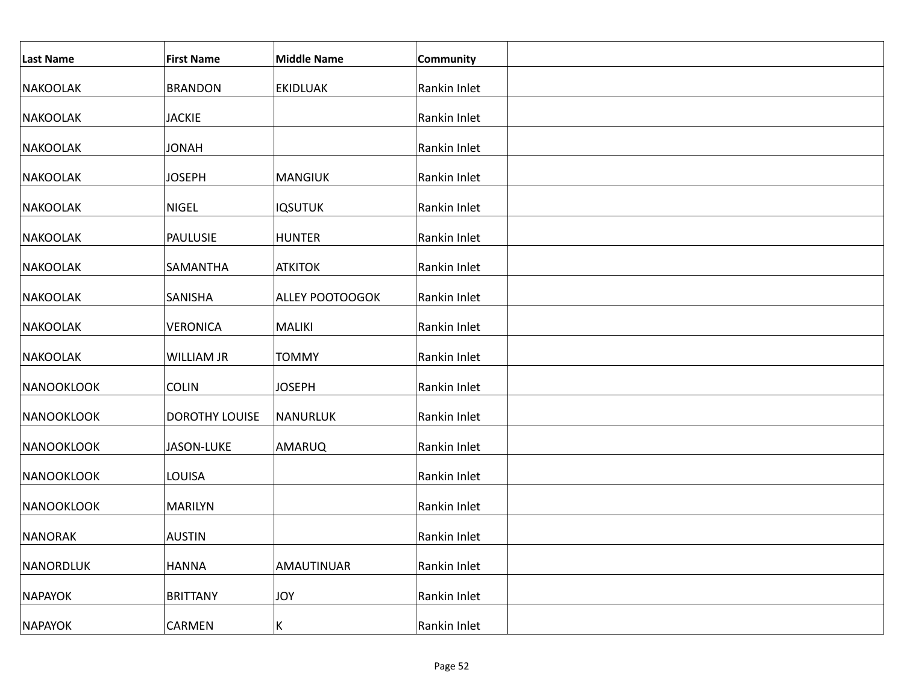| Last Name  | <b>First Name</b>     | <b>Middle Name</b>     | Community    |
|------------|-----------------------|------------------------|--------------|
| NAKOOLAK   | BRANDON               | <b>EKIDLUAK</b>        | Rankin Inlet |
| NAKOOLAK   | <b>JACKIE</b>         |                        | Rankin Inlet |
| NAKOOLAK   | <b>HANOL</b>          |                        | Rankin Inlet |
| NAKOOLAK   | <b>JOSEPH</b>         | MANGIUK                | Rankin Inlet |
| NAKOOLAK   | NIGEL                 | <b>IQSUTUK</b>         | Rankin Inlet |
| NAKOOLAK   | PAULUSIE              | HUNTER                 | Rankin Inlet |
| NAKOOLAK   | SAMANTHA              | <b>ATKITOK</b>         | Rankin Inlet |
| NAKOOLAK   | SANISHA               | <b>ALLEY POOTOOGOK</b> | Rankin Inlet |
| NAKOOLAK   | <b>VERONICA</b>       | MALIKI                 | Rankin Inlet |
| NAKOOLAK   | WILLIAM JR            | <b>TOMMY</b>           | Rankin Inlet |
| NANOOKLOOK | <b>COLIN</b>          | <b>JOSEPH</b>          | Rankin Inlet |
| NANOOKLOOK | <b>DOROTHY LOUISE</b> | NANURLUK               | Rankin Inlet |
| NANOOKLOOK | <b>JASON-LUKE</b>     | AMARUQ                 | Rankin Inlet |
| NANOOKLOOK | LOUISA                |                        | Rankin Inlet |
| NANOOKLOOK | MARILYN               |                        | Rankin Inlet |
| NANORAK    | AUSTIN                |                        | Rankin Inlet |
| NANORDLUK  | <b>HANNA</b>          | AMAUTINUAR             | Rankin Inlet |
| NAPAYOK    | <b>BRITTANY</b>       | JOY                    | Rankin Inlet |
| NAPAYOK    | CARMEN                | ΙK                     | Rankin Inlet |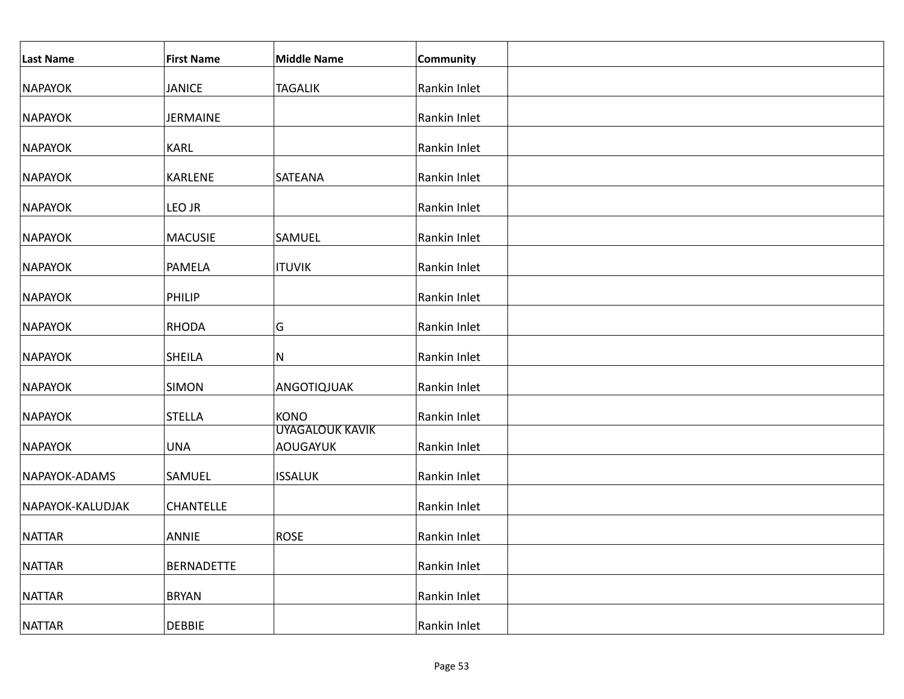| Last Name        | <b>First Name</b> | <b>Middle Name</b>                        | Community    |  |
|------------------|-------------------|-------------------------------------------|--------------|--|
| NAPAYOK          | <b>JANICE</b>     | <b>TAGALIK</b>                            | Rankin Inlet |  |
| NAPAYOK          | <b>JERMAINE</b>   |                                           | Rankin Inlet |  |
| NAPAYOK          | KARL              |                                           | Rankin Inlet |  |
| NAPAYOK          | KARLENE           | SATEANA                                   | Rankin Inlet |  |
| NAPAYOK          | LEO JR            |                                           | Rankin Inlet |  |
| NAPAYOK          | MACUSIE           | SAMUEL                                    | Rankin Inlet |  |
| NAPAYOK          | PAMELA            | <b>ITUVIK</b>                             | Rankin Inlet |  |
| NAPAYOK          | PHILIP            |                                           | Rankin Inlet |  |
| NAPAYOK          | RHODA             | G                                         | Rankin Inlet |  |
| NAPAYOK          | SHEILA            | N                                         | Rankin Inlet |  |
| NAPAYOK          | <b>SIMON</b>      | ANGOTIQJUAK                               | Rankin Inlet |  |
| NAPAYOK          | STELLA            | KONO                                      | Rankin Inlet |  |
| NAPAYOK          | <b>UNA</b>        | <b>UYAGALOUK KAVIK</b><br><b>AOUGAYUK</b> | Rankin Inlet |  |
| NAPAYOK-ADAMS    | SAMUEL            | <b>ISSALUK</b>                            | Rankin Inlet |  |
| NAPAYOK-KALUDJAK | <b>CHANTELLE</b>  |                                           | Rankin Inlet |  |
| NATTAR           | ANNIE             | <b>ROSE</b>                               | Rankin Inlet |  |
| NATTAR           | BERNADETTE        |                                           | Rankin Inlet |  |
| NATTAR           | <b>BRYAN</b>      |                                           | Rankin Inlet |  |
| NATTAR           | <b>DEBBIE</b>     |                                           | Rankin Inlet |  |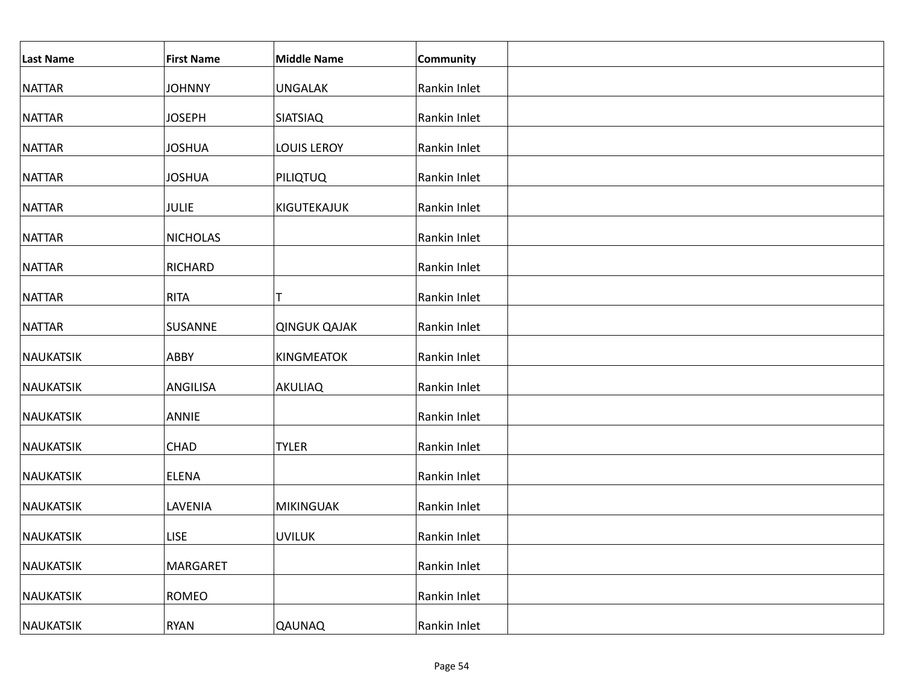| <b>Last Name</b> | <b>First Name</b> | <b>Middle Name</b>  | Community    |  |
|------------------|-------------------|---------------------|--------------|--|
| NATTAR           | <b>JOHNNY</b>     | <b>UNGALAK</b>      | Rankin Inlet |  |
| NATTAR           | <b>JOSEPH</b>     | SIATSIAQ            | Rankin Inlet |  |
| NATTAR           | <b>JOSHUA</b>     | <b>LOUIS LEROY</b>  | Rankin Inlet |  |
| NATTAR           | <b>JOSHUA</b>     | <b>PILIQTUQ</b>     | Rankin Inlet |  |
| NATTAR           | <b>JULIE</b>      | KIGUTEKAJUK         | Rankin Inlet |  |
| NATTAR           | NICHOLAS          |                     | Rankin Inlet |  |
| NATTAR           | RICHARD           |                     | Rankin Inlet |  |
| NATTAR           | RITA              | T                   | Rankin Inlet |  |
| NATTAR           | <b>SUSANNE</b>    | <b>QINGUK QAJAK</b> | Rankin Inlet |  |
| NAUKATSIK        | <b>ABBY</b>       | KINGMEATOK          | Rankin Inlet |  |
| NAUKATSIK        | ANGILISA          | AKULIAQ             | Rankin Inlet |  |
| NAUKATSIK        | ANNIE             |                     | Rankin Inlet |  |
| NAUKATSIK        | <b>CHAD</b>       | <b>TYLER</b>        | Rankin Inlet |  |
| NAUKATSIK        | <b>ELENA</b>      |                     | Rankin Inlet |  |
| NAUKATSIK        | <b>LAVENIA</b>    | <b>MIKINGUAK</b>    | Rankin Inlet |  |
| NAUKATSIK        | LISE              | UVILUK              | Rankin Inlet |  |
| NAUKATSIK        | MARGARET          |                     | Rankin Inlet |  |
| NAUKATSIK        | ROMEO             |                     | Rankin Inlet |  |
| NAUKATSIK        | RYAN              | QAUNAQ              | Rankin Inlet |  |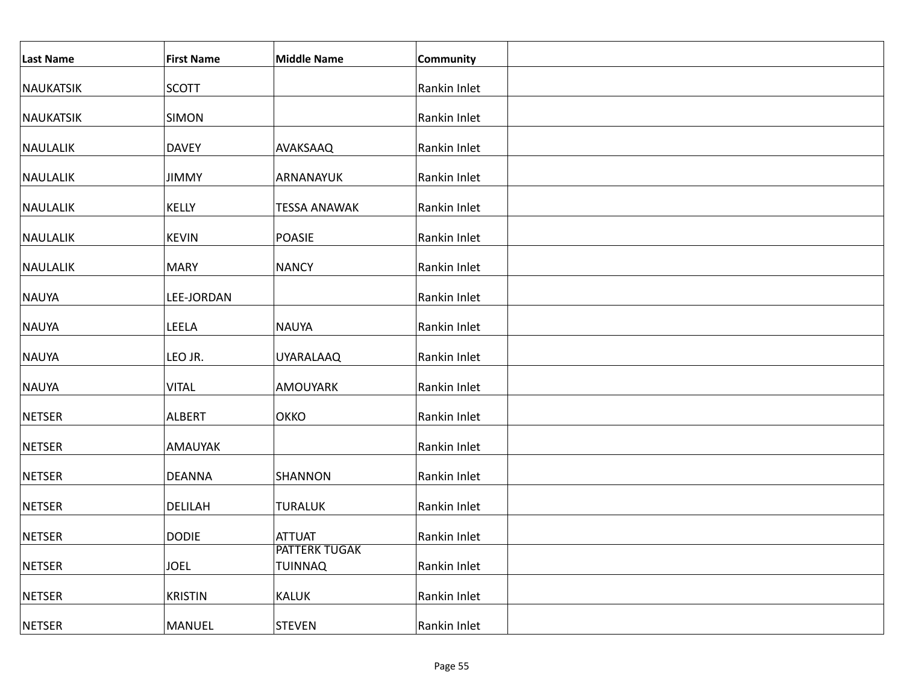| Last Name    | <b>First Name</b> | <b>Middle Name</b>                     | Community    |  |
|--------------|-------------------|----------------------------------------|--------------|--|
| NAUKATSIK    | <b>SCOTT</b>      |                                        | Rankin Inlet |  |
| NAUKATSIK    | <b>SIMON</b>      |                                        | Rankin Inlet |  |
| NAULALIK     | DAVEY             | AVAKSAAQ                               | Rankin Inlet |  |
| NAULALIK     | <b>JIMMY</b>      | ARNANAYUK                              | Rankin Inlet |  |
| NAULALIK     | KELLY             | <b>TESSA ANAWAK</b>                    | Rankin Inlet |  |
| NAULALIK     | <b>KEVIN</b>      | POASIE                                 | Rankin Inlet |  |
| NAULALIK     | MARY              | NANCY                                  | Rankin Inlet |  |
| <b>NAUYA</b> | LEE-JORDAN        |                                        | Rankin Inlet |  |
| NAUYA        | LEELA             | NAUYA                                  | Rankin Inlet |  |
| <b>NAUYA</b> | LEO JR.           | <b>UYARALAAQ</b>                       | Rankin Inlet |  |
| <b>NAUYA</b> | <b>VITAL</b>      | AMOUYARK                               | Rankin Inlet |  |
| NETSER       | ALBERT            | Οκκο                                   | Rankin Inlet |  |
| NETSER       | AMAUYAK           |                                        | Rankin Inlet |  |
| NETSER       | DEANNA            | SHANNON                                | Rankin Inlet |  |
| NETSER       | DELILAH           | <b>TURALUK</b>                         | Rankin Inlet |  |
| NETSER       | <b>DODIE</b>      | <b>ATTUAT</b>                          | Rankin Inlet |  |
| NETSER       | <b>JOEL</b>       | <b>PATTERK TUGAK</b><br><b>TUINNAQ</b> | Rankin Inlet |  |
| NETSER       | KRISTIN           | KALUK                                  | Rankin Inlet |  |
| NETSER       | MANUEL            | STEVEN                                 | Rankin Inlet |  |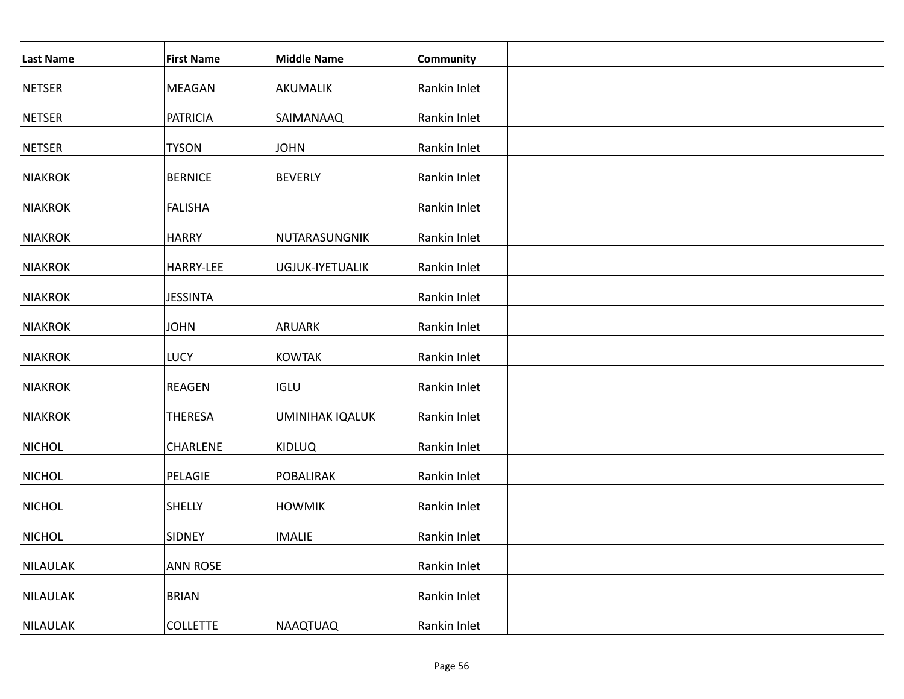| <b>Last Name</b> | <b>First Name</b> | <b>Middle Name</b>     | Community    |  |
|------------------|-------------------|------------------------|--------------|--|
| NETSER           | MEAGAN            | AKUMALIK               | Rankin Inlet |  |
| NETSER           | <b>PATRICIA</b>   | SAIMANAAQ              | Rankin Inlet |  |
| NETSER           | <b>TYSON</b>      | <b>JOHN</b>            | Rankin Inlet |  |
| NIAKROK          | <b>BERNICE</b>    | <b>BEVERLY</b>         | Rankin Inlet |  |
| NIAKROK          | <b>FALISHA</b>    |                        | Rankin Inlet |  |
| NIAKROK          | HARRY             | NUTARASUNGNIK          | Rankin Inlet |  |
| NIAKROK          | HARRY-LEE         | UGJUK-IYETUALIK        | Rankin Inlet |  |
| <b>NIAKROK</b>   | <b>JESSINTA</b>   |                        | Rankin Inlet |  |
| <b>NIAKROK</b>   | <b>JOHN</b>       | ARUARK                 | Rankin Inlet |  |
| <b>NIAKROK</b>   | <b>LUCY</b>       | KOWTAK                 | Rankin Inlet |  |
| NIAKROK          | <b>REAGEN</b>     | <b>IGLU</b>            | Rankin Inlet |  |
| NIAKROK          | <b>THERESA</b>    | <b>UMINIHAK IQALUK</b> | Rankin Inlet |  |
| NICHOL           | <b>CHARLENE</b>   | KIDLUQ                 | Rankin Inlet |  |
| NICHOL           | PELAGIE           | POBALIRAK              | Rankin Inlet |  |
| NICHOL           | SHELLY            | <b>HOWMIK</b>          | Rankin Inlet |  |
| NICHOL           | SIDNEY            | <b>IMALIE</b>          | Rankin Inlet |  |
| <b>NILAULAK</b>  | <b>ANN ROSE</b>   |                        | Rankin Inlet |  |
| NILAULAK         | <b>BRIAN</b>      |                        | Rankin Inlet |  |
| NILAULAK         | <b>COLLETTE</b>   | NAAQTUAQ               | Rankin Inlet |  |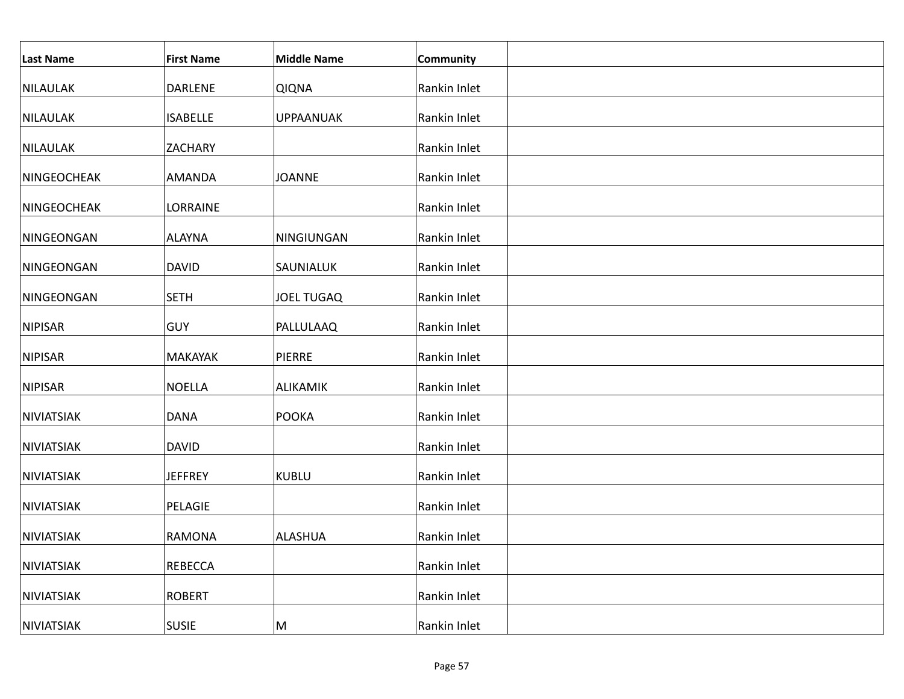| <b>Last Name</b> | <b>First Name</b> | Middle Name       | Community    |  |
|------------------|-------------------|-------------------|--------------|--|
| NILAULAK         | DARLENE           | <b>QIQNA</b>      | Rankin Inlet |  |
| NILAULAK         | <b>ISABELLE</b>   | <b>UPPAANUAK</b>  | Rankin Inlet |  |
| NILAULAK         | <b>ZACHARY</b>    |                   | Rankin Inlet |  |
| NINGEOCHEAK      | AMANDA            | <b>JOANNE</b>     | Rankin Inlet |  |
| NINGEOCHEAK      | <b>LORRAINE</b>   |                   | Rankin Inlet |  |
| NINGEONGAN       | ALAYNA            | NINGIUNGAN        | Rankin Inlet |  |
| NINGEONGAN       | DAVID             | <b>SAUNIALUK</b>  | Rankin Inlet |  |
| NINGEONGAN       | <b>SETH</b>       | <b>JOEL TUGAQ</b> | Rankin Inlet |  |
| <b>NIPISAR</b>   | GUY               | PALLULAAQ         | Rankin Inlet |  |
| <b>NIPISAR</b>   | MAKAYAK           | PIERRE            | Rankin Inlet |  |
| NIPISAR          | <b>NOELLA</b>     | ALIKAMIK          | Rankin Inlet |  |
| NIVIATSIAK       | DANA              | POOKA             | Rankin Inlet |  |
| NIVIATSIAK       | <b>DAVID</b>      |                   | Rankin Inlet |  |
| NIVIATSIAK       | <b>JEFFREY</b>    | KUBLU             | Rankin Inlet |  |
| NIVIATSIAK       | PELAGIE           |                   | Rankin Inlet |  |
| NIVIATSIAK       | RAMONA            | ALASHUA           | Rankin Inlet |  |
| NIVIATSIAK       | REBECCA           |                   | Rankin Inlet |  |
| NIVIATSIAK       | ROBERT            |                   | Rankin Inlet |  |
| NIVIATSIAK       | <b>SUSIE</b>      | M                 | Rankin Inlet |  |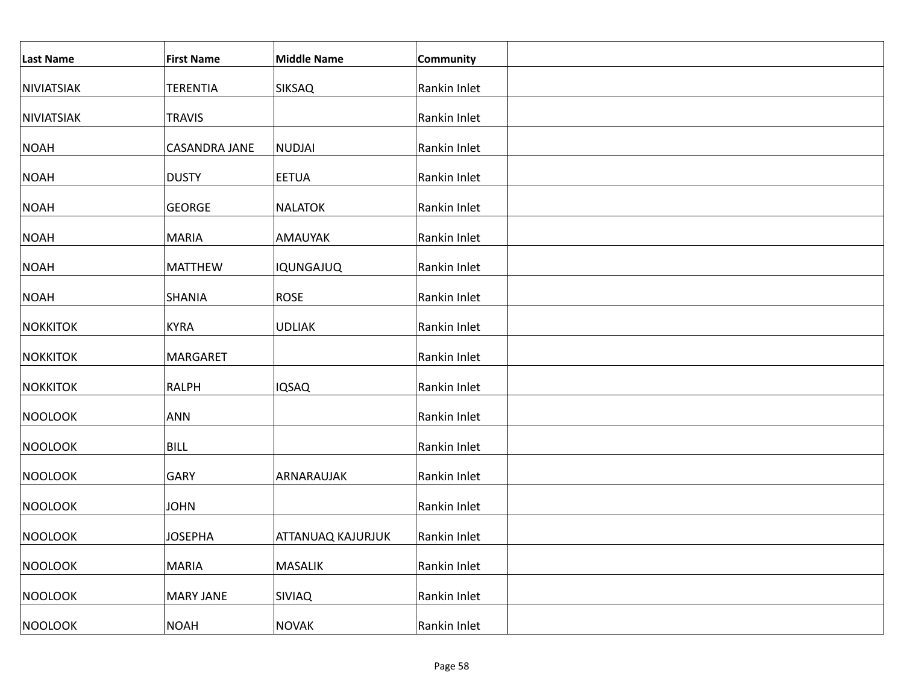| <b>Last Name</b> | <b>First Name</b>    | <b>Middle Name</b>       | Community    |  |
|------------------|----------------------|--------------------------|--------------|--|
| NIVIATSIAK       | <b>TERENTIA</b>      | <b>SIKSAQ</b>            | Rankin Inlet |  |
| NIVIATSIAK       | <b>TRAVIS</b>        |                          | Rankin Inlet |  |
| NOAH             | <b>CASANDRA JANE</b> | NUDJAI                   | Rankin Inlet |  |
| NOAH             | <b>DUSTY</b>         | <b>EETUA</b>             | Rankin Inlet |  |
| NOAH             | GEORGE               | NALATOK                  | Rankin Inlet |  |
| NOAH             | <b>MARIA</b>         | AMAUYAK                  | Rankin Inlet |  |
| NOAH             | MATTHEW              | <b>IQUNGAJUQ</b>         | Rankin Inlet |  |
| NOAH             | SHANIA               | <b>ROSE</b>              | Rankin Inlet |  |
| <b>NOKKITOK</b>  | KYRA                 | UDLIAK                   | Rankin Inlet |  |
| <b>NOKKITOK</b>  | MARGARET             |                          | Rankin Inlet |  |
| <b>NOKKITOK</b>  | <b>RALPH</b>         | <b>IQSAQ</b>             | Rankin Inlet |  |
| NOOLOOK          | ANN                  |                          | Rankin Inlet |  |
| NOOLOOK          | <b>BILL</b>          |                          | Rankin Inlet |  |
| <b>NOOLOOK</b>   | GARY                 | ARNARAUJAK               | Rankin Inlet |  |
| <b>NOOLOOK</b>   | <b>JOHN</b>          |                          | Rankin Inlet |  |
| NOOLOOK          | <b>JOSEPHA</b>       | <b>ATTANUAQ KAJURJUK</b> | Rankin Inlet |  |
| <b>NOOLOOK</b>   | <b>MARIA</b>         | <b>MASALIK</b>           | Rankin Inlet |  |
| <b>NOOLOOK</b>   | MARY JANE            | <b>SIVIAQ</b>            | Rankin Inlet |  |
| NOOLOOK          | NOAH                 | NOVAK                    | Rankin Inlet |  |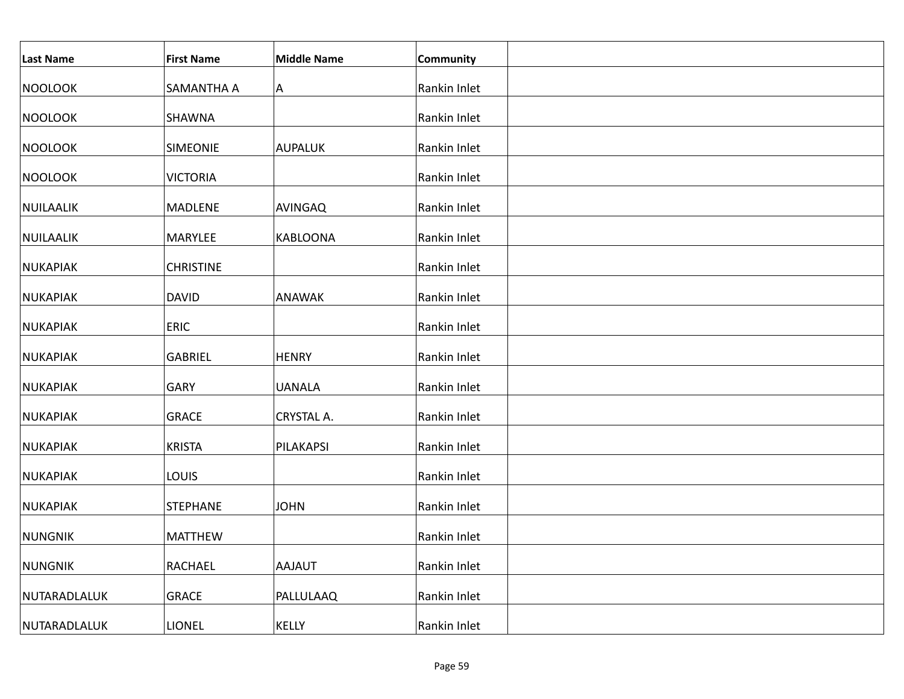| Last Name    | <b>First Name</b> | Middle Name     | Community    |
|--------------|-------------------|-----------------|--------------|
| NOOLOOK      | <b>SAMANTHA A</b> | A               | Rankin Inlet |
| NOOLOOK      | SHAWNA            |                 | Rankin Inlet |
| NOOLOOK      | <b>SIMEONIE</b>   | <b>AUPALUK</b>  | Rankin Inlet |
| NOOLOOK      | <b>VICTORIA</b>   |                 | Rankin Inlet |
| NUILAALIK    | MADLENE           | AVINGAQ         | Rankin Inlet |
| NUILAALIK    | MARYLEE           | <b>KABLOONA</b> | Rankin Inlet |
| NUKAPIAK     | <b>CHRISTINE</b>  |                 | Rankin Inlet |
| NUKAPIAK     | DAVID             | ANAWAK          | Rankin Inlet |
| NUKAPIAK     | <b>ERIC</b>       |                 | Rankin Inlet |
| NUKAPIAK     | <b>GABRIEL</b>    | HENRY           | Rankin Inlet |
| NUKAPIAK     | GARY              | UANALA          | Rankin Inlet |
| NUKAPIAK     | GRACE             | CRYSTAL A.      | Rankin Inlet |
| NUKAPIAK     | <b>KRISTA</b>     | PILAKAPSI       | Rankin Inlet |
| NUKAPIAK     | <b>LOUIS</b>      |                 | Rankin Inlet |
| NUKAPIAK     | <b>STEPHANE</b>   | <b>JOHN</b>     | Rankin Inlet |
| NUNGNIK      | MATTHEW           |                 | Rankin Inlet |
| NUNGNIK      | RACHAEL           | AAJAUT          | Rankin Inlet |
| NUTARADLALUK | GRACE             | PALLULAAQ       | Rankin Inlet |
| NUTARADLALUK | <b>LIONEL</b>     | KELLY           | Rankin Inlet |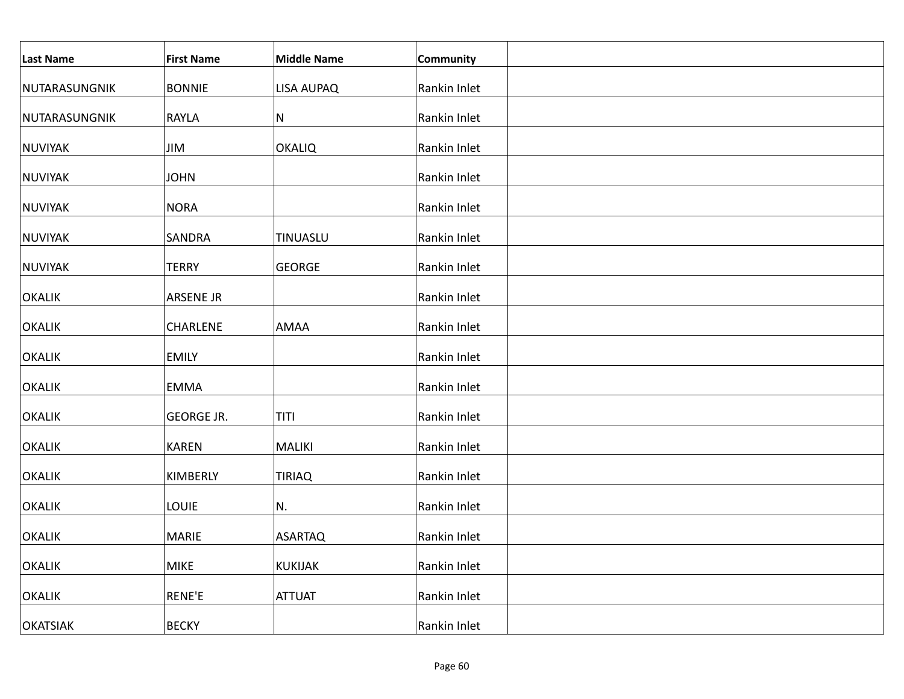| Last Name       | <b>First Name</b> | Middle Name       | Community    |
|-----------------|-------------------|-------------------|--------------|
| NUTARASUNGNIK   | <b>BONNIE</b>     | <b>LISA AUPAQ</b> | Rankin Inlet |
| NUTARASUNGNIK   | RAYLA             | N                 | Rankin Inlet |
| NUVIYAK         | JIM               | OKALIQ            | Rankin Inlet |
| NUVIYAK         | <b>JOHN</b>       |                   | Rankin Inlet |
| NUVIYAK         | NORA              |                   | Rankin Inlet |
| NUVIYAK         | SANDRA            | <b>TINUASLU</b>   | Rankin Inlet |
| NUVIYAK         | TERRY             | GEORGE            | Rankin Inlet |
| <b>OKALIK</b>   | <b>ARSENE JR</b>  |                   | Rankin Inlet |
| <b>OKALIK</b>   | <b>CHARLENE</b>   | AMAA              | Rankin Inlet |
| <b>OKALIK</b>   | <b>EMILY</b>      |                   | Rankin Inlet |
| <b>OKALIK</b>   | <b>EMMA</b>       |                   | Rankin Inlet |
| <b>OKALIK</b>   | <b>GEORGE JR.</b> | TITI              | Rankin Inlet |
| <b>OKALIK</b>   | <b>KAREN</b>      | MALIKI            | Rankin Inlet |
| <b>OKALIK</b>   | KIMBERLY          | <b>TIRIAQ</b>     | Rankin Inlet |
| <b>OKALIK</b>   | <b>LOUIE</b>      | N.                | Rankin Inlet |
| <b>OKALIK</b>   | MARIE             | ASARTAQ           | Rankin Inlet |
| <b>OKALIK</b>   | MIKE              | KUKIJAK           | Rankin Inlet |
| <b>OKALIK</b>   | RENE'E            | <b>ATTUAT</b>     | Rankin Inlet |
| <b>OKATSIAK</b> | BECKY             |                   | Rankin Inlet |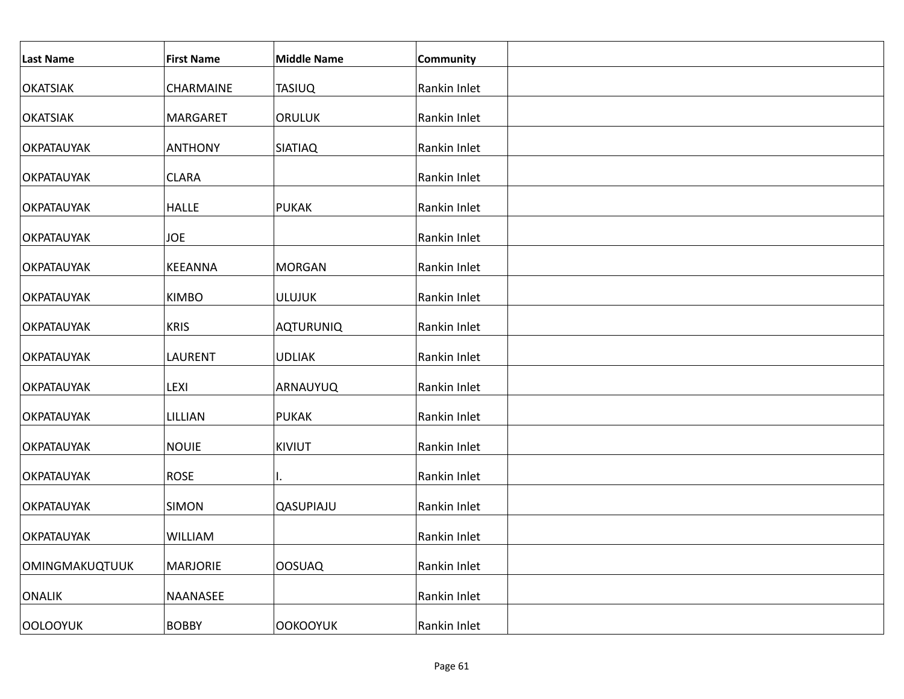| Last Name         | <b>First Name</b> | <b>Middle Name</b> | Community    |  |
|-------------------|-------------------|--------------------|--------------|--|
| <b>OKATSIAK</b>   | <b>CHARMAINE</b>  | <b>TASIUQ</b>      | Rankin Inlet |  |
| <b>OKATSIAK</b>   | MARGARET          | ORULUK             | Rankin Inlet |  |
| <b>OKPATAUYAK</b> | ANTHONY           | SIATIAQ            | Rankin Inlet |  |
| <b>OKPATAUYAK</b> | <b>CLARA</b>      |                    | Rankin Inlet |  |
| <b>OKPATAUYAK</b> | HALLE             | PUKAK              | Rankin Inlet |  |
| <b>OKPATAUYAK</b> | <b>JOE</b>        |                    | Rankin Inlet |  |
| <b>OKPATAUYAK</b> | KEEANNA           | MORGAN             | Rankin Inlet |  |
| <b>OKPATAUYAK</b> | <b>KIMBO</b>      | ULUJUK             | Rankin Inlet |  |
| OKPATAUYAK        | <b>KRIS</b>       | AQTURUNIQ          | Rankin Inlet |  |
| <b>OKPATAUYAK</b> | LAURENT           | <b>UDLIAK</b>      | Rankin Inlet |  |
| OKPATAUYAK        | LEXI              | ARNAUYUQ           | Rankin Inlet |  |
| <b>OKPATAUYAK</b> | LILLIAN           | PUKAK              | Rankin Inlet |  |
| <b>OKPATAUYAK</b> | NOUIE             | KIVIUT             | Rankin Inlet |  |
| <b>OKPATAUYAK</b> | ROSE              | ı.                 | Rankin Inlet |  |
| <b>OKPATAUYAK</b> | SIMON             | QASUPIAJU          | Rankin Inlet |  |
| <b>OKPATAUYAK</b> | <b>WILLIAM</b>    |                    | Rankin Inlet |  |
| OMINGMAKUQTUUK    | MARJORIE          | <b>OOSUAQ</b>      | Rankin Inlet |  |
| ONALIK            | NAANASEE          |                    | Rankin Inlet |  |
| <b>OOLOOYUK</b>   | <b>BOBBY</b>      | <b>OOKOOYUK</b>    | Rankin Inlet |  |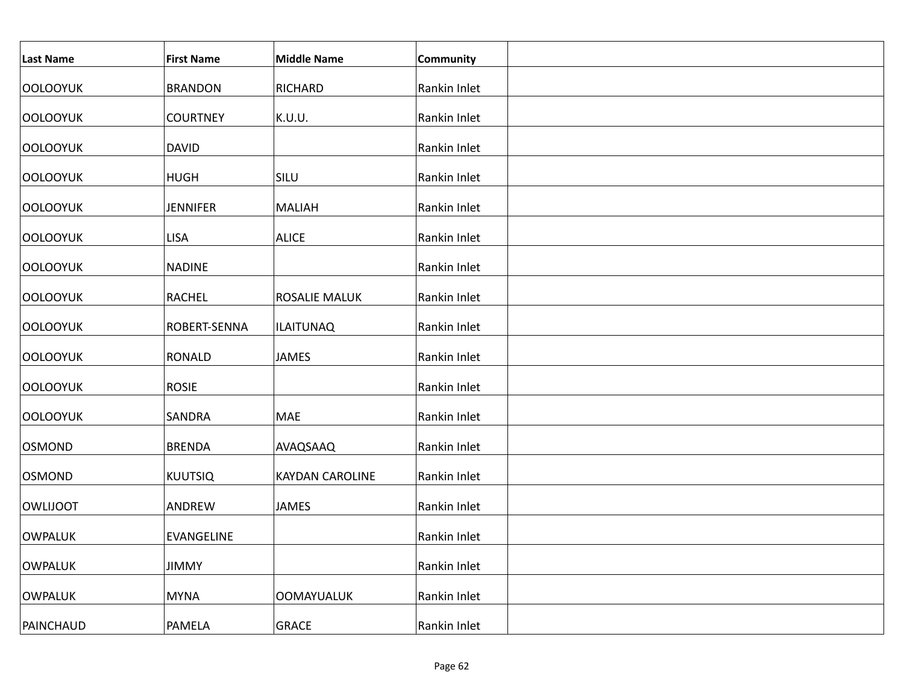| Last Name       | <b>First Name</b> | Middle Name            | Community    |
|-----------------|-------------------|------------------------|--------------|
| <b>OOLOOYUK</b> | BRANDON           | RICHARD                | Rankin Inlet |
| <b>OOLOOYUK</b> | <b>COURTNEY</b>   | K.U.U.                 | Rankin Inlet |
| <b>OOLOOYUK</b> | DAVID             |                        | Rankin Inlet |
| <b>OOLOOYUK</b> | <b>HUGH</b>       | SILU                   | Rankin Inlet |
| <b>OOLOOYUK</b> | <b>JENNIFER</b>   | MALIAH                 | Rankin Inlet |
| <b>OOLOOYUK</b> | <b>LISA</b>       | <b>ALICE</b>           | Rankin Inlet |
| <b>OOLOOYUK</b> | NADINE            |                        | Rankin Inlet |
| <b>OOLOOYUK</b> | RACHEL            | <b>ROSALIE MALUK</b>   | Rankin Inlet |
| <b>OOLOOYUK</b> | ROBERT-SENNA      | <b>ILAITUNAQ</b>       | Rankin Inlet |
| <b>OOLOOYUK</b> | RONALD            | <b>JAMES</b>           | Rankin Inlet |
| <b>OOLOOYUK</b> | <b>ROSIE</b>      |                        | Rankin Inlet |
| <b>OOLOOYUK</b> | SANDRA            | MAE                    | Rankin Inlet |
| OSMOND          | <b>BRENDA</b>     | AVAQSAAQ               | Rankin Inlet |
| OSMOND          | <b>KUUTSIQ</b>    | <b>KAYDAN CAROLINE</b> | Rankin Inlet |
| <b>OWLIJOOT</b> | ANDREW            | <b>JAMES</b>           | Rankin Inlet |
| OWPALUK         | EVANGELINE        |                        | Rankin Inlet |
| OWPALUK         | <b>JIMMY</b>      |                        | Rankin Inlet |
| OWPALUK         | MYNA              | OOMAYUALUK             | Rankin Inlet |
| PAINCHAUD       | PAMELA            | GRACE                  | Rankin Inlet |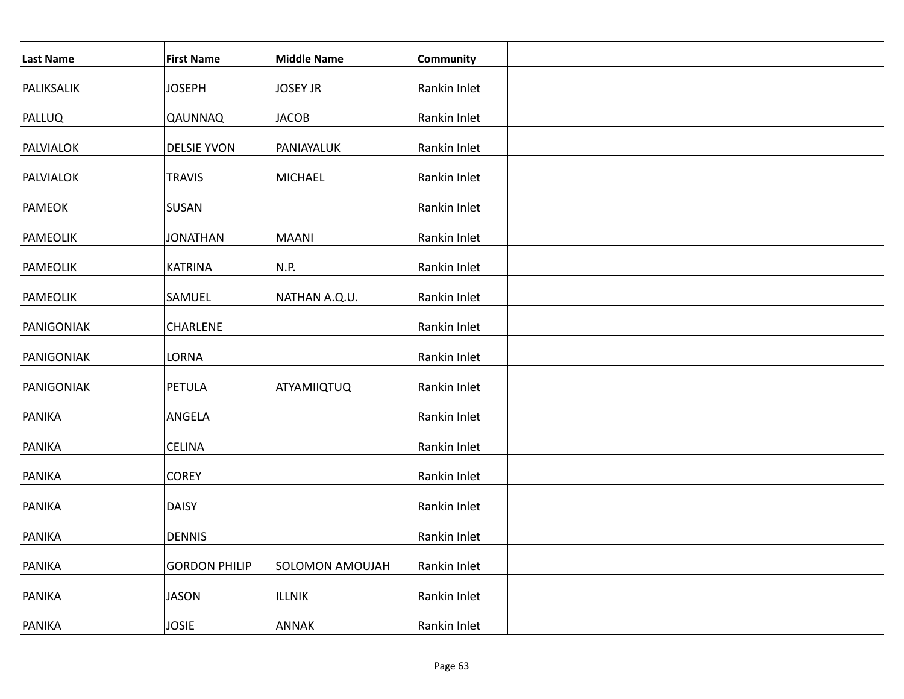| <b>Last Name</b> | <b>First Name</b>    | <b>Middle Name</b>     | Community    |  |
|------------------|----------------------|------------------------|--------------|--|
| PALIKSALIK       | <b>JOSEPH</b>        | <b>JOSEY JR</b>        | Rankin Inlet |  |
| PALLUQ           | <b>QAUNNAQ</b>       | <b>JACOB</b>           | Rankin Inlet |  |
| PALVIALOK        | <b>DELSIE YVON</b>   | PANIAYALUK             | Rankin Inlet |  |
| PALVIALOK        | <b>TRAVIS</b>        | MICHAEL                | Rankin Inlet |  |
| PAMEOK           | SUSAN                |                        | Rankin Inlet |  |
| <b>PAMEOLIK</b>  | <b>JONATHAN</b>      | MAANI                  | Rankin Inlet |  |
| PAMEOLIK         | <b>KATRINA</b>       | N.P.                   | Rankin Inlet |  |
| PAMEOLIK         | SAMUEL               | NATHAN A.Q.U.          | Rankin Inlet |  |
| PANIGONIAK       | <b>CHARLENE</b>      |                        | Rankin Inlet |  |
| PANIGONIAK       | <b>LORNA</b>         |                        | Rankin Inlet |  |
| PANIGONIAK       | PETULA               | ATYAMIIQTUQ            | Rankin Inlet |  |
| PANIKA           | ANGELA               |                        | Rankin Inlet |  |
| PANIKA           | <b>CELINA</b>        |                        | Rankin Inlet |  |
| PANIKA           | <b>COREY</b>         |                        | Rankin Inlet |  |
| PANIKA           | DAISY                |                        | Rankin Inlet |  |
| PANIKA           | DENNIS               |                        | Rankin Inlet |  |
| PANIKA           | <b>GORDON PHILIP</b> | <b>SOLOMON AMOUJAH</b> | Rankin Inlet |  |
| <b>PANIKA</b>    | <b>JASON</b>         | <b>ILLNIK</b>          | Rankin Inlet |  |
| PANIKA           | <b>JOSIE</b>         | ANNAK                  | Rankin Inlet |  |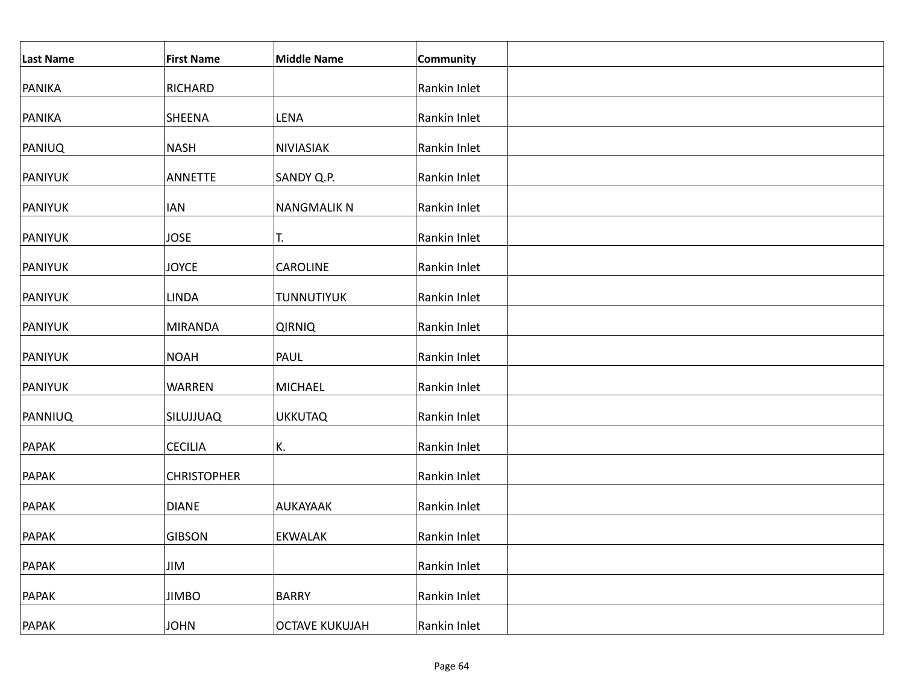| <b>Last Name</b> | <b>First Name</b>  | <b>Middle Name</b>    | Community    |  |
|------------------|--------------------|-----------------------|--------------|--|
| PANIKA           | <b>RICHARD</b>     |                       | Rankin Inlet |  |
| PANIKA           | <b>SHEENA</b>      | LENA                  | Rankin Inlet |  |
| PANIUQ           | <b>NASH</b>        | NIVIASIAK             | Rankin Inlet |  |
| <b>PANIYUK</b>   | <b>ANNETTE</b>     | SANDY Q.P.            | Rankin Inlet |  |
| <b>PANIYUK</b>   | <b>IAN</b>         | <b>NANGMALIK N</b>    | Rankin Inlet |  |
| <b>PANIYUK</b>   | <b>JOSE</b>        | T.                    | Rankin Inlet |  |
| <b>PANIYUK</b>   | <b>JOYCE</b>       | <b>CAROLINE</b>       | Rankin Inlet |  |
| PANIYUK          | <b>LINDA</b>       | <b>TUNNUTIYUK</b>     | Rankin Inlet |  |
| PANIYUK          | <b>MIRANDA</b>     | <b>QIRNIQ</b>         | Rankin Inlet |  |
| <b>PANIYUK</b>   | <b>NOAH</b>        | <b>PAUL</b>           | Rankin Inlet |  |
| <b>PANIYUK</b>   | <b>WARREN</b>      | <b>MICHAEL</b>        | Rankin Inlet |  |
| PANNIUQ          | SILUJJUAQ          | <b>UKKUTAQ</b>        | Rankin Inlet |  |
| <b>PAPAK</b>     | <b>CECILIA</b>     | K.                    | Rankin Inlet |  |
| <b>PAPAK</b>     | <b>CHRISTOPHER</b> |                       | Rankin Inlet |  |
| <b>PAPAK</b>     | <b>DIANE</b>       | AUKAYAAK              | Rankin Inlet |  |
| <b>PAPAK</b>     | <b>GIBSON</b>      | <b>EKWALAK</b>        | Rankin Inlet |  |
| <b>PAPAK</b>     | JIM                |                       | Rankin Inlet |  |
| <b>PAPAK</b>     | <b>JIMBO</b>       | <b>BARRY</b>          | Rankin Inlet |  |
| <b>PAPAK</b>     | <b>JOHN</b>        | <b>OCTAVE KUKUJAH</b> | Rankin Inlet |  |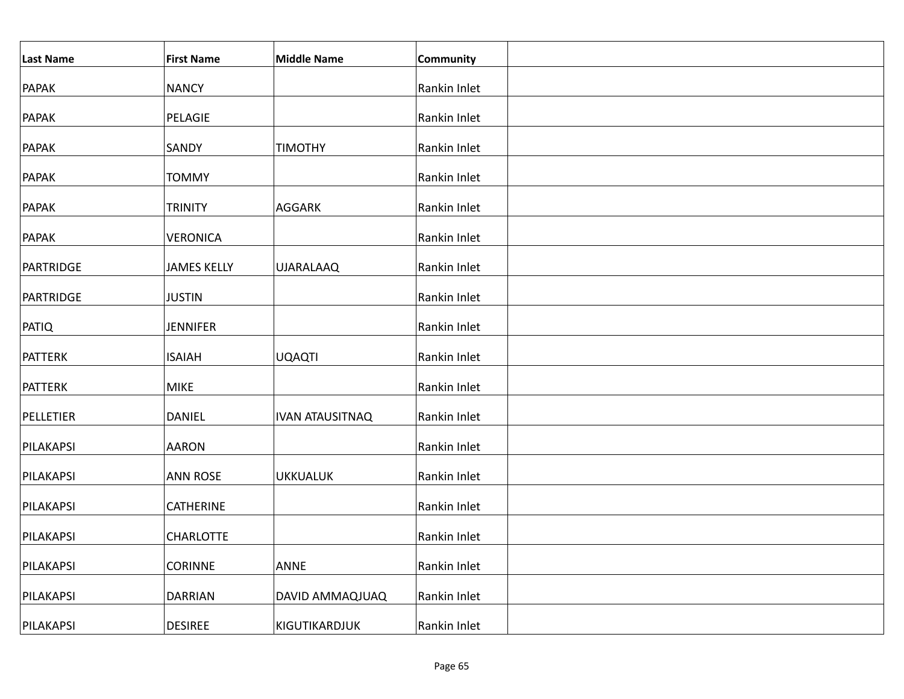| Last Name | <b>First Name</b>  | <b>Middle Name</b> | Community    |  |
|-----------|--------------------|--------------------|--------------|--|
| PAPAK     | <b>NANCY</b>       |                    | Rankin Inlet |  |
| PAPAK     | PELAGIE            |                    | Rankin Inlet |  |
| PAPAK     | SANDY              | <b>TIMOTHY</b>     | Rankin Inlet |  |
| PAPAK     | <b>TOMMY</b>       |                    | Rankin Inlet |  |
| PAPAK     | <b>TRINITY</b>     | AGGARK             | Rankin Inlet |  |
| PAPAK     | <b>VERONICA</b>    |                    | Rankin Inlet |  |
| PARTRIDGE | <b>JAMES KELLY</b> | UJARALAAQ          | Rankin Inlet |  |
| PARTRIDGE | JUSTIN             |                    | Rankin Inlet |  |
| PATIQ     | <b>JENNIFER</b>    |                    | Rankin Inlet |  |
| PATTERK   | <b>ISAIAH</b>      | UQAQTI             | Rankin Inlet |  |
| PATTERK   | <b>MIKE</b>        |                    | Rankin Inlet |  |
| PELLETIER | <b>DANIEL</b>      | IVAN ATAUSITNAQ    | Rankin Inlet |  |
| PILAKAPSI | <b>AARON</b>       |                    | Rankin Inlet |  |
| PILAKAPSI | <b>ANN ROSE</b>    | <b>UKKUALUK</b>    | Rankin Inlet |  |
| PILAKAPSI | <b>CATHERINE</b>   |                    | Rankin Inlet |  |
| PILAKAPSI | <b>CHARLOTTE</b>   |                    | Rankin Inlet |  |
| PILAKAPSI | <b>CORINNE</b>     | ANNE               | Rankin Inlet |  |
| PILAKAPSI | <b>DARRIAN</b>     | DAVID AMMAQJUAQ    | Rankin Inlet |  |
| PILAKAPSI | <b>DESIREE</b>     | KIGUTIKARDJUK      | Rankin Inlet |  |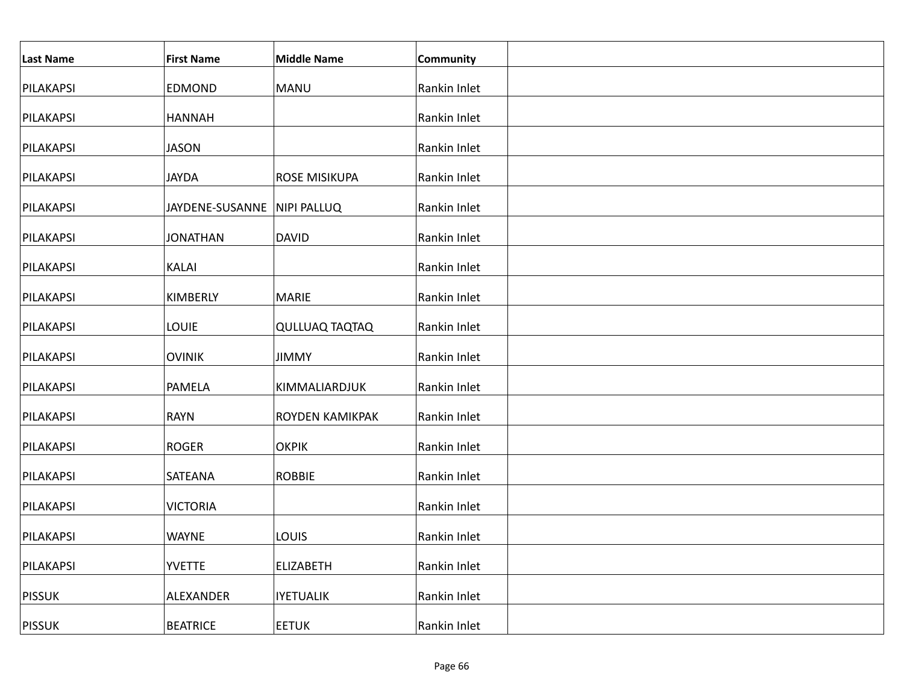| <b>Last Name</b> | <b>First Name</b>           | <b>Middle Name</b>     | Community    |  |
|------------------|-----------------------------|------------------------|--------------|--|
| PILAKAPSI        | EDMOND                      | MANU                   | Rankin Inlet |  |
| PILAKAPSI        | <b>HANNAH</b>               |                        | Rankin Inlet |  |
| PILAKAPSI        | <b>JASON</b>                |                        | Rankin Inlet |  |
| PILAKAPSI        | <b>JAYDA</b>                | <b>ROSE MISIKUPA</b>   | Rankin Inlet |  |
| PILAKAPSI        | JAYDENE-SUSANNE NIPI PALLUQ |                        | Rankin Inlet |  |
| PILAKAPSI        | <b>JONATHAN</b>             | <b>DAVID</b>           | Rankin Inlet |  |
| PILAKAPSI        | KALAI                       |                        | Rankin Inlet |  |
| PILAKAPSI        | KIMBERLY                    | MARIE                  | Rankin Inlet |  |
| PILAKAPSI        | <b>LOUIE</b>                | QULLUAQ TAQTAQ         | Rankin Inlet |  |
| PILAKAPSI        | OVINIK                      | <b>JIMMY</b>           | Rankin Inlet |  |
| PILAKAPSI        | <b>PAMELA</b>               | KIMMALIARDJUK          | Rankin Inlet |  |
| PILAKAPSI        | RAYN                        | <b>ROYDEN KAMIKPAK</b> | Rankin Inlet |  |
| PILAKAPSI        | <b>ROGER</b>                | <b>OKPIK</b>           | Rankin Inlet |  |
| PILAKAPSI        | <b>SATEANA</b>              | <b>ROBBIE</b>          | Rankin Inlet |  |
| PILAKAPSI        | <b>VICTORIA</b>             |                        | Rankin Inlet |  |
| PILAKAPSI        | <b>WAYNE</b>                | LOUIS                  | Rankin Inlet |  |
| PILAKAPSI        | <b>YVETTE</b>               | <b>ELIZABETH</b>       | Rankin Inlet |  |
| PISSUK           | ALEXANDER                   | <b>IYETUALIK</b>       | Rankin Inlet |  |
| PISSUK           | <b>BEATRICE</b>             | <b>EETUK</b>           | Rankin Inlet |  |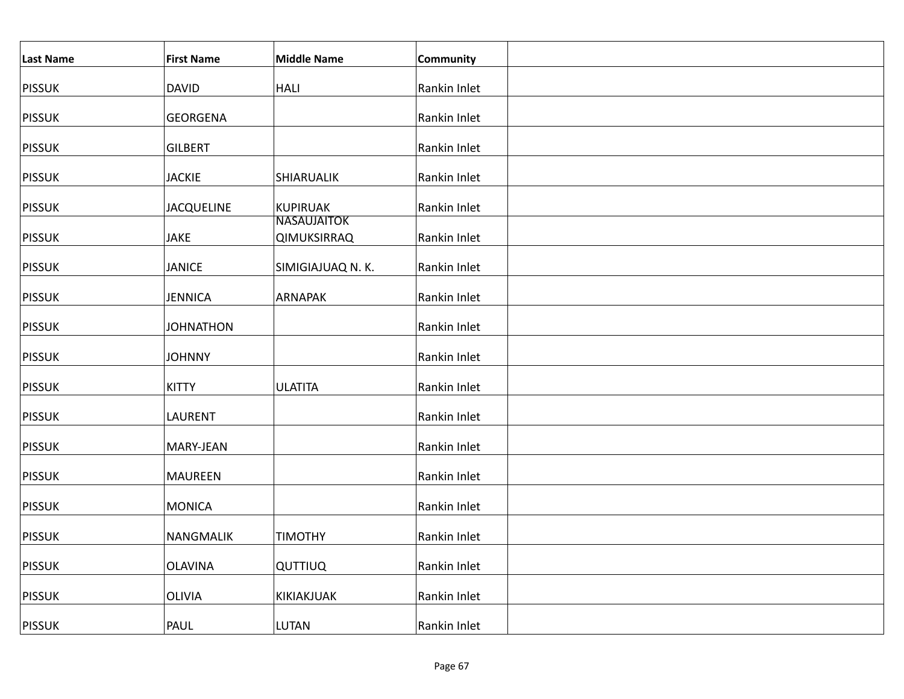| <b>Last Name</b> | <b>First Name</b> | Middle Name                              | <b>Community</b> |  |
|------------------|-------------------|------------------------------------------|------------------|--|
| <b>PISSUK</b>    | <b>DAVID</b>      | HALI                                     | Rankin Inlet     |  |
| <b>PISSUK</b>    | <b>GEORGENA</b>   |                                          | Rankin Inlet     |  |
| <b>PISSUK</b>    | <b>GILBERT</b>    |                                          | Rankin Inlet     |  |
| <b>PISSUK</b>    | <b>JACKIE</b>     | SHIARUALIK                               | Rankin Inlet     |  |
| <b>PISSUK</b>    | <b>JACQUELINE</b> | KUPIRUAK                                 | Rankin Inlet     |  |
| <b>PISSUK</b>    | <b>JAKE</b>       | <b>NASAUJAITOK</b><br><b>QIMUKSIRRAQ</b> | Rankin Inlet     |  |
| <b>PISSUK</b>    | <b>JANICE</b>     | SIMIGIAJUAQ N. K.                        | Rankin Inlet     |  |
| <b>PISSUK</b>    | <b>JENNICA</b>    | ARNAPAK                                  | Rankin Inlet     |  |
| <b>PISSUK</b>    | <b>JOHNATHON</b>  |                                          | Rankin Inlet     |  |
| <b>PISSUK</b>    | <b>JOHNNY</b>     |                                          | Rankin Inlet     |  |
| <b>PISSUK</b>    | KITTY             | <b>ULATITA</b>                           | Rankin Inlet     |  |
| <b>PISSUK</b>    | LAURENT           |                                          | Rankin Inlet     |  |
| <b>PISSUK</b>    | MARY-JEAN         |                                          | Rankin Inlet     |  |
| <b>PISSUK</b>    | <b>MAUREEN</b>    |                                          | Rankin Inlet     |  |
| <b>PISSUK</b>    | <b>MONICA</b>     |                                          | Rankin Inlet     |  |
| <b>PISSUK</b>    | <b>NANGMALIK</b>  | <b>TIMOTHY</b>                           | Rankin Inlet     |  |
| <b>PISSUK</b>    | <b>OLAVINA</b>    | QUTTIUQ                                  | Rankin Inlet     |  |
| <b>PISSUK</b>    | <b>OLIVIA</b>     | KIKIAKJUAK                               | Rankin Inlet     |  |
| <b>PISSUK</b>    | PAUL              | LUTAN                                    | Rankin Inlet     |  |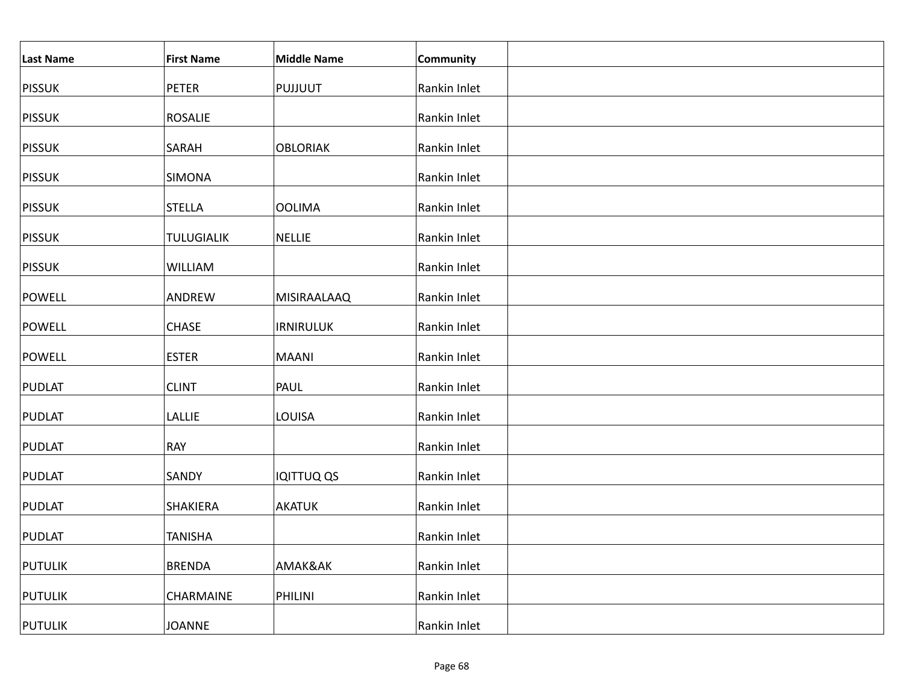| <b>Last Name</b> | <b>First Name</b> | <b>Middle Name</b> | Community    |  |
|------------------|-------------------|--------------------|--------------|--|
| <b>PISSUK</b>    | <b>PETER</b>      | PUJJUUT            | Rankin Inlet |  |
| <b>PISSUK</b>    | <b>ROSALIE</b>    |                    | Rankin Inlet |  |
| <b>PISSUK</b>    | <b>SARAH</b>      | <b>OBLORIAK</b>    | Rankin Inlet |  |
| <b>PISSUK</b>    | <b>SIMONA</b>     |                    | Rankin Inlet |  |
| <b>PISSUK</b>    | <b>STELLA</b>     | <b>OOLIMA</b>      | Rankin Inlet |  |
| <b>PISSUK</b>    | <b>TULUGIALIK</b> | NELLIE             | Rankin Inlet |  |
| <b>PISSUK</b>    | WILLIAM           |                    | Rankin Inlet |  |
| <b>POWELL</b>    | ANDREW            | <b>MISIRAALAAQ</b> | Rankin Inlet |  |
| POWELL           | <b>CHASE</b>      | <b>IRNIRULUK</b>   | Rankin Inlet |  |
| <b>POWELL</b>    | <b>ESTER</b>      | <b>MAANI</b>       | Rankin Inlet |  |
| <b>PUDLAT</b>    | <b>CLINT</b>      | PAUL               | Rankin Inlet |  |
| <b>PUDLAT</b>    | <b>LALLIE</b>     | <b>LOUISA</b>      | Rankin Inlet |  |
| <b>PUDLAT</b>    | <b>RAY</b>        |                    | Rankin Inlet |  |
| <b>PUDLAT</b>    | SANDY             | <b>IQITTUQ QS</b>  | Rankin Inlet |  |
| <b>PUDLAT</b>    | <b>SHAKIERA</b>   | <b>AKATUK</b>      | Rankin Inlet |  |
| <b>PUDLAT</b>    | <b>TANISHA</b>    |                    | Rankin Inlet |  |
| <b>PUTULIK</b>   | <b>BRENDA</b>     | AMAK&AK            | Rankin Inlet |  |
| <b>PUTULIK</b>   | <b>CHARMAINE</b>  | PHILINI            | Rankin Inlet |  |
| <b>PUTULIK</b>   | <b>JOANNE</b>     |                    | Rankin Inlet |  |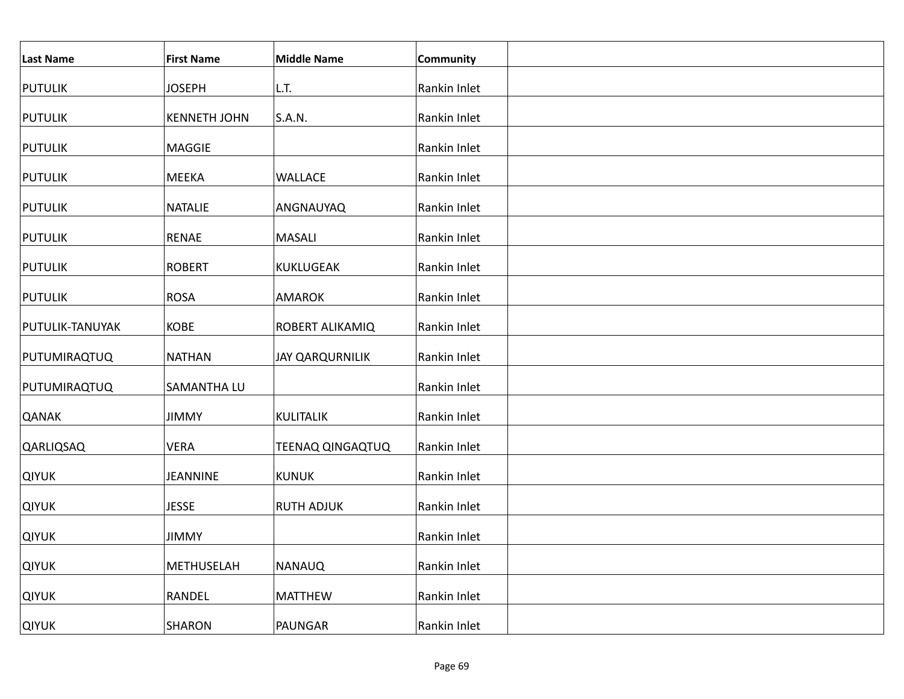| <b>Last Name</b> | <b>First Name</b>   | <b>Middle Name</b>      | Community    |  |
|------------------|---------------------|-------------------------|--------------|--|
| PUTULIK          | <b>JOSEPH</b>       | L.T.                    | Rankin Inlet |  |
| PUTULIK          | <b>KENNETH JOHN</b> | S.A.N.                  | Rankin Inlet |  |
| PUTULIK          | MAGGIE              |                         | Rankin Inlet |  |
| PUTULIK          | <b>MEEKA</b>        | <b>WALLACE</b>          | Rankin Inlet |  |
| PUTULIK          | NATALIE             | ANGNAUYAQ               | Rankin Inlet |  |
| PUTULIK          | <b>RENAE</b>        | MASALI                  | Rankin Inlet |  |
| PUTULIK          | ROBERT              | KUKLUGEAK               | Rankin Inlet |  |
| PUTULIK          | ROSA                | AMAROK                  | Rankin Inlet |  |
| PUTULIK-TANUYAK  | KOBE                | ROBERT ALIKAMIQ         | Rankin Inlet |  |
| PUTUMIRAQTUQ     | NATHAN              | <b>JAY QARQURNILIK</b>  | Rankin Inlet |  |
| PUTUMIRAQTUQ     | <b>SAMANTHA LU</b>  |                         | Rankin Inlet |  |
| <b>QANAK</b>     | <b>JIMMY</b>        | KULITALIK               | Rankin Inlet |  |
| <b>QARLIQSAQ</b> | <b>VERA</b>         | <b>TEENAQ QINGAQTUQ</b> | Rankin Inlet |  |
| <b>QIYUK</b>     | <b>JEANNINE</b>     | KUNUK                   | Rankin Inlet |  |
| <b>QIYUK</b>     | <b>JESSE</b>        | <b>RUTH ADJUK</b>       | Rankin Inlet |  |
| <b>QIYUK</b>     | <b>JIMMY</b>        |                         | Rankin Inlet |  |
| <b>QIYUK</b>     | <b>METHUSELAH</b>   | NANAUQ                  | Rankin Inlet |  |
| <b>QIYUK</b>     | RANDEL              | MATTHEW                 | Rankin Inlet |  |
| <b>QIYUK</b>     | SHARON              | PAUNGAR                 | Rankin Inlet |  |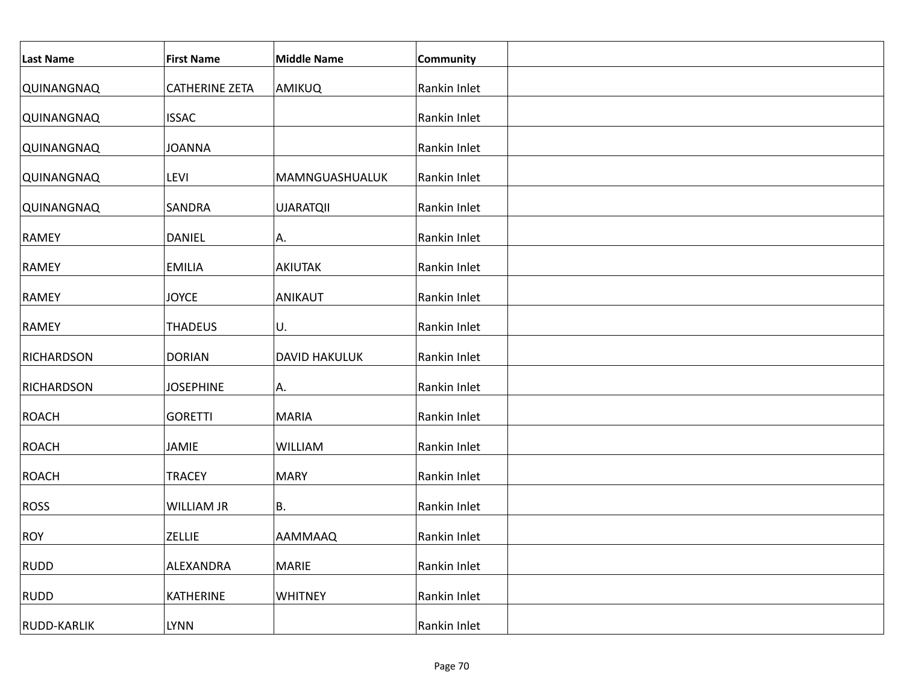| <b>Last Name</b>   | <b>First Name</b>     | Middle Name          | Community    |  |
|--------------------|-----------------------|----------------------|--------------|--|
| <b>QUINANGNAQ</b>  | <b>CATHERINE ZETA</b> | AMIKUQ               | Rankin Inlet |  |
| <b>QUINANGNAQ</b>  | <b>ISSAC</b>          |                      | Rankin Inlet |  |
| <b>QUINANGNAQ</b>  | <b>JOANNA</b>         |                      | Rankin Inlet |  |
| <b>QUINANGNAQ</b>  | <b>LEVI</b>           | MAMNGUASHUALUK       | Rankin Inlet |  |
| <b>QUINANGNAQ</b>  | SANDRA                | <b>UJARATQII</b>     | Rankin Inlet |  |
| RAMEY              | DANIEL                | A.                   | Rankin Inlet |  |
| RAMEY              | <b>EMILIA</b>         | <b>AKIUTAK</b>       | Rankin Inlet |  |
| RAMEY              | <b>JOYCE</b>          | ANIKAUT              | Rankin Inlet |  |
| RAMEY              | <b>THADEUS</b>        | U.                   | Rankin Inlet |  |
| <b>RICHARDSON</b>  | DORIAN                | <b>DAVID HAKULUK</b> | Rankin Inlet |  |
| RICHARDSON         | <b>JOSEPHINE</b>      | A.                   | Rankin Inlet |  |
| ROACH              | GORETTI               | MARIA                | Rankin Inlet |  |
| ROACH              | <b>JAMIE</b>          | <b>WILLIAM</b>       | Rankin Inlet |  |
| ROACH              | <b>TRACEY</b>         | MARY                 | Rankin Inlet |  |
| ROSS               | <b>WILLIAM JR</b>     | B.                   | Rankin Inlet |  |
| ROY                | <b>ZELLIE</b>         | AAMMAAQ              | Rankin Inlet |  |
| <b>RUDD</b>        | ALEXANDRA             | MARIE                | Rankin Inlet |  |
| RUDD               | <b>KATHERINE</b>      | <b>WHITNEY</b>       | Rankin Inlet |  |
| <b>RUDD-KARLIK</b> | <b>LYNN</b>           |                      | Rankin Inlet |  |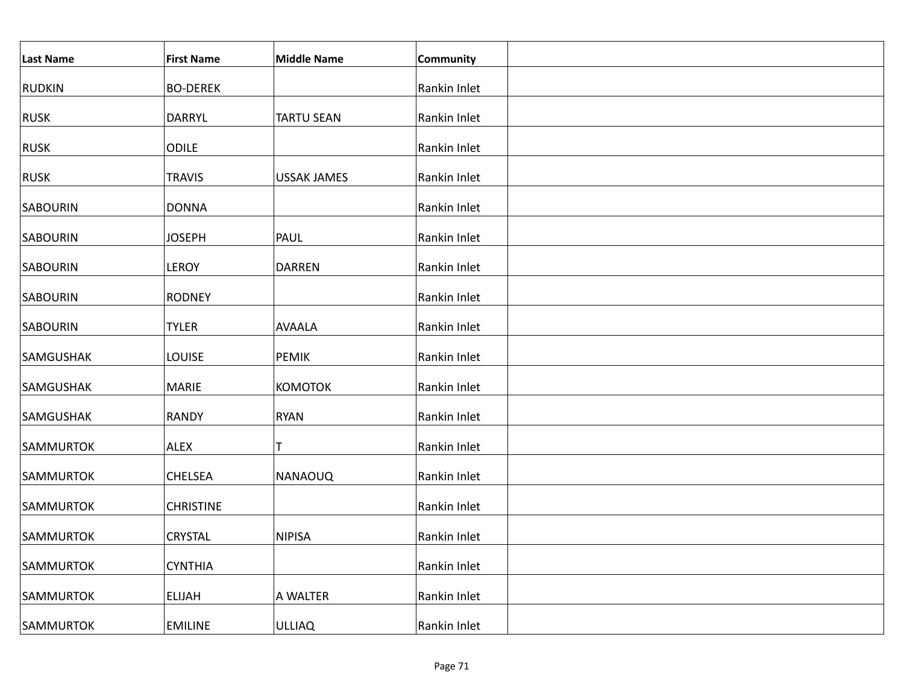| Last Name       | <b>First Name</b> | <b>Middle Name</b> | Community    |
|-----------------|-------------------|--------------------|--------------|
| <b>RUDKIN</b>   | <b>BO-DEREK</b>   |                    | Rankin Inlet |
| <b>RUSK</b>     | DARRYL            | <b>TARTU SEAN</b>  | Rankin Inlet |
| <b>RUSK</b>     | <b>ODILE</b>      |                    | Rankin Inlet |
| <b>RUSK</b>     | <b>TRAVIS</b>     | USSAK JAMES        | Rankin Inlet |
| SABOURIN        | <b>DONNA</b>      |                    | Rankin Inlet |
| <b>SABOURIN</b> | <b>JOSEPH</b>     | PAUL               | Rankin Inlet |
| <b>SABOURIN</b> | <b>LEROY</b>      | DARREN             | Rankin Inlet |
| <b>SABOURIN</b> | RODNEY            |                    | Rankin Inlet |
| <b>SABOURIN</b> | <b>TYLER</b>      | AVAALA             | Rankin Inlet |
| SAMGUSHAK       | <b>LOUISE</b>     | PEMIK              | Rankin Inlet |
| SAMGUSHAK       | MARIE             | комоток            | Rankin Inlet |
| SAMGUSHAK       | RANDY             | <b>RYAN</b>        | Rankin Inlet |
| SAMMURTOK       | <b>ALEX</b>       | Т                  | Rankin Inlet |
| SAMMURTOK       | <b>CHELSEA</b>    | NANAOUQ            | Rankin Inlet |
| SAMMURTOK       | <b>CHRISTINE</b>  |                    | Rankin Inlet |
| SAMMURTOK       | <b>CRYSTAL</b>    | NIPISA             | Rankin Inlet |
| SAMMURTOK       | <b>CYNTHIA</b>    |                    | Rankin Inlet |
| SAMMURTOK       | <b>ELIJAH</b>     | A WALTER           | Rankin Inlet |
| SAMMURTOK       | <b>EMILINE</b>    | <b>ULLIAQ</b>      | Rankin Inlet |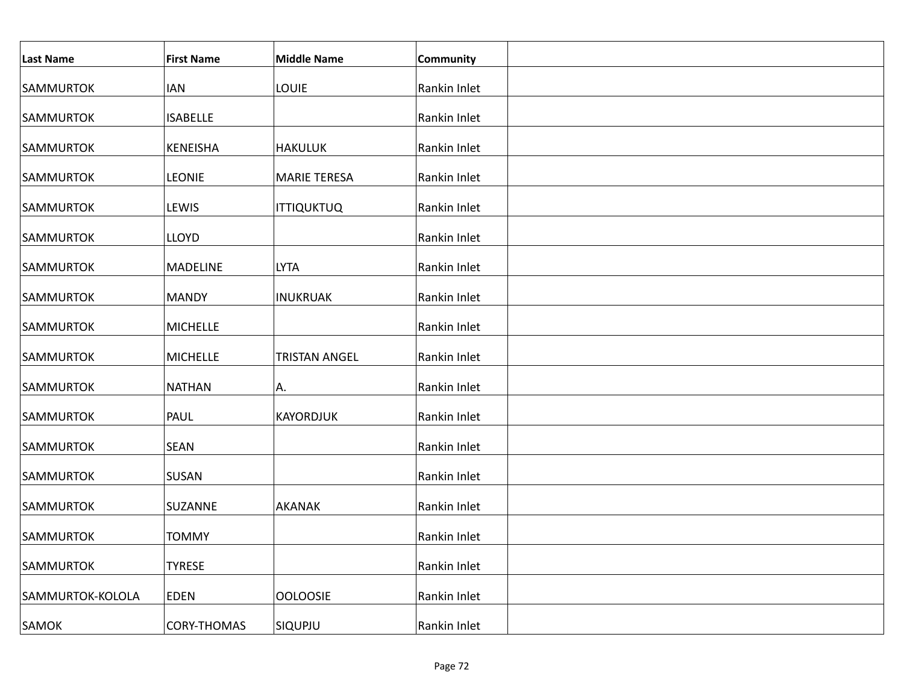| Last Name        | <b>First Name</b>  | <b>Middle Name</b>   | Community    |  |
|------------------|--------------------|----------------------|--------------|--|
| SAMMURTOK        | <b>IAN</b>         | <b>LOUIE</b>         | Rankin Inlet |  |
| SAMMURTOK        | <b>ISABELLE</b>    |                      | Rankin Inlet |  |
| SAMMURTOK        | <b>KENEISHA</b>    | <b>HAKULUK</b>       | Rankin Inlet |  |
| SAMMURTOK        | <b>LEONIE</b>      | MARIE TERESA         | Rankin Inlet |  |
| SAMMURTOK        | LEWIS              | ITTIQUKTUQ           | Rankin Inlet |  |
| SAMMURTOK        | <b>LLOYD</b>       |                      | Rankin Inlet |  |
| SAMMURTOK        | <b>MADELINE</b>    | <b>LYTA</b>          | Rankin Inlet |  |
| SAMMURTOK        | <b>MANDY</b>       | <b>INUKRUAK</b>      | Rankin Inlet |  |
| SAMMURTOK        | MICHELLE           |                      | Rankin Inlet |  |
| SAMMURTOK        | <b>MICHELLE</b>    | <b>TRISTAN ANGEL</b> | Rankin Inlet |  |
| SAMMURTOK        | <b>NATHAN</b>      | A.                   | Rankin Inlet |  |
| <b>SAMMURTOK</b> | PAUL               | KAYORDJUK            | Rankin Inlet |  |
| SAMMURTOK        | <b>SEAN</b>        |                      | Rankin Inlet |  |
| SAMMURTOK        | SUSAN              |                      | Rankin Inlet |  |
| SAMMURTOK        | SUZANNE            | AKANAK               | Rankin Inlet |  |
| SAMMURTOK        | <b>TOMMY</b>       |                      | Rankin Inlet |  |
| SAMMURTOK        | <b>TYRESE</b>      |                      | Rankin Inlet |  |
| SAMMURTOK-KOLOLA | <b>EDEN</b>        | <b>OOLOOSIE</b>      | Rankin Inlet |  |
| SAMOK            | <b>CORY-THOMAS</b> | <b>SIQUPJU</b>       | Rankin Inlet |  |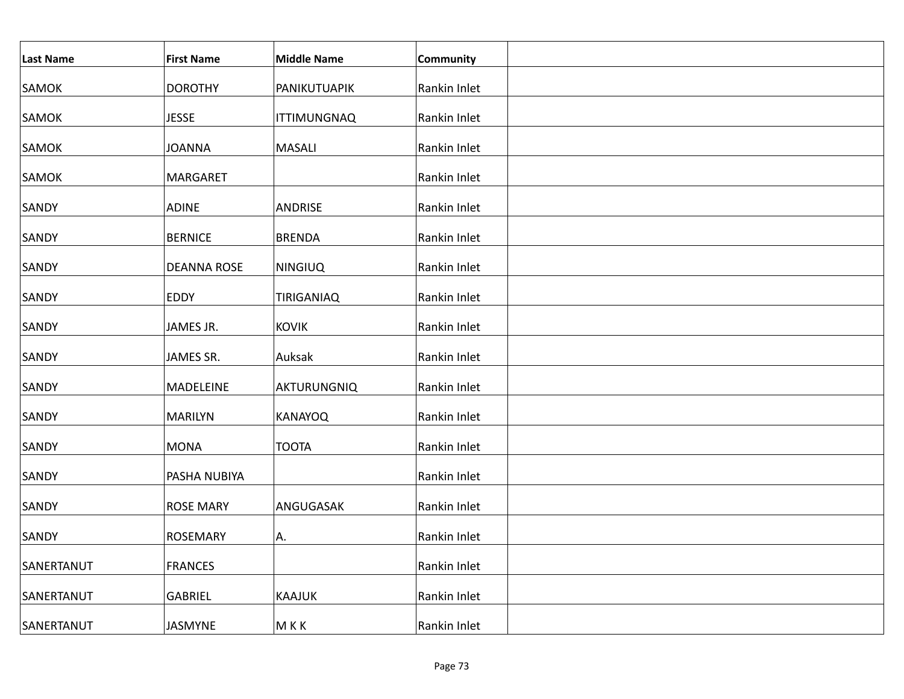| <b>Last Name</b> | <b>First Name</b>  | <b>Middle Name</b> | Community    |
|------------------|--------------------|--------------------|--------------|
| SAMOK            | <b>DOROTHY</b>     | PANIKUTUAPIK       | Rankin Inlet |
| SAMOK            | <b>JESSE</b>       | <b>ITTIMUNGNAQ</b> | Rankin Inlet |
| SAMOK            | <b>JOANNA</b>      | MASALI             | Rankin Inlet |
| SAMOK            | <b>MARGARET</b>    |                    | Rankin Inlet |
| SANDY            | ADINE              | ANDRISE            | Rankin Inlet |
| SANDY            | <b>BERNICE</b>     | <b>BRENDA</b>      | Rankin Inlet |
| SANDY            | <b>DEANNA ROSE</b> | NINGIUQ            | Rankin Inlet |
| SANDY            | <b>EDDY</b>        | <b>TIRIGANIAQ</b>  | Rankin Inlet |
| SANDY            | JAMES JR.          | <b>KOVIK</b>       | Rankin Inlet |
| SANDY            | JAMES SR.          | Auksak             | Rankin Inlet |
| SANDY            | MADELEINE          | AKTURUNGNIQ        | Rankin Inlet |
| SANDY            | <b>MARILYN</b>     | KANAYOQ            | Rankin Inlet |
| SANDY            | <b>MONA</b>        | <b>TOOTA</b>       | Rankin Inlet |
| SANDY            | PASHA NUBIYA       |                    | Rankin Inlet |
| SANDY            | <b>ROSE MARY</b>   | ANGUGASAK          | Rankin Inlet |
| SANDY            | <b>ROSEMARY</b>    | AA.                | Rankin Inlet |
| SANERTANUT       | <b>FRANCES</b>     |                    | Rankin Inlet |
| SANERTANUT       | GABRIEL            | KAAJUK             | Rankin Inlet |
| SANERTANUT       | <b>JASMYNE</b>     | MKK                | Rankin Inlet |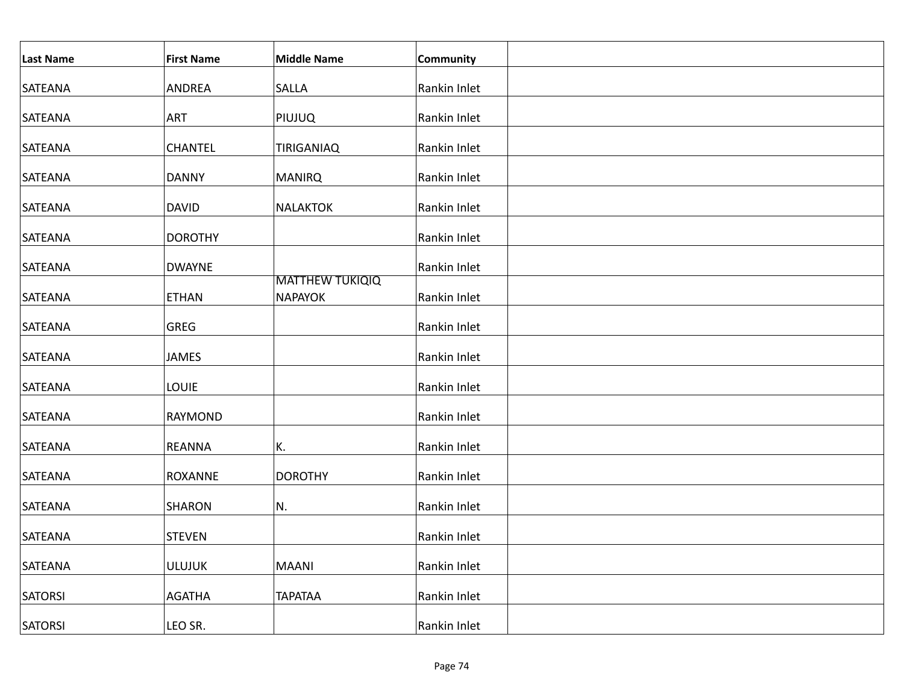| Last Name      | <b>First Name</b> | <b>Middle Name</b>                | Community    |  |
|----------------|-------------------|-----------------------------------|--------------|--|
| SATEANA        | ANDREA            | <b>SALLA</b>                      | Rankin Inlet |  |
| SATEANA        | ART               | PIUJUQ                            | Rankin Inlet |  |
| SATEANA        | <b>CHANTEL</b>    | <b>TIRIGANIAQ</b>                 | Rankin Inlet |  |
| SATEANA        | DANNY             | MANIRQ                            | Rankin Inlet |  |
| SATEANA        | DAVID             | NALAKTOK                          | Rankin Inlet |  |
| SATEANA        | <b>DOROTHY</b>    |                                   | Rankin Inlet |  |
| SATEANA        | DWAYNE            |                                   | Rankin Inlet |  |
| SATEANA        | <b>ETHAN</b>      | <b>MATTHEW TUKIQIQ</b><br>NAPAYOK | Rankin Inlet |  |
| SATEANA        | GREG              |                                   | Rankin Inlet |  |
| SATEANA        | <b>JAMES</b>      |                                   | Rankin Inlet |  |
| SATEANA        | <b>LOUIE</b>      |                                   | Rankin Inlet |  |
| SATEANA        | RAYMOND           |                                   | Rankin Inlet |  |
| SATEANA        | REANNA            | K.                                | Rankin Inlet |  |
| SATEANA        | ROXANNE           | <b>DOROTHY</b>                    | Rankin Inlet |  |
| SATEANA        | SHARON            | N.                                | Rankin Inlet |  |
| SATEANA        | <b>STEVEN</b>     |                                   | Rankin Inlet |  |
| SATEANA        | <b>ULUJUK</b>     | MAANI                             | Rankin Inlet |  |
| <b>SATORSI</b> | AGATHA            | <b>TAPATAA</b>                    | Rankin Inlet |  |
| <b>SATORSI</b> | LEO SR.           |                                   | Rankin Inlet |  |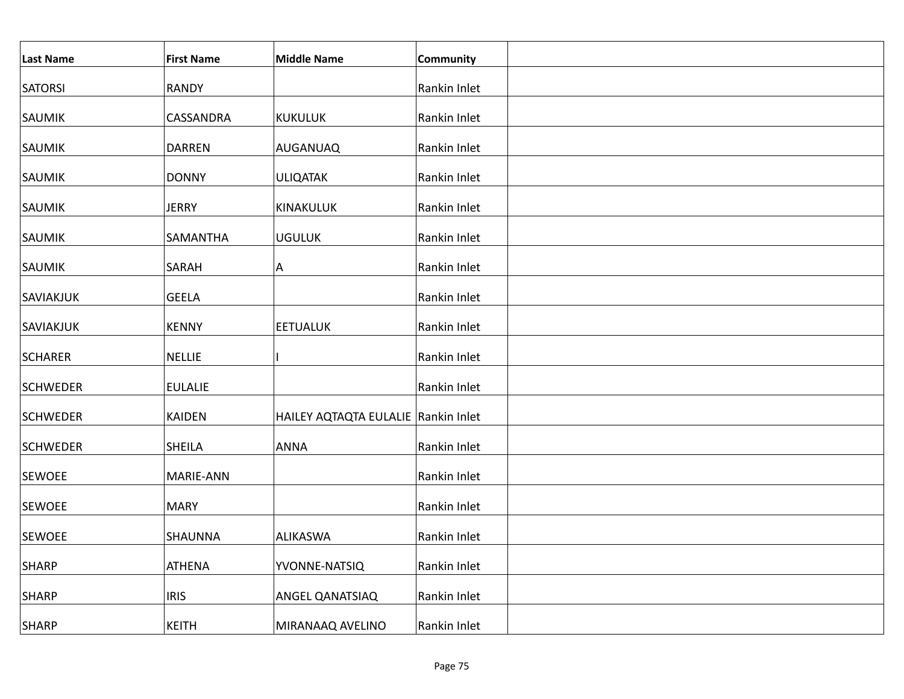| Last Name      | <b>First Name</b> | <b>Middle Name</b>                  | Community    |  |
|----------------|-------------------|-------------------------------------|--------------|--|
| <b>SATORSI</b> | RANDY             |                                     | Rankin Inlet |  |
| SAUMIK         | CASSANDRA         | KUKULUK                             | Rankin Inlet |  |
| SAUMIK         | DARREN            | AUGANUAQ                            | Rankin Inlet |  |
| SAUMIK         | DONNY             | ULIQATAK                            | Rankin Inlet |  |
| SAUMIK         | <b>JERRY</b>      | KINAKULUK                           | Rankin Inlet |  |
| SAUMIK         | SAMANTHA          | UGULUK                              | Rankin Inlet |  |
| SAUMIK         | SARAH             | A                                   | Rankin Inlet |  |
| SAVIAKJUK      | GEELA             |                                     | Rankin Inlet |  |
| SAVIAKJUK      | <b>KENNY</b>      | <b>EETUALUK</b>                     | Rankin Inlet |  |
| SCHARER        | NELLIE            |                                     | Rankin Inlet |  |
| SCHWEDER       | <b>EULALIE</b>    |                                     | Rankin Inlet |  |
| SCHWEDER       | <b>KAIDEN</b>     | HAILEY AQTAQTA EULALIE Rankin Inlet |              |  |
| SCHWEDER       | SHEILA            | ANNA                                | Rankin Inlet |  |
| <b>SEWOEE</b>  | MARIE-ANN         |                                     | Rankin Inlet |  |
| <b>SEWOEE</b>  | MARY              |                                     | Rankin Inlet |  |
| <b>SEWOEE</b>  | SHAUNNA           | ALIKASWA                            | Rankin Inlet |  |
| SHARP          | <b>ATHENA</b>     | YVONNE-NATSIQ                       | Rankin Inlet |  |
| SHARP          | <b>IRIS</b>       | ANGEL QANATSIAQ                     | Rankin Inlet |  |
| SHARP          | KEITH             | MIRANAAQ AVELINO                    | Rankin Inlet |  |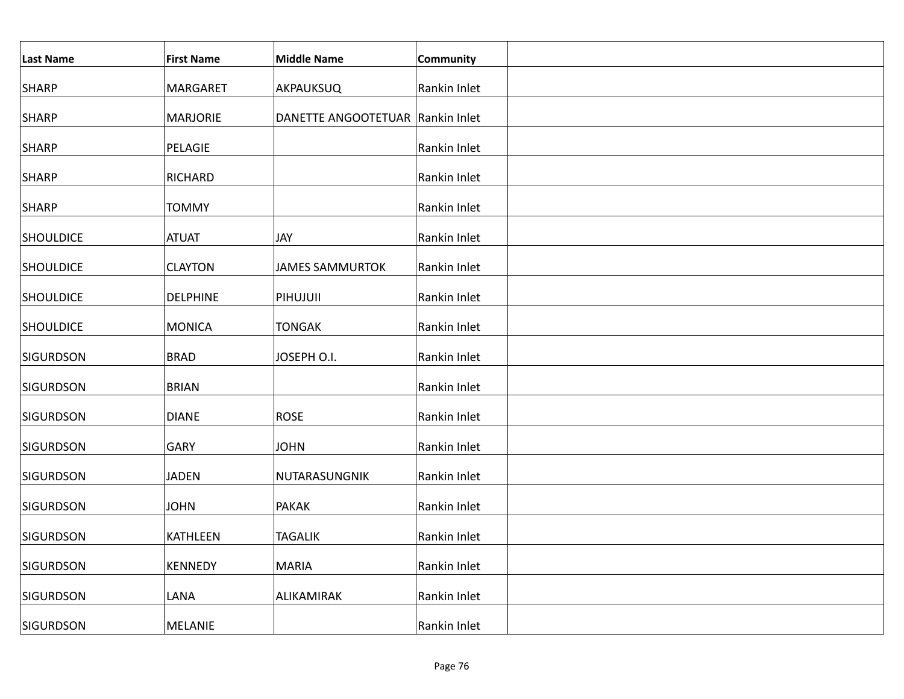| <b>Last Name</b> | <b>First Name</b> | <b>Middle Name</b>               | Community    |
|------------------|-------------------|----------------------------------|--------------|
| SHARP            | <b>MARGARET</b>   | AKPAUKSUQ                        | Rankin Inlet |
| SHARP            | <b>MARJORIE</b>   | DANETTE ANGOOTETUAR Rankin Inlet |              |
| SHARP            | PELAGIE           |                                  | Rankin Inlet |
| SHARP            | RICHARD           |                                  | Rankin Inlet |
| SHARP            | <b>TOMMY</b>      |                                  | Rankin Inlet |
| <b>SHOULDICE</b> | <b>ATUAT</b>      | <b>JAY</b>                       | Rankin Inlet |
| <b>SHOULDICE</b> | <b>CLAYTON</b>    | JAMES SAMMURTOK                  | Rankin Inlet |
| <b>SHOULDICE</b> | <b>DELPHINE</b>   | PIHUJUII                         | Rankin Inlet |
| <b>SHOULDICE</b> | <b>MONICA</b>     | <b>TONGAK</b>                    | Rankin Inlet |
| SIGURDSON        | <b>BRAD</b>       | JOSEPH O.I.                      | Rankin Inlet |
| SIGURDSON        | <b>BRIAN</b>      |                                  | Rankin Inlet |
| SIGURDSON        | <b>DIANE</b>      | ROSE                             | Rankin Inlet |
| SIGURDSON        | GARY              | <b>JOHN</b>                      | Rankin Inlet |
| SIGURDSON        | <b>JADEN</b>      | NUTARASUNGNIK                    | Rankin Inlet |
| SIGURDSON        | <b>JOHN</b>       | PAKAK                            | Rankin Inlet |
| SIGURDSON        | <b>KATHLEEN</b>   | <b>TAGALIK</b>                   | Rankin Inlet |
| SIGURDSON        | <b>KENNEDY</b>    | MARIA                            | Rankin Inlet |
| SIGURDSON        | LANA              | ALIKAMIRAK                       | Rankin Inlet |
| SIGURDSON        | <b>MELANIE</b>    |                                  | Rankin Inlet |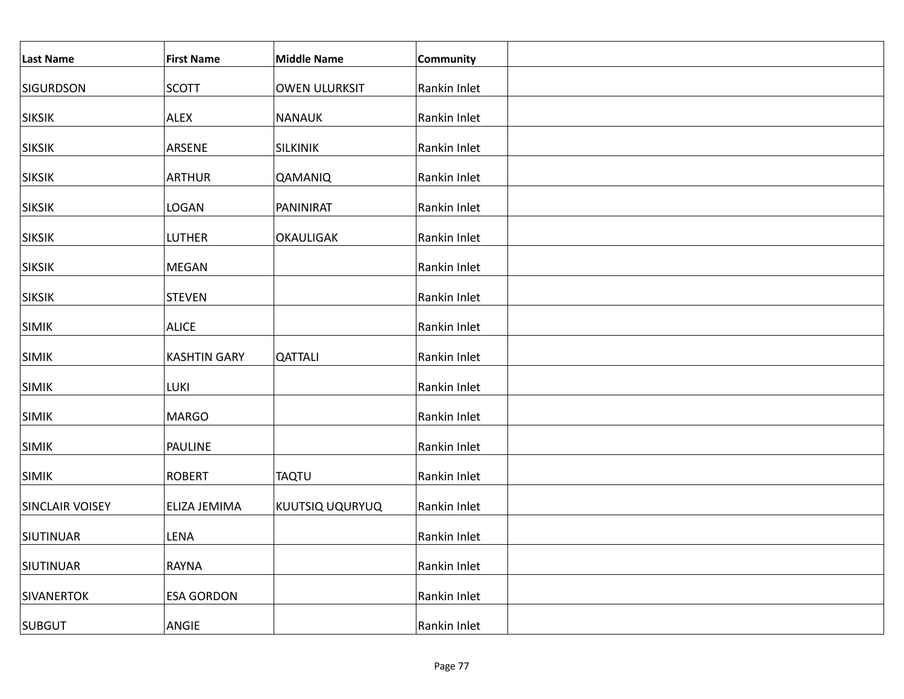| <b>Last Name</b>       | <b>First Name</b>   | <b>Middle Name</b>   | Community    |  |
|------------------------|---------------------|----------------------|--------------|--|
| SIGURDSON              | <b>SCOTT</b>        | <b>OWEN ULURKSIT</b> | Rankin Inlet |  |
| <b>SIKSIK</b>          | <b>ALEX</b>         | NANAUK               | Rankin Inlet |  |
| <b>SIKSIK</b>          | ARSENE              | <b>SILKINIK</b>      | Rankin Inlet |  |
| <b>SIKSIK</b>          | ARTHUR              | <b>QAMANIQ</b>       | Rankin Inlet |  |
| <b>SIKSIK</b>          | <b>LOGAN</b>        | PANINIRAT            | Rankin Inlet |  |
| <b>SIKSIK</b>          | LUTHER              | <b>OKAULIGAK</b>     | Rankin Inlet |  |
| <b>SIKSIK</b>          | MEGAN               |                      | Rankin Inlet |  |
| <b>SIKSIK</b>          | <b>STEVEN</b>       |                      | Rankin Inlet |  |
| <b>SIMIK</b>           | <b>ALICE</b>        |                      | Rankin Inlet |  |
| SIMIK                  | <b>KASHTIN GARY</b> | <b>QATTALI</b>       | Rankin Inlet |  |
| SIMIK                  | LUKI                |                      | Rankin Inlet |  |
| <b>SIMIK</b>           | MARGO               |                      | Rankin Inlet |  |
| SIMIK                  | PAULINE             |                      | Rankin Inlet |  |
| SIMIK                  | ROBERT              | <b>TAQTU</b>         | Rankin Inlet |  |
| <b>SINCLAIR VOISEY</b> | ELIZA JEMIMA        | KUUTSIQ UQURYUQ      | Rankin Inlet |  |
| SIUTINUAR              | LENA                |                      | Rankin Inlet |  |
| SIUTINUAR              | RAYNA               |                      | Rankin Inlet |  |
| SIVANERTOK             | <b>ESA GORDON</b>   |                      | Rankin Inlet |  |
| SUBGUT                 | ANGIE               |                      | Rankin Inlet |  |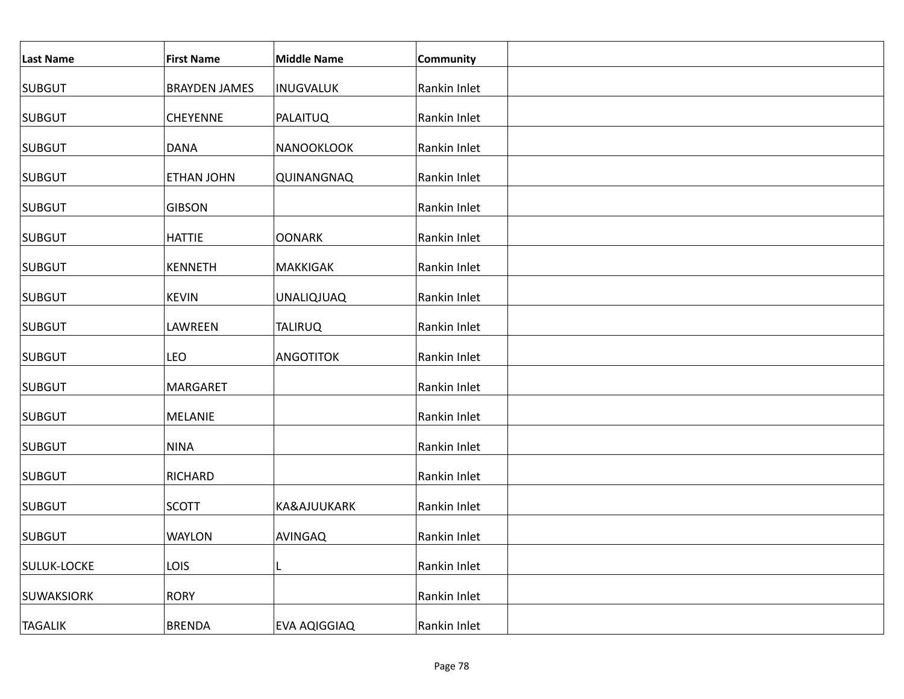| <b>Last Name</b>   | <b>First Name</b>    | <b>Middle Name</b>  | Community    |  |
|--------------------|----------------------|---------------------|--------------|--|
| SUBGUT             | <b>BRAYDEN JAMES</b> | INUGVALUK           | Rankin Inlet |  |
| SUBGUT             | <b>CHEYENNE</b>      | PALAITUQ            | Rankin Inlet |  |
| SUBGUT             | DANA                 | NANOOKLOOK          | Rankin Inlet |  |
| SUBGUT             | <b>ETHAN JOHN</b>    | QUINANGNAQ          | Rankin Inlet |  |
| <b>SUBGUT</b>      | <b>GIBSON</b>        |                     | Rankin Inlet |  |
| SUBGUT             | <b>HATTIE</b>        | <b>OONARK</b>       | Rankin Inlet |  |
| SUBGUT             | <b>KENNETH</b>       | MAKKIGAK            | Rankin Inlet |  |
| SUBGUT             | KEVIN                | <b>UNALIQJUAQ</b>   | Rankin Inlet |  |
| SUBGUT             | LAWREEN              | <b>TALIRUQ</b>      | Rankin Inlet |  |
| SUBGUT             | LEO                  | ANGOTITOK           | Rankin Inlet |  |
| SUBGUT             | <b>MARGARET</b>      |                     | Rankin Inlet |  |
| SUBGUT             | MELANIE              |                     | Rankin Inlet |  |
| <b>SUBGUT</b>      | <b>NINA</b>          |                     | Rankin Inlet |  |
| SUBGUT             | RICHARD              |                     | Rankin Inlet |  |
| SUBGUT             | <b>SCOTT</b>         | KA&AJUUKARK         | Rankin Inlet |  |
| SUBGUT             | <b>WAYLON</b>        | AVINGAQ             | Rankin Inlet |  |
| <b>SULUK-LOCKE</b> | Lois                 |                     | Rankin Inlet |  |
| <b>SUWAKSIORK</b>  | RORY                 |                     | Rankin Inlet |  |
| <b>TAGALIK</b>     | BRENDA               | <b>EVA AQIGGIAQ</b> | Rankin Inlet |  |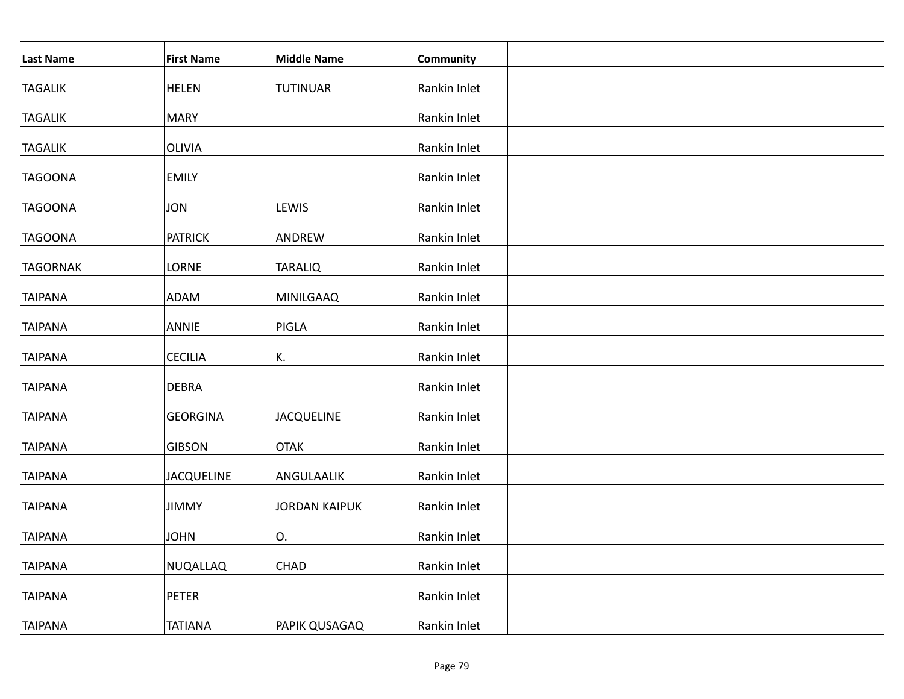| <b>Last Name</b> | <b>First Name</b> | <b>Middle Name</b>   | Community    |  |
|------------------|-------------------|----------------------|--------------|--|
| <b>TAGALIK</b>   | HELEN             | <b>TUTINUAR</b>      | Rankin Inlet |  |
| <b>TAGALIK</b>   | MARY              |                      | Rankin Inlet |  |
| <b>TAGALIK</b>   | OLIVIA            |                      | Rankin Inlet |  |
| <b>TAGOONA</b>   | <b>EMILY</b>      |                      | Rankin Inlet |  |
| <b>TAGOONA</b>   | <b>JON</b>        | LEWIS                | Rankin Inlet |  |
| <b>TAGOONA</b>   | PATRICK           | ANDREW               | Rankin Inlet |  |
| <b>TAGORNAK</b>  | LORNE             | <b>TARALIQ</b>       | Rankin Inlet |  |
| <b>TAIPANA</b>   | ADAM              | <b>MINILGAAQ</b>     | Rankin Inlet |  |
| <b>TAIPANA</b>   | ANNIE             | PIGLA                | Rankin Inlet |  |
| <b>TAIPANA</b>   | <b>CECILIA</b>    | K.                   | Rankin Inlet |  |
| <b>TAIPANA</b>   | DEBRA             |                      | Rankin Inlet |  |
| <b>TAIPANA</b>   | GEORGINA          | <b>JACQUELINE</b>    | Rankin Inlet |  |
| <b>TAIPANA</b>   | <b>GIBSON</b>     | <b>OTAK</b>          | Rankin Inlet |  |
| <b>TAIPANA</b>   | <b>JACQUELINE</b> | ANGULAALIK           | Rankin Inlet |  |
| <b>TAIPANA</b>   | <b>JIMMY</b>      | <b>JORDAN KAIPUK</b> | Rankin Inlet |  |
| <b>TAIPANA</b>   | <b>JOHN</b>       | O.                   | Rankin Inlet |  |
| <b>TAIPANA</b>   | NUQALLAQ          | <b>CHAD</b>          | Rankin Inlet |  |
| <b>TAIPANA</b>   | PETER             |                      | Rankin Inlet |  |
| <b>TAIPANA</b>   | <b>TATIANA</b>    | <b>PAPIK QUSAGAQ</b> | Rankin Inlet |  |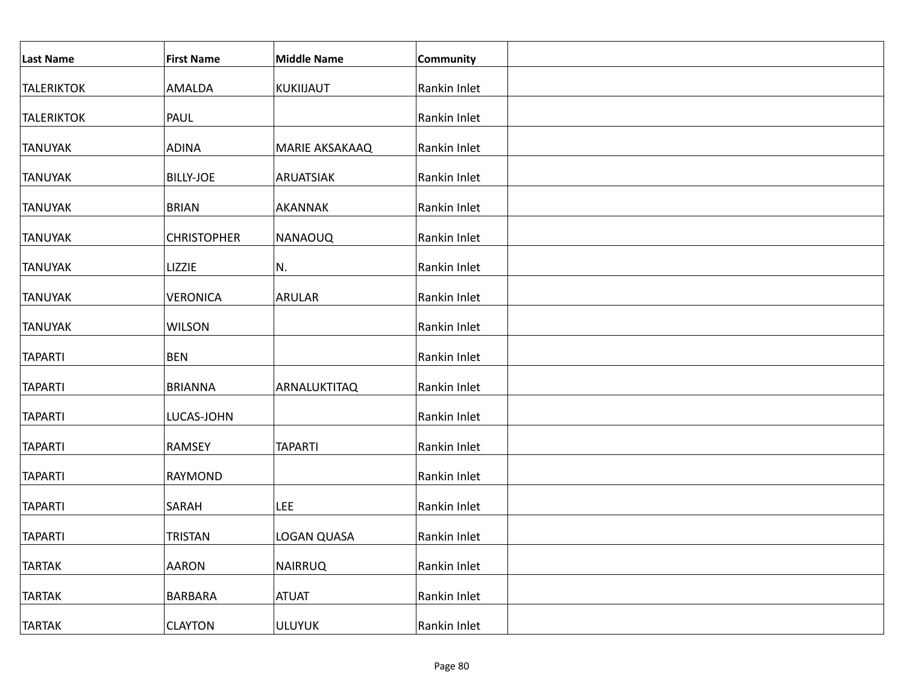| <b>Last Name</b>  | <b>First Name</b>  | <b>Middle Name</b>    | Community    |  |
|-------------------|--------------------|-----------------------|--------------|--|
| <b>TALERIKTOK</b> | AMALDA             | KUKIIJAUT             | Rankin Inlet |  |
| <b>TALERIKTOK</b> | PAUL               |                       | Rankin Inlet |  |
| <b>TANUYAK</b>    | ADINA              | <b>MARIE AKSAKAAQ</b> | Rankin Inlet |  |
| <b>TANUYAK</b>    | <b>BILLY-JOE</b>   | ARUATSIAK             | Rankin Inlet |  |
| <b>TANUYAK</b>    | <b>BRIAN</b>       | AKANNAK               | Rankin Inlet |  |
| <b>TANUYAK</b>    | <b>CHRISTOPHER</b> | NANAOUQ               | Rankin Inlet |  |
| <b>TANUYAK</b>    | <b>LIZZIE</b>      | N.                    | Rankin Inlet |  |
| <b>TANUYAK</b>    | <b>VERONICA</b>    | ARULAR                | Rankin Inlet |  |
| <b>TANUYAK</b>    | <b>WILSON</b>      |                       | Rankin Inlet |  |
| <b>TAPARTI</b>    | BEN                |                       | Rankin Inlet |  |
| <b>TAPARTI</b>    | <b>BRIANNA</b>     | ARNALUKTITAQ          | Rankin Inlet |  |
| <b>TAPARTI</b>    | LUCAS-JOHN         |                       | Rankin Inlet |  |
| <b>TAPARTI</b>    | <b>RAMSEY</b>      | <b>TAPARTI</b>        | Rankin Inlet |  |
| <b>TAPARTI</b>    | RAYMOND            |                       | Rankin Inlet |  |
| <b>TAPARTI</b>    | SARAH              | LEE                   | Rankin Inlet |  |
| <b>TAPARTI</b>    | <b>TRISTAN</b>     | <b>LOGAN QUASA</b>    | Rankin Inlet |  |
| <b>TARTAK</b>     | <b>AARON</b>       | <b>NAIRRUQ</b>        | Rankin Inlet |  |
| <b>TARTAK</b>     | BARBARA            | <b>ATUAT</b>          | Rankin Inlet |  |
| <b>TARTAK</b>     | <b>CLAYTON</b>     | ULUYUK                | Rankin Inlet |  |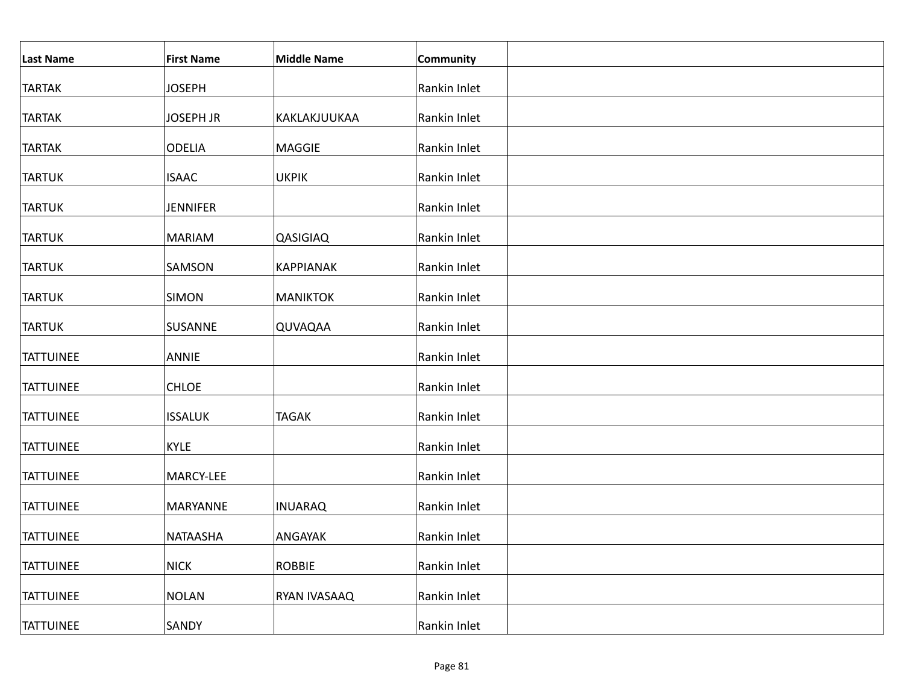| <b>Last Name</b> | <b>First Name</b> | <b>Middle Name</b>  | Community    |  |
|------------------|-------------------|---------------------|--------------|--|
| <b>TARTAK</b>    | <b>JOSEPH</b>     |                     | Rankin Inlet |  |
| <b>TARTAK</b>    | <b>JOSEPH JR</b>  | KAKLAKJUUKAA        | Rankin Inlet |  |
| <b>TARTAK</b>    | ODELIA            | MAGGIE              | Rankin Inlet |  |
| <b>TARTUK</b>    | <b>ISAAC</b>      | UKPIK               | Rankin Inlet |  |
| <b>TARTUK</b>    | <b>JENNIFER</b>   |                     | Rankin Inlet |  |
| <b>TARTUK</b>    | <b>MARIAM</b>     | QASIGIAQ            | Rankin Inlet |  |
| <b>TARTUK</b>    | SAMSON            | KAPPIANAK           | Rankin Inlet |  |
| <b>TARTUK</b>    | SIMON             | MANIKTOK            | Rankin Inlet |  |
| <b>TARTUK</b>    | SUSANNE           | <b>QUVAQAA</b>      | Rankin Inlet |  |
| <b>TATTUINEE</b> | ANNIE             |                     | Rankin Inlet |  |
| <b>TATTUINEE</b> | <b>CHLOE</b>      |                     | Rankin Inlet |  |
| <b>TATTUINEE</b> | <b>ISSALUK</b>    | <b>TAGAK</b>        | Rankin Inlet |  |
| <b>TATTUINEE</b> | <b>KYLE</b>       |                     | Rankin Inlet |  |
| <b>TATTUINEE</b> | MARCY-LEE         |                     | Rankin Inlet |  |
| <b>TATTUINEE</b> | <b>MARYANNE</b>   | <b>INUARAQ</b>      | Rankin Inlet |  |
| <b>TATTUINEE</b> | NATAASHA          | ANGAYAK             | Rankin Inlet |  |
| <b>TATTUINEE</b> | <b>NICK</b>       | <b>ROBBIE</b>       | Rankin Inlet |  |
| <b>TATTUINEE</b> | <b>NOLAN</b>      | <b>RYAN IVASAAQ</b> | Rankin Inlet |  |
| <b>TATTUINEE</b> | SANDY             |                     | Rankin Inlet |  |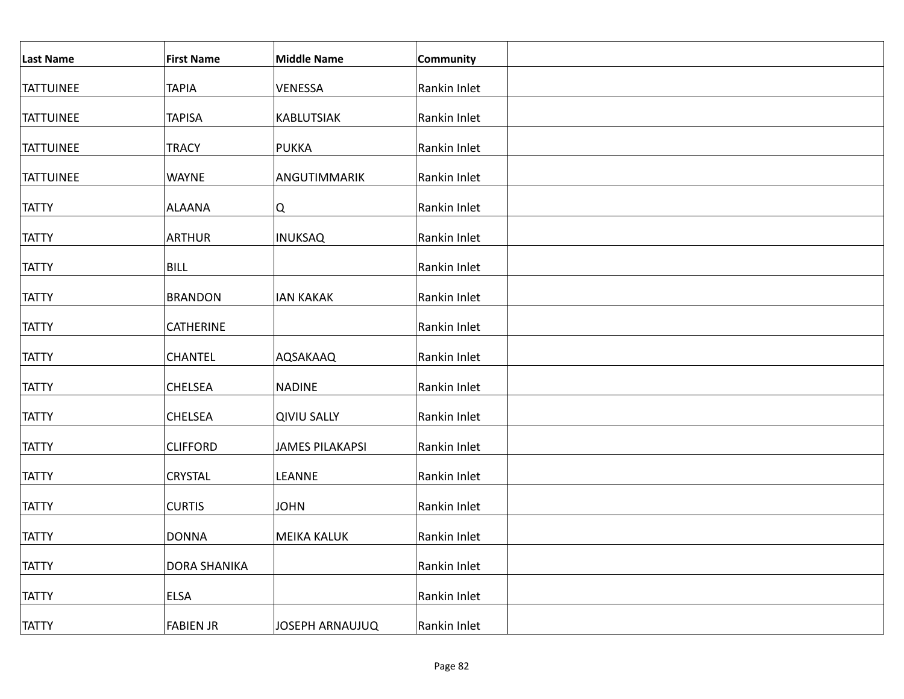| <b>Last Name</b> | <b>First Name</b>   | <b>Middle Name</b>     | Community    |  |
|------------------|---------------------|------------------------|--------------|--|
| <b>TATTUINEE</b> | <b>TAPIA</b>        | VENESSA                | Rankin Inlet |  |
| <b>TATTUINEE</b> | <b>TAPISA</b>       | KABLUTSIAK             | Rankin Inlet |  |
| <b>TATTUINEE</b> | <b>TRACY</b>        | PUKKA                  | Rankin Inlet |  |
| <b>TATTUINEE</b> | <b>WAYNE</b>        | ANGUTIMMARIK           | Rankin Inlet |  |
| <b>TATTY</b>     | <b>ALAANA</b>       | Q.                     | Rankin Inlet |  |
| <b>TATTY</b>     | <b>ARTHUR</b>       | INUKSAQ                | Rankin Inlet |  |
| <b>TATTY</b>     | <b>BILL</b>         |                        | Rankin Inlet |  |
| <b>TATTY</b>     | <b>BRANDON</b>      | <b>IAN KAKAK</b>       | Rankin Inlet |  |
| <b>TATTY</b>     | <b>CATHERINE</b>    |                        | Rankin Inlet |  |
| <b>TATTY</b>     | <b>CHANTEL</b>      | AQSAKAAQ               | Rankin Inlet |  |
| <b>TATTY</b>     | <b>CHELSEA</b>      | <b>NADINE</b>          | Rankin Inlet |  |
| <b>TATTY</b>     | <b>CHELSEA</b>      | <b>QIVIU SALLY</b>     | Rankin Inlet |  |
| <b>TATTY</b>     | <b>CLIFFORD</b>     | <b>JAMES PILAKAPSI</b> | Rankin Inlet |  |
| <b>TATTY</b>     | <b>CRYSTAL</b>      | LEANNE                 | Rankin Inlet |  |
| <b>TATTY</b>     | <b>CURTIS</b>       | <b>JOHN</b>            | Rankin Inlet |  |
| <b>TATTY</b>     | <b>DONNA</b>        | <b>MEIKA KALUK</b>     | Rankin Inlet |  |
| <b>TATTY</b>     | <b>DORA SHANIKA</b> |                        | Rankin Inlet |  |
| <b>TATTY</b>     | <b>ELSA</b>         |                        | Rankin Inlet |  |
| <b>TATTY</b>     | <b>FABIEN JR</b>    | JOSEPH ARNAUJUQ        | Rankin Inlet |  |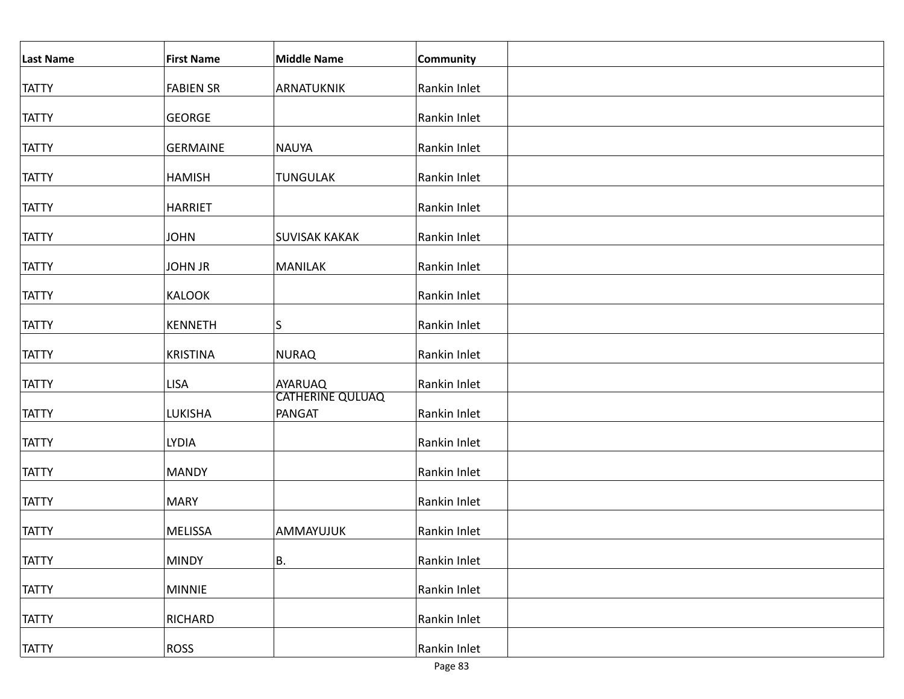| <b>Last Name</b> | <b>First Name</b> | <b>Middle Name</b>      | <b>Community</b> |  |
|------------------|-------------------|-------------------------|------------------|--|
| <b>TATTY</b>     | <b>FABIEN SR</b>  | ARNATUKNIK              | Rankin Inlet     |  |
| <b>TATTY</b>     | GEORGE            |                         | Rankin Inlet     |  |
| <b>TATTY</b>     | <b>GERMAINE</b>   | NAUYA                   | Rankin Inlet     |  |
|                  |                   |                         |                  |  |
| <b>TATTY</b>     | <b>HAMISH</b>     | <b>TUNGULAK</b>         | Rankin Inlet     |  |
| <b>TATTY</b>     | <b>HARRIET</b>    |                         | Rankin Inlet     |  |
| <b>TATTY</b>     | <b>JOHN</b>       | <b>SUVISAK KAKAK</b>    | Rankin Inlet     |  |
| <b>TATTY</b>     | JOHN JR           | MANILAK                 | Rankin Inlet     |  |
| <b>TATTY</b>     | <b>KALOOK</b>     |                         | Rankin Inlet     |  |
| <b>TATTY</b>     | <b>KENNETH</b>    | S,                      | Rankin Inlet     |  |
| <b>TATTY</b>     | <b>KRISTINA</b>   | NURAQ                   | Rankin Inlet     |  |
| <b>TATTY</b>     | <b>LISA</b>       | AYARUAQ                 | Rankin Inlet     |  |
|                  |                   | <b>CATHERINE QULUAQ</b> |                  |  |
| <b>TATTY</b>     | <b>LUKISHA</b>    | PANGAT                  | Rankin Inlet     |  |
| <b>TATTY</b>     | <b>LYDIA</b>      |                         | Rankin Inlet     |  |
| <b>TATTY</b>     | <b>MANDY</b>      |                         | Rankin Inlet     |  |
| <b>TATTY</b>     | <b>MARY</b>       |                         | Rankin Inlet     |  |
| <b>TATTY</b>     | <b>MELISSA</b>    | AMMAYUJUK               | Rankin Inlet     |  |
| <b>TATTY</b>     | <b>MINDY</b>      | B.                      | Rankin Inlet     |  |
| <b>TATTY</b>     | MINNIE            |                         | Rankin Inlet     |  |
| <b>TATTY</b>     | RICHARD           |                         | Rankin Inlet     |  |
| <b>TATTY</b>     | ROSS              |                         | Rankin Inlet     |  |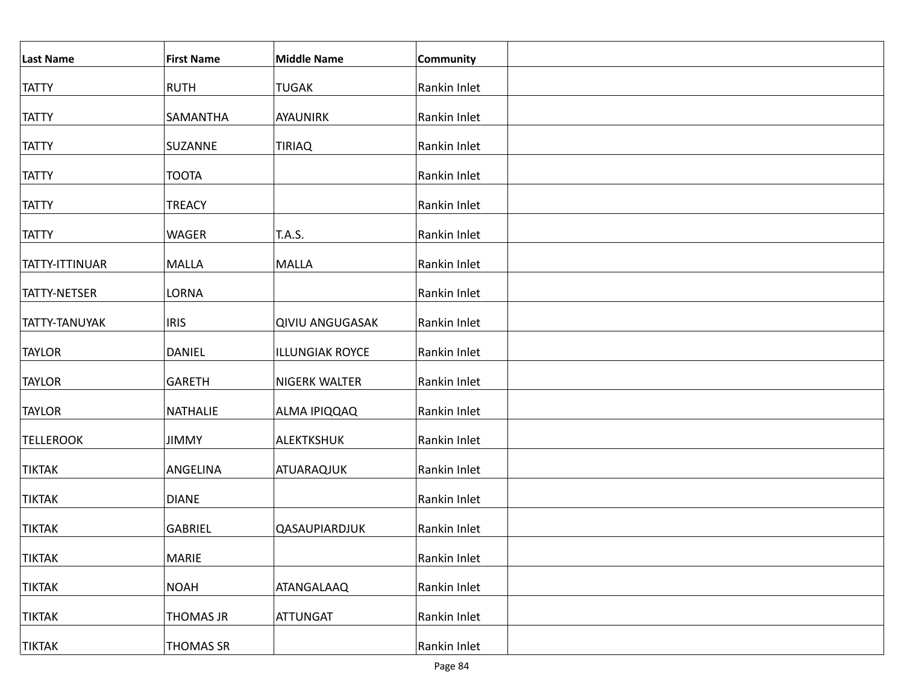| <b>Last Name</b>     | <b>First Name</b> | <b>Middle Name</b>     | <b>Community</b> |
|----------------------|-------------------|------------------------|------------------|
| <b>TATTY</b>         | RUTH              | <b>TUGAK</b>           | Rankin Inlet     |
| <b>TATTY</b>         | SAMANTHA          | AYAUNIRK               | Rankin Inlet     |
| <b>TATTY</b>         | SUZANNE           | TIRIAQ                 | Rankin Inlet     |
| <b>TATTY</b>         | <b>TOOTA</b>      |                        | Rankin Inlet     |
| <b>TATTY</b>         | <b>TREACY</b>     |                        | Rankin Inlet     |
| <b>TATTY</b>         | <b>WAGER</b>      | T.A.S.                 | Rankin Inlet     |
| TATTY-ITTINUAR       | <b>MALLA</b>      | MALLA                  | Rankin Inlet     |
| <b>TATTY-NETSER</b>  | <b>LORNA</b>      |                        | Rankin Inlet     |
| <b>TATTY-TANUYAK</b> | <b>IRIS</b>       | <b>QIVIU ANGUGASAK</b> | Rankin Inlet     |
| <b>TAYLOR</b>        | <b>DANIEL</b>     | <b>ILLUNGIAK ROYCE</b> | Rankin Inlet     |
| <b>TAYLOR</b>        | <b>GARETH</b>     | NIGERK WALTER          | Rankin Inlet     |
| <b>TAYLOR</b>        | <b>NATHALIE</b>   | ALMA IPIQQAQ           | Rankin Inlet     |
| <b>TELLEROOK</b>     | <b>JIMMY</b>      | ALEKTKSHUK             | Rankin Inlet     |
| <b>TIKTAK</b>        | ANGELINA          | ATUARAQJUK             | Rankin Inlet     |
| <b>TIKTAK</b>        | <b>DIANE</b>      |                        | Rankin Inlet     |
| <b>TIKTAK</b>        | <b>GABRIEL</b>    | <b>QASAUPIARDJUK</b>   | Rankin Inlet     |
| <b>TIKTAK</b>        | <b>MARIE</b>      |                        | Rankin Inlet     |
| <b>TIKTAK</b>        | NOAH              | ATANGALAAQ             | Rankin Inlet     |
| <b>TIKTAK</b>        | THOMAS JR         | ATTUNGAT               | Rankin Inlet     |
| <b>TIKTAK</b>        | <b>THOMAS SR</b>  |                        | Rankin Inlet     |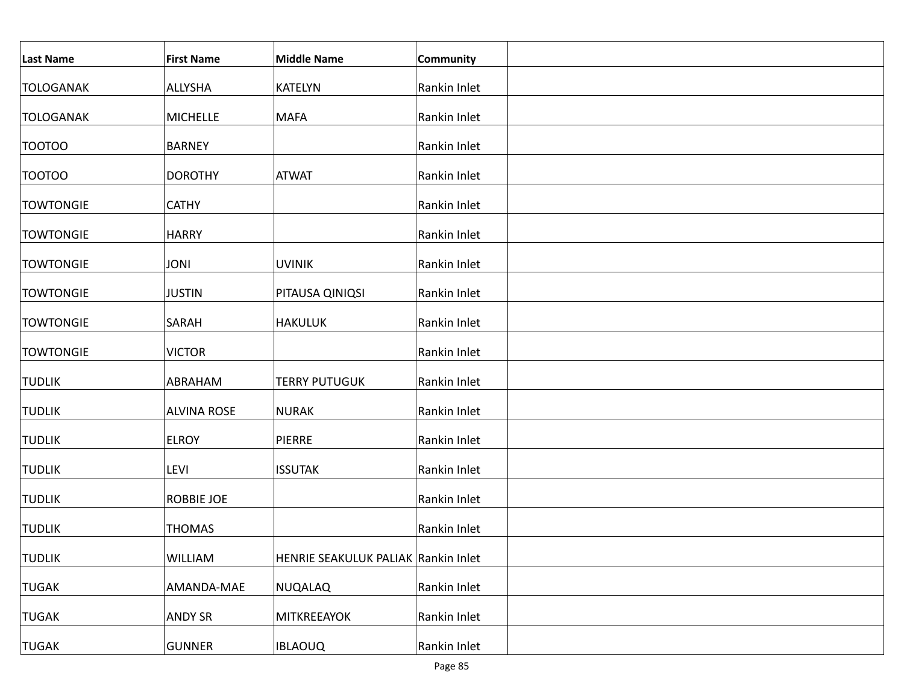| <b>Last Name</b> | <b>First Name</b>  | <b>Middle Name</b>                  | Community    |
|------------------|--------------------|-------------------------------------|--------------|
| <b>TOLOGANAK</b> | ALLYSHA            | KATELYN                             | Rankin Inlet |
| TOLOGANAK        | MICHELLE           | MAFA                                | Rankin Inlet |
| <b>TOOTOO</b>    | <b>BARNEY</b>      |                                     | Rankin Inlet |
| <b>TOOTOO</b>    | <b>DOROTHY</b>     | <b>ATWAT</b>                        | Rankin Inlet |
| <b>TOWTONGIE</b> | <b>CATHY</b>       |                                     | Rankin Inlet |
| <b>TOWTONGIE</b> | HARRY              |                                     | Rankin Inlet |
| <b>TOWTONGIE</b> | <b>JONI</b>        | UVINIK                              | Rankin Inlet |
| <b>TOWTONGIE</b> | <b>JUSTIN</b>      | PITAUSA QINIQSI                     | Rankin Inlet |
| <b>TOWTONGIE</b> | SARAH              | <b>HAKULUK</b>                      | Rankin Inlet |
| <b>TOWTONGIE</b> | <b>VICTOR</b>      |                                     | Rankin Inlet |
| <b>TUDLIK</b>    | ABRAHAM            | <b>TERRY PUTUGUK</b>                | Rankin Inlet |
| <b>TUDLIK</b>    | <b>ALVINA ROSE</b> | NURAK                               | Rankin Inlet |
| <b>TUDLIK</b>    | <b>ELROY</b>       | PIERRE                              | Rankin Inlet |
| <b>TUDLIK</b>    | <b>LEVI</b>        | <b>ISSUTAK</b>                      | Rankin Inlet |
| <b>TUDLIK</b>    | <b>ROBBIE JOE</b>  |                                     | Rankin Inlet |
| <b>TUDLIK</b>    | <b>THOMAS</b>      |                                     | Rankin Inlet |
| <b>TUDLIK</b>    | <b>WILLIAM</b>     | HENRIE SEAKULUK PALIAK Rankin Inlet |              |
| <b>TUGAK</b>     | AMANDA-MAE         | NUQALAQ                             | Rankin Inlet |
| <b>TUGAK</b>     | ANDY SR            | MITKREEAYOK                         | Rankin Inlet |
| <b>TUGAK</b>     | GUNNER             | <b>IBLAOUQ</b>                      | Rankin Inlet |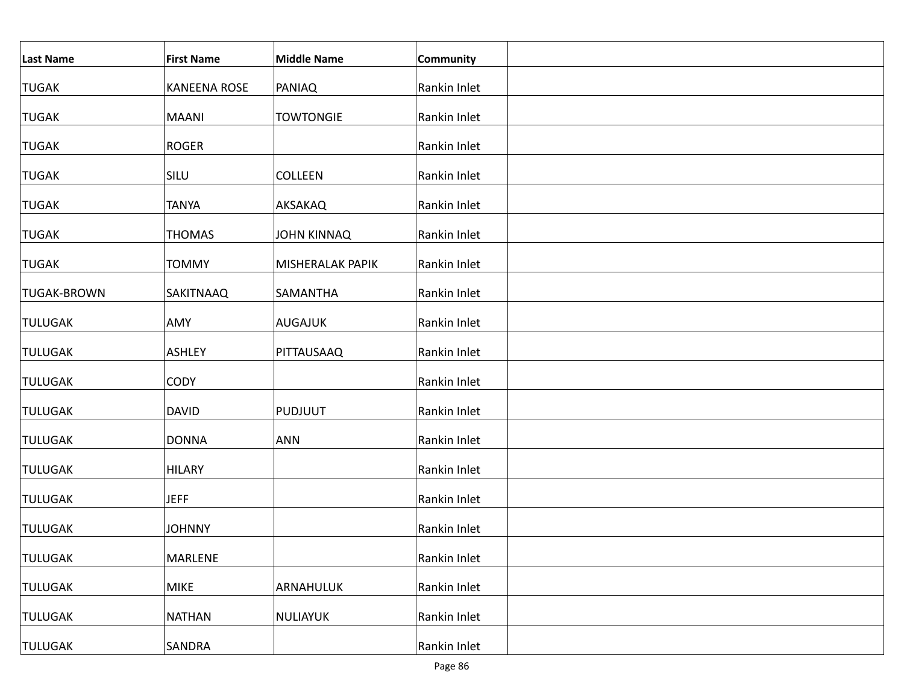| <b>Last Name</b>   | <b>First Name</b>   | <b>Middle Name</b>      | <b>Community</b> |  |
|--------------------|---------------------|-------------------------|------------------|--|
| <b>TUGAK</b>       | <b>KANEENA ROSE</b> | PANIAQ                  | Rankin Inlet     |  |
| <b>TUGAK</b>       | <b>MAANI</b>        | <b>TOWTONGIE</b>        | Rankin Inlet     |  |
| <b>TUGAK</b>       | <b>ROGER</b>        |                         | Rankin Inlet     |  |
| <b>TUGAK</b>       | Silu                | <b>COLLEEN</b>          | Rankin Inlet     |  |
| <b>TUGAK</b>       | <b>TANYA</b>        | <b>AKSAKAQ</b>          | Rankin Inlet     |  |
| <b>TUGAK</b>       | <b>THOMAS</b>       | <b>JOHN KINNAQ</b>      | Rankin Inlet     |  |
|                    |                     |                         | Rankin Inlet     |  |
| <b>TUGAK</b>       | <b>TOMMY</b>        | <b>MISHERALAK PAPIK</b> |                  |  |
| <b>TUGAK-BROWN</b> | SAKITNAAQ           | <b>SAMANTHA</b>         | Rankin Inlet     |  |
| <b>TULUGAK</b>     | AMY                 | AUGAJUK                 | Rankin Inlet     |  |
| <b>TULUGAK</b>     | <b>ASHLEY</b>       | PITTAUSAAQ              | Rankin Inlet     |  |
| <b>TULUGAK</b>     | <b>CODY</b>         |                         | Rankin Inlet     |  |
| <b>TULUGAK</b>     | <b>DAVID</b>        | PUDJUUT                 | Rankin Inlet     |  |
| <b>TULUGAK</b>     | <b>DONNA</b>        | ANN                     | Rankin Inlet     |  |
| <b>TULUGAK</b>     | <b>HILARY</b>       |                         | Rankin Inlet     |  |
| <b>TULUGAK</b>     | JEFF                |                         | Rankin Inlet     |  |
| <b>TULUGAK</b>     | <b>JOHNNY</b>       |                         | Rankin Inlet     |  |
| <b>TULUGAK</b>     | MARLENE             |                         | Rankin Inlet     |  |
| <b>TULUGAK</b>     | MIKE                | ARNAHULUK               | Rankin Inlet     |  |
| <b>TULUGAK</b>     | <b>NATHAN</b>       | NULIAYUK                | Rankin Inlet     |  |
| <b>TULUGAK</b>     | SANDRA              |                         | Rankin Inlet     |  |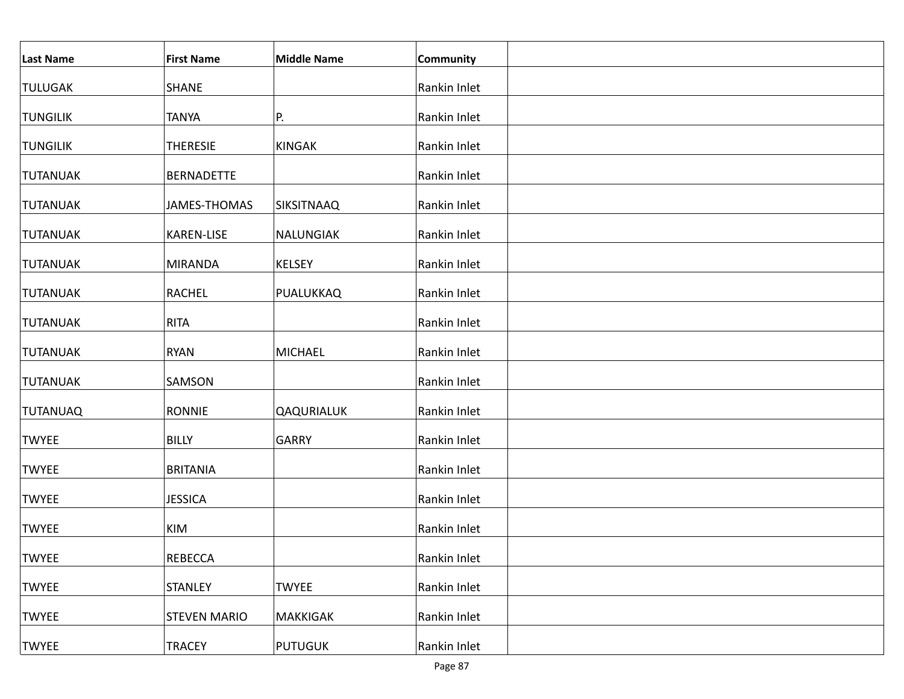| Last Name       | <b>First Name</b>   | <b>Middle Name</b> | Community    |  |
|-----------------|---------------------|--------------------|--------------|--|
| <b>TULUGAK</b>  | SHANE               |                    | Rankin Inlet |  |
| TUNGILIK        | <b>TANYA</b>        | P.                 | Rankin Inlet |  |
| TUNGILIK        | <b>THERESIE</b>     | KINGAK             | Rankin Inlet |  |
| <b>TUTANUAK</b> | <b>BERNADETTE</b>   |                    | Rankin Inlet |  |
|                 |                     |                    |              |  |
| <b>TUTANUAK</b> | JAMES-THOMAS        | SIKSITNAAQ         | Rankin Inlet |  |
| <b>TUTANUAK</b> | <b>KAREN-LISE</b>   | NALUNGIAK          | Rankin Inlet |  |
| <b>TUTANUAK</b> | <b>MIRANDA</b>      | KELSEY             | Rankin Inlet |  |
| TUTANUAK        | <b>RACHEL</b>       | PUALUKKAQ          | Rankin Inlet |  |
| <b>TUTANUAK</b> | RITA                |                    | Rankin Inlet |  |
| TUTANUAK        | <b>RYAN</b>         | MICHAEL            | Rankin Inlet |  |
| <b>TUTANUAK</b> | SAMSON              |                    | Rankin Inlet |  |
| TUTANUAQ        | <b>RONNIE</b>       | QAQURIALUK         | Rankin Inlet |  |
| <b>TWYEE</b>    | BILLY               | GARRY              | Rankin Inlet |  |
| <b>TWYEE</b>    | <b>BRITANIA</b>     |                    | Rankin Inlet |  |
| <b>TWYEE</b>    | <b>JESSICA</b>      |                    | Rankin Inlet |  |
| <b>TWYEE</b>    | KIM                 |                    | Rankin Inlet |  |
| <b>TWYEE</b>    | REBECCA             |                    | Rankin Inlet |  |
| <b>TWYEE</b>    | STANLEY             | <b>TWYEE</b>       | Rankin Inlet |  |
| <b>TWYEE</b>    | <b>STEVEN MARIO</b> | MAKKIGAK           | Rankin Inlet |  |
| <b>TWYEE</b>    | <b>TRACEY</b>       | PUTUGUK            | Rankin Inlet |  |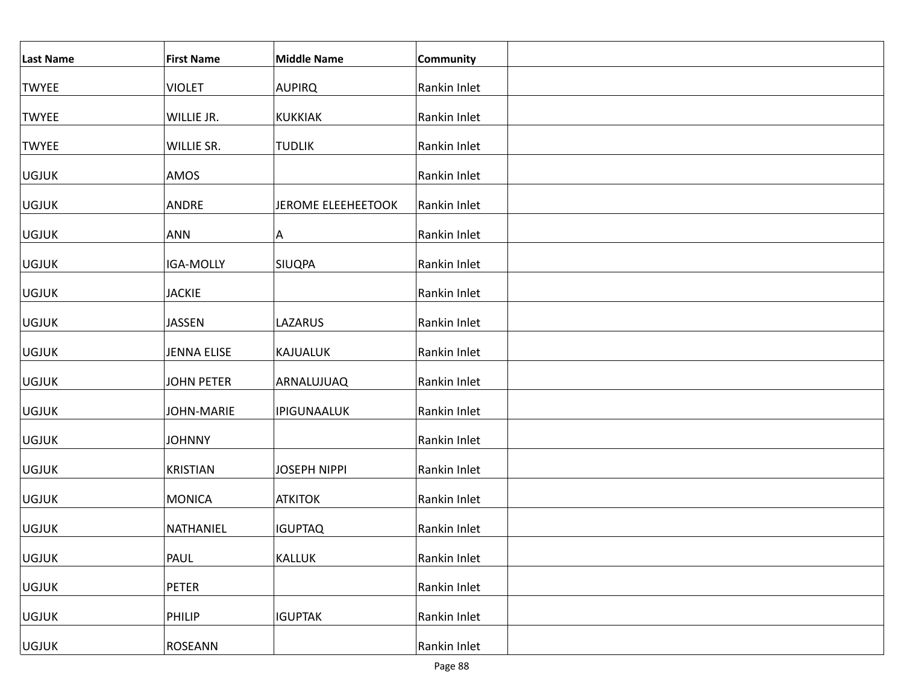| <b>Last Name</b> | <b>First Name</b> | <b>Middle Name</b>  | Community    |  |
|------------------|-------------------|---------------------|--------------|--|
|                  |                   |                     |              |  |
| <b>TWYEE</b>     | VIOLET            | <b>AUPIRQ</b>       | Rankin Inlet |  |
| <b>TWYEE</b>     | WILLIE JR.        | KUKKIAK             | Rankin Inlet |  |
| <b>TWYEE</b>     | WILLIE SR.        | <b>TUDLIK</b>       | Rankin Inlet |  |
| <b>UGJUK</b>     | AMOS              |                     | Rankin Inlet |  |
| <b>UGJUK</b>     | ANDRE             | JEROME ELEEHEETOOK  | Rankin Inlet |  |
| <b>UGJUK</b>     | ANN               | A                   | Rankin Inlet |  |
| <b>UGJUK</b>     | <b>IGA-MOLLY</b>  | <b>SIUQPA</b>       | Rankin Inlet |  |
| <b>UGJUK</b>     | <b>JACKIE</b>     |                     | Rankin Inlet |  |
| <b>UGJUK</b>     | JASSEN            | LAZARUS             | Rankin Inlet |  |
| <b>UGJUK</b>     | JENNA ELISE       | KAJUALUK            | Rankin Inlet |  |
| <b>UGJUK</b>     | <b>JOHN PETER</b> | ARNALUJUAQ          | Rankin Inlet |  |
| <b>UGJUK</b>     | JOHN-MARIE        | IPIGUNAALUK         | Rankin Inlet |  |
| <b>UGJUK</b>     | <b>JOHNNY</b>     |                     | Rankin Inlet |  |
| <b>UGJUK</b>     | KRISTIAN          | <b>JOSEPH NIPPI</b> | Rankin Inlet |  |
| <b>UGJUK</b>     | MONICA            | <b>ATKITOK</b>      | Rankin Inlet |  |
| <b>UGJUK</b>     | NATHANIEL         | <b>IGUPTAQ</b>      | Rankin Inlet |  |
| <b>UGJUK</b>     | PAUL              | KALLUK              | Rankin Inlet |  |
| <b>UGJUK</b>     | PETER             |                     | Rankin Inlet |  |
| <b>UGJUK</b>     | PHILIP            | <b>IGUPTAK</b>      | Rankin Inlet |  |
| <b>UGJUK</b>     | ROSEANN           |                     | Rankin Inlet |  |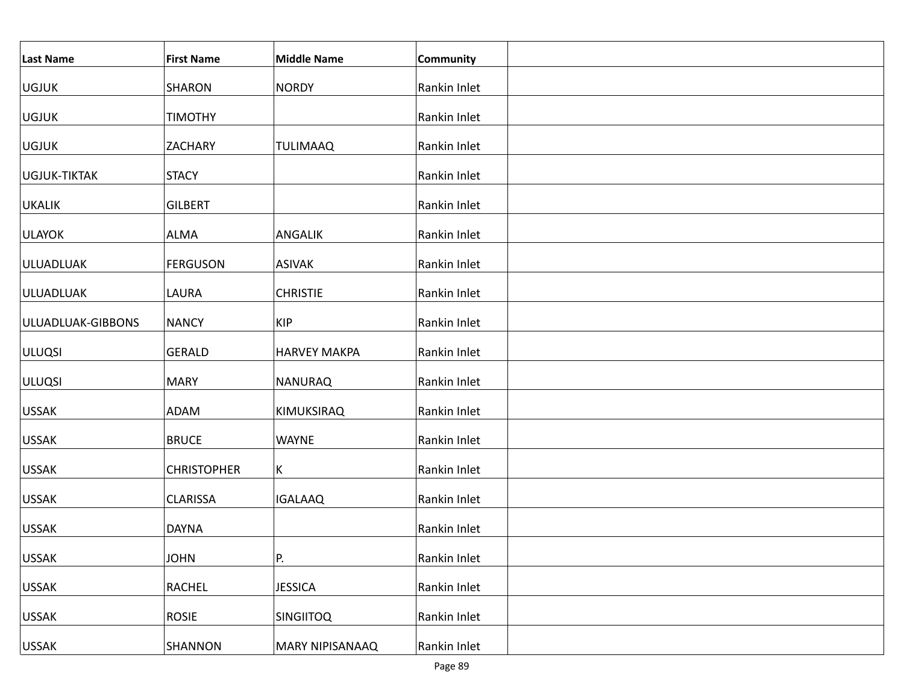| <b>Last Name</b>    | <b>First Name</b>  | Middle Name         | <b>Community</b> |  |
|---------------------|--------------------|---------------------|------------------|--|
| <b>UGJUK</b>        | SHARON             | NORDY               | Rankin Inlet     |  |
| <b>UGJUK</b>        | <b>TIMOTHY</b>     |                     | Rankin Inlet     |  |
| <b>UGJUK</b>        | ZACHARY            | <b>TULIMAAQ</b>     | Rankin Inlet     |  |
| <b>UGJUK-TIKTAK</b> | <b>STACY</b>       |                     | Rankin Inlet     |  |
| <b>UKALIK</b>       | <b>GILBERT</b>     |                     | Rankin Inlet     |  |
| <b>ULAYOK</b>       | <b>ALMA</b>        | ANGALIK             | Rankin Inlet     |  |
| <b>ULUADLUAK</b>    | <b>FERGUSON</b>    | <b>ASIVAK</b>       | Rankin Inlet     |  |
| <b>ULUADLUAK</b>    | LAURA              | <b>CHRISTIE</b>     | Rankin Inlet     |  |
| ULUADLUAK-GIBBONS   | <b>NANCY</b>       | KIP                 | Rankin Inlet     |  |
| <b>ULUQSI</b>       | <b>GERALD</b>      | <b>HARVEY MAKPA</b> | Rankin Inlet     |  |
| <b>ULUQSI</b>       | <b>MARY</b>        | NANURAQ             | Rankin Inlet     |  |
| <b>USSAK</b>        | ADAM               | KIMUKSIRAQ          | Rankin Inlet     |  |
| <b>USSAK</b>        | <b>BRUCE</b>       | <b>WAYNE</b>        | Rankin Inlet     |  |
| <b>USSAK</b>        | <b>CHRISTOPHER</b> | K.                  | Rankin Inlet     |  |
| <b>USSAK</b>        | <b>CLARISSA</b>    | <b>IGALAAQ</b>      | Rankin Inlet     |  |
| <b>USSAK</b>        | <b>DAYNA</b>       |                     | Rankin Inlet     |  |
| <b>USSAK</b>        | <b>JOHN</b>        | P.                  | Rankin Inlet     |  |
| <b>USSAK</b>        | RACHEL             | <b>JESSICA</b>      | Rankin Inlet     |  |
| <b>USSAK</b>        | ROSIE              | SINGIITOQ           | Rankin Inlet     |  |
| <b>USSAK</b>        | SHANNON            | MARY NIPISANAAQ     | Rankin Inlet     |  |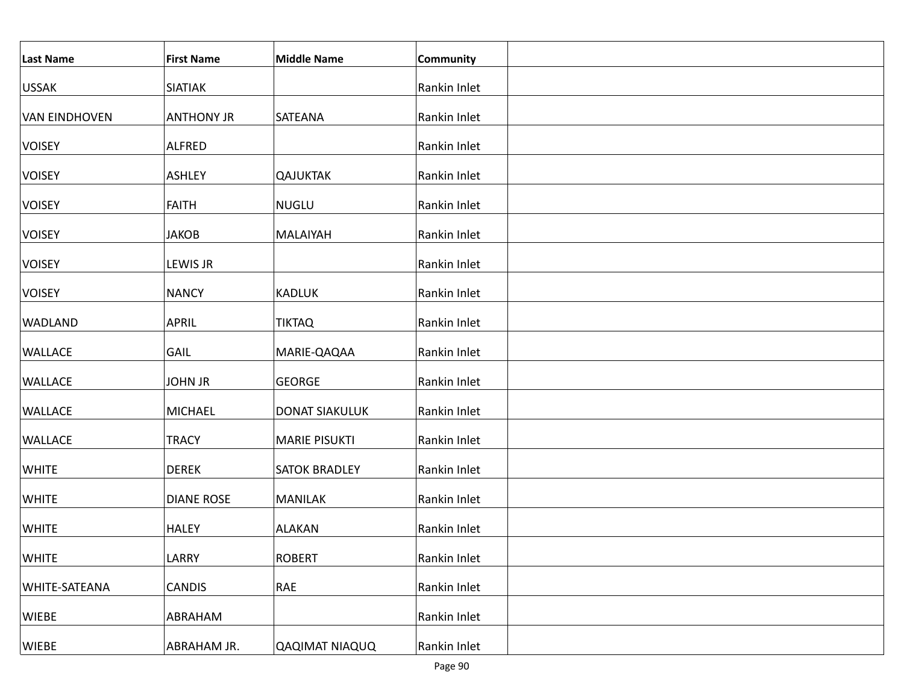| <b>Last Name</b>     | <b>First Name</b> | <b>Middle Name</b>    | Community    |  |
|----------------------|-------------------|-----------------------|--------------|--|
| USSAK                | <b>SIATIAK</b>    |                       | Rankin Inlet |  |
| <b>VAN EINDHOVEN</b> | <b>ANTHONY JR</b> | SATEANA               | Rankin Inlet |  |
| <b>VOISEY</b>        | ALFRED            |                       | Rankin Inlet |  |
| <b>VOISEY</b>        | ASHLEY            | <b>QAJUKTAK</b>       | Rankin Inlet |  |
| <b>VOISEY</b>        | <b>FAITH</b>      | NUGLU                 | Rankin Inlet |  |
| <b>VOISEY</b>        | <b>JAKOB</b>      | MALAIYAH              | Rankin Inlet |  |
| <b>VOISEY</b>        | <b>LEWIS JR</b>   |                       | Rankin Inlet |  |
| <b>VOISEY</b>        | <b>NANCY</b>      | KADLUK                | Rankin Inlet |  |
| WADLAND              | APRIL             | <b>TIKTAQ</b>         | Rankin Inlet |  |
| <b>WALLACE</b>       | GAIL              | MARIE-QAQAA           | Rankin Inlet |  |
| <b>WALLACE</b>       | <b>JOHN JR</b>    | GEORGE                | Rankin Inlet |  |
| <b>WALLACE</b>       | <b>MICHAEL</b>    | <b>DONAT SIAKULUK</b> | Rankin Inlet |  |
| <b>WALLACE</b>       | <b>TRACY</b>      | <b>MARIE PISUKTI</b>  | Rankin Inlet |  |
| <b>WHITE</b>         | <b>DEREK</b>      | <b>SATOK BRADLEY</b>  | Rankin Inlet |  |
| <b>WHITE</b>         | <b>DIANE ROSE</b> | MANILAK               | Rankin Inlet |  |
| <b>WHITE</b>         | <b>HALEY</b>      | ALAKAN                | Rankin Inlet |  |
| <b>WHITE</b>         | LARRY             | ROBERT                | Rankin Inlet |  |
| <b>WHITE-SATEANA</b> | <b>CANDIS</b>     | RAE                   | Rankin Inlet |  |
| <b>WIEBE</b>         | ABRAHAM           |                       | Rankin Inlet |  |
| WIEBE                | ABRAHAM JR.       | QAQIMAT NIAQUQ        | Rankin Inlet |  |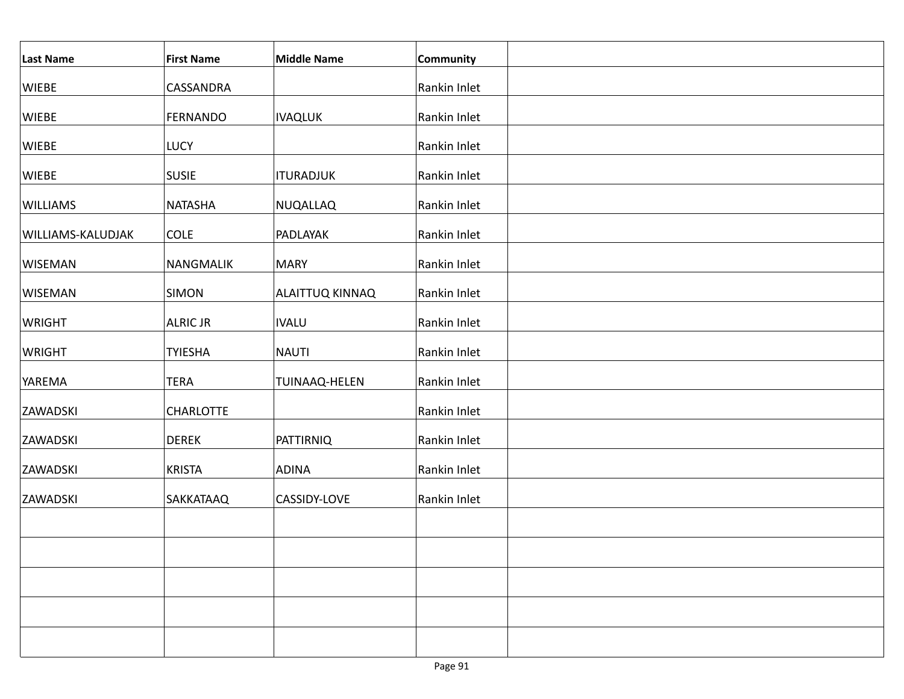| <b>Last Name</b>  | <b>First Name</b> | <b>Middle Name</b> | Community    |  |
|-------------------|-------------------|--------------------|--------------|--|
| <b>WIEBE</b>      | CASSANDRA         |                    | Rankin Inlet |  |
| <b>WIEBE</b>      | FERNANDO          | <b>IVAQLUK</b>     | Rankin Inlet |  |
| <b>WIEBE</b>      | <b>LUCY</b>       |                    | Rankin Inlet |  |
| <b>WIEBE</b>      | <b>SUSIE</b>      | <b>ITURADJUK</b>   | Rankin Inlet |  |
| <b>WILLIAMS</b>   | NATASHA           | NUQALLAQ           | Rankin Inlet |  |
| WILLIAMS-KALUDJAK | <b>COLE</b>       | PADLAYAK           | Rankin Inlet |  |
| WISEMAN           | NANGMALIK         | MARY               | Rankin Inlet |  |
| WISEMAN           | <b>SIMON</b>      | ALAITTUQ KINNAQ    | Rankin Inlet |  |
| <b>WRIGHT</b>     | <b>ALRIC JR</b>   | <b>IVALU</b>       | Rankin Inlet |  |
| <b>WRIGHT</b>     | <b>TYIESHA</b>    | NAUTI              | Rankin Inlet |  |
| YAREMA            | <b>TERA</b>       | TUINAAQ-HELEN      | Rankin Inlet |  |
| ZAWADSKI          | <b>CHARLOTTE</b>  |                    | Rankin Inlet |  |
| ZAWADSKI          | <b>DEREK</b>      | PATTIRNIQ          | Rankin Inlet |  |
| ZAWADSKI          | KRISTA            | <b>ADINA</b>       | Rankin Inlet |  |
| ZAWADSKI          | SAKKATAAQ         | CASSIDY-LOVE       | Rankin Inlet |  |
|                   |                   |                    |              |  |
|                   |                   |                    |              |  |
|                   |                   |                    |              |  |
|                   |                   |                    |              |  |
|                   |                   |                    |              |  |
|                   |                   |                    |              |  |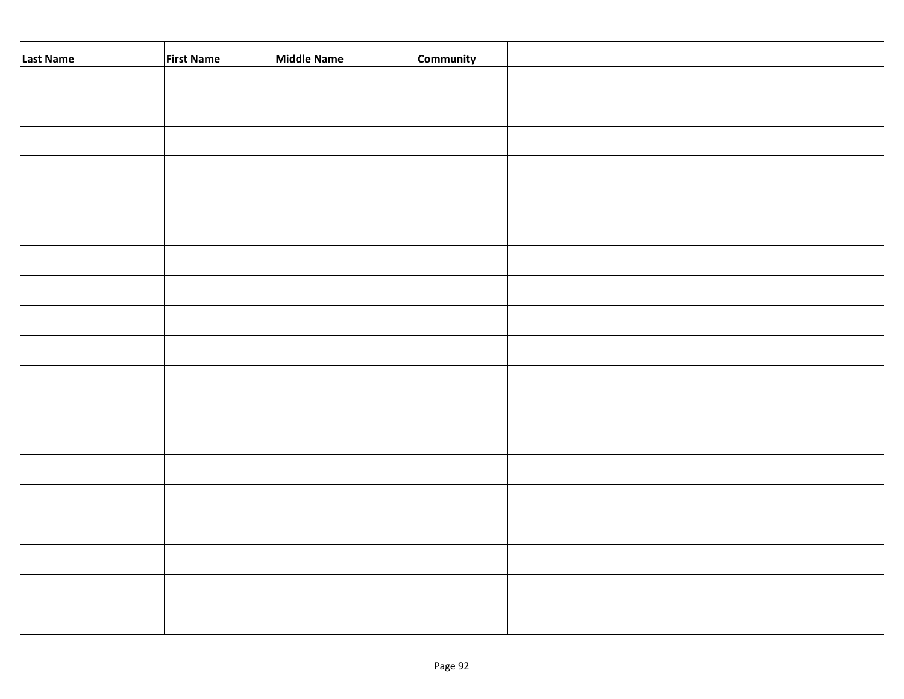| Last Name | <b>First Name</b> | Middle Name | <b>Community</b> |  |
|-----------|-------------------|-------------|------------------|--|
|           |                   |             |                  |  |
|           |                   |             |                  |  |
|           |                   |             |                  |  |
|           |                   |             |                  |  |
|           |                   |             |                  |  |
|           |                   |             |                  |  |
|           |                   |             |                  |  |
|           |                   |             |                  |  |
|           |                   |             |                  |  |
|           |                   |             |                  |  |
|           |                   |             |                  |  |
|           |                   |             |                  |  |
|           |                   |             |                  |  |
|           |                   |             |                  |  |
|           |                   |             |                  |  |
|           |                   |             |                  |  |
|           |                   |             |                  |  |
|           |                   |             |                  |  |
|           |                   |             |                  |  |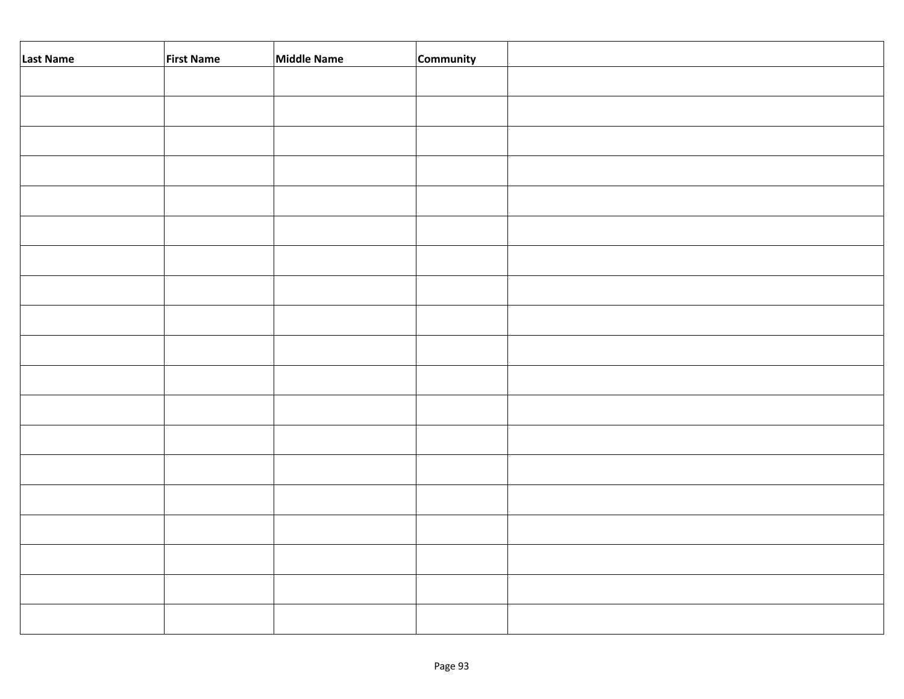| Last Name | <b>First Name</b> | Middle Name | <b>Community</b> |  |
|-----------|-------------------|-------------|------------------|--|
|           |                   |             |                  |  |
|           |                   |             |                  |  |
|           |                   |             |                  |  |
|           |                   |             |                  |  |
|           |                   |             |                  |  |
|           |                   |             |                  |  |
|           |                   |             |                  |  |
|           |                   |             |                  |  |
|           |                   |             |                  |  |
|           |                   |             |                  |  |
|           |                   |             |                  |  |
|           |                   |             |                  |  |
|           |                   |             |                  |  |
|           |                   |             |                  |  |
|           |                   |             |                  |  |
|           |                   |             |                  |  |
|           |                   |             |                  |  |
|           |                   |             |                  |  |
|           |                   |             |                  |  |